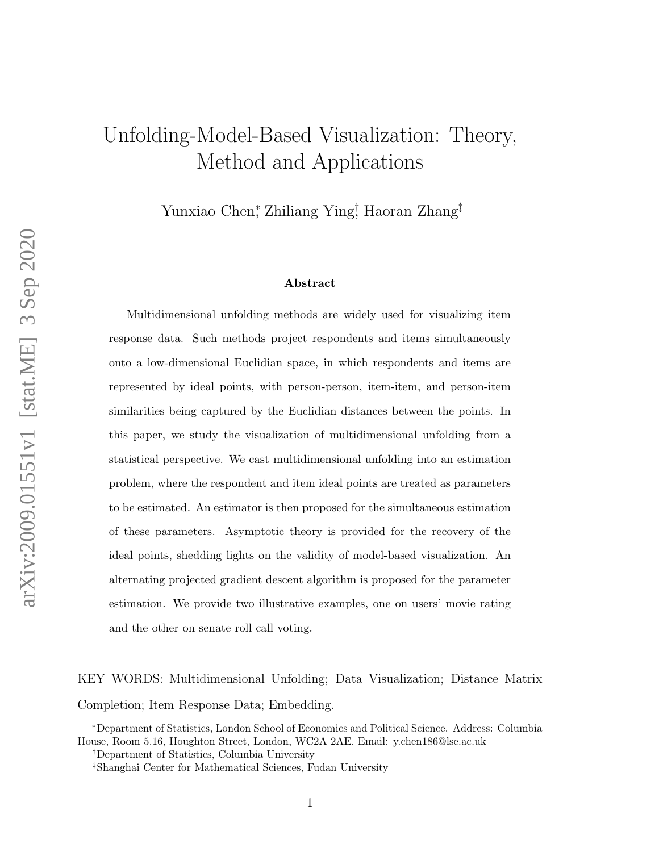# Unfolding-Model-Based Visualization: Theory, Method and Applications

Yunxiao Chen‡ Zhiliang Ying‡ Haoran Zhang‡

#### Abstract

Multidimensional unfolding methods are widely used for visualizing item response data. Such methods project respondents and items simultaneously onto a low-dimensional Euclidian space, in which respondents and items are represented by ideal points, with person-person, item-item, and person-item similarities being captured by the Euclidian distances between the points. In this paper, we study the visualization of multidimensional unfolding from a statistical perspective. We cast multidimensional unfolding into an estimation problem, where the respondent and item ideal points are treated as parameters to be estimated. An estimator is then proposed for the simultaneous estimation of these parameters. Asymptotic theory is provided for the recovery of the ideal points, shedding lights on the validity of model-based visualization. An alternating projected gradient descent algorithm is proposed for the parameter estimation. We provide two illustrative examples, one on users' movie rating and the other on senate roll call voting.

KEY WORDS: Multidimensional Unfolding; Data Visualization; Distance Matrix Completion; Item Response Data; Embedding.

<sup>∗</sup>Department of Statistics, London School of Economics and Political Science. Address: Columbia House, Room 5.16, Houghton Street, London, WC2A 2AE. Email: y.chen186@lse.ac.uk

<sup>†</sup>Department of Statistics, Columbia University

<sup>‡</sup>Shanghai Center for Mathematical Sciences, Fudan University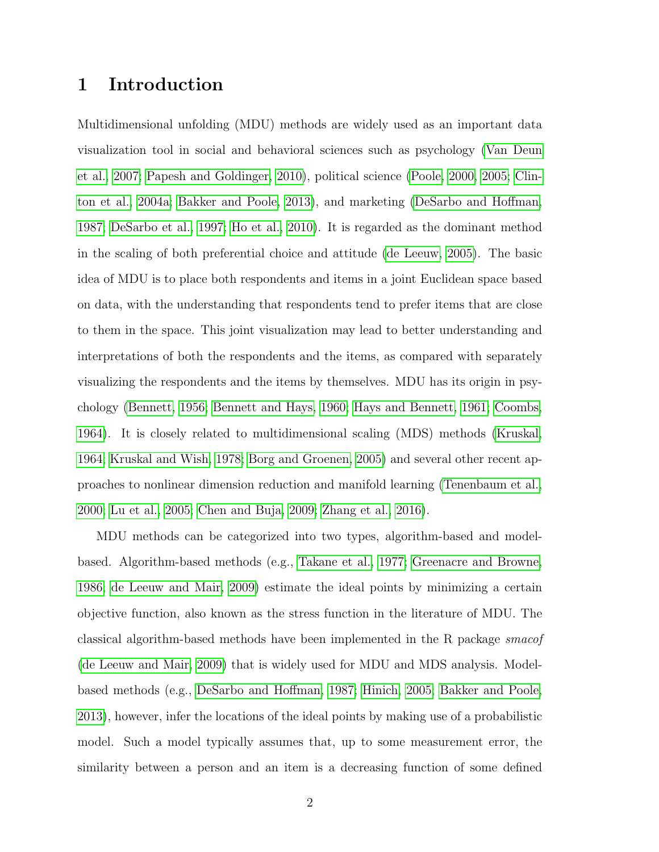## 1 Introduction

Multidimensional unfolding (MDU) methods are widely used as an important data visualization tool in social and behavioral sciences such as psychology [\(Van Deun](#page-72-0) [et al., 2007;](#page-72-0) [Papesh and Goldinger, 2010\)](#page-71-0), political science [\(Poole, 2000,](#page-71-1) [2005;](#page-71-2) [Clin](#page-68-0)[ton et al., 2004a;](#page-68-0) [Bakker and Poole, 2013\)](#page-67-0), and marketing [\(DeSarbo and Hoffman,](#page-69-0) [1987;](#page-69-0) [DeSarbo et al., 1997;](#page-69-1) [Ho et al., 2010\)](#page-70-0). It is regarded as the dominant method in the scaling of both preferential choice and attitude [\(de Leeuw, 2005\)](#page-69-2). The basic idea of MDU is to place both respondents and items in a joint Euclidean space based on data, with the understanding that respondents tend to prefer items that are close to them in the space. This joint visualization may lead to better understanding and interpretations of both the respondents and the items, as compared with separately visualizing the respondents and the items by themselves. MDU has its origin in psychology [\(Bennett, 1956;](#page-67-1) [Bennett and Hays, 1960;](#page-67-2) [Hays and Bennett, 1961;](#page-70-1) [Coombs,](#page-68-1) [1964\)](#page-68-1). It is closely related to multidimensional scaling (MDS) methods [\(Kruskal,](#page-70-2) [1964;](#page-70-2) [Kruskal and Wish, 1978;](#page-70-3) [Borg and Groenen, 2005\)](#page-67-3) and several other recent approaches to nonlinear dimension reduction and manifold learning [\(Tenenbaum et al.,](#page-72-1) [2000;](#page-72-1) [Lu et al., 2005;](#page-71-3) [Chen and Buja, 2009;](#page-68-2) [Zhang et al., 2016\)](#page-72-2).

MDU methods can be categorized into two types, algorithm-based and modelbased. Algorithm-based methods (e.g., [Takane et al., 1977;](#page-72-3) [Greenacre and Browne,](#page-69-3) [1986;](#page-69-3) [de Leeuw and Mair, 2009\)](#page-69-4) estimate the ideal points by minimizing a certain objective function, also known as the stress function in the literature of MDU. The classical algorithm-based methods have been implemented in the R package smacof [\(de Leeuw and Mair, 2009\)](#page-69-4) that is widely used for MDU and MDS analysis. Modelbased methods (e.g., [DeSarbo and Hoffman, 1987;](#page-69-0) [Hinich, 2005;](#page-70-4) [Bakker and Poole,](#page-67-0) [2013\)](#page-67-0), however, infer the locations of the ideal points by making use of a probabilistic model. Such a model typically assumes that, up to some measurement error, the similarity between a person and an item is a decreasing function of some defined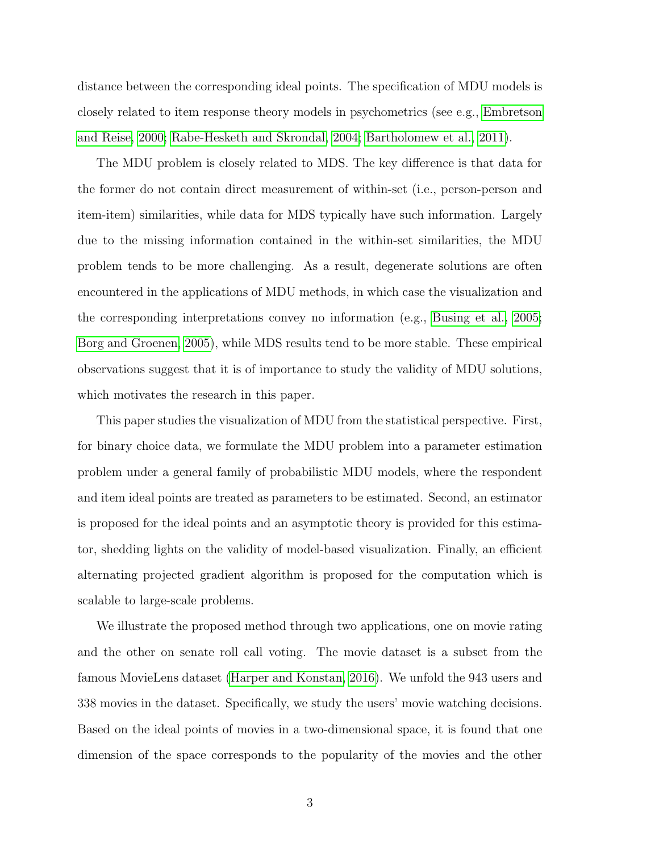distance between the corresponding ideal points. The specification of MDU models is closely related to item response theory models in psychometrics (see e.g., [Embretson](#page-69-5) [and Reise, 2000;](#page-69-5) [Rabe-Hesketh and Skrondal, 2004;](#page-71-4) [Bartholomew et al., 2011\)](#page-67-4).

The MDU problem is closely related to MDS. The key difference is that data for the former do not contain direct measurement of within-set (i.e., person-person and item-item) similarities, while data for MDS typically have such information. Largely due to the missing information contained in the within-set similarities, the MDU problem tends to be more challenging. As a result, degenerate solutions are often encountered in the applications of MDU methods, in which case the visualization and the corresponding interpretations convey no information (e.g., [Busing et al., 2005;](#page-67-5) [Borg and Groenen, 2005\)](#page-67-3), while MDS results tend to be more stable. These empirical observations suggest that it is of importance to study the validity of MDU solutions, which motivates the research in this paper.

This paper studies the visualization of MDU from the statistical perspective. First, for binary choice data, we formulate the MDU problem into a parameter estimation problem under a general family of probabilistic MDU models, where the respondent and item ideal points are treated as parameters to be estimated. Second, an estimator is proposed for the ideal points and an asymptotic theory is provided for this estimator, shedding lights on the validity of model-based visualization. Finally, an efficient alternating projected gradient algorithm is proposed for the computation which is scalable to large-scale problems.

We illustrate the proposed method through two applications, one on movie rating and the other on senate roll call voting. The movie dataset is a subset from the famous MovieLens dataset [\(Harper and Konstan, 2016\)](#page-70-5). We unfold the 943 users and 338 movies in the dataset. Specifically, we study the users' movie watching decisions. Based on the ideal points of movies in a two-dimensional space, it is found that one dimension of the space corresponds to the popularity of the movies and the other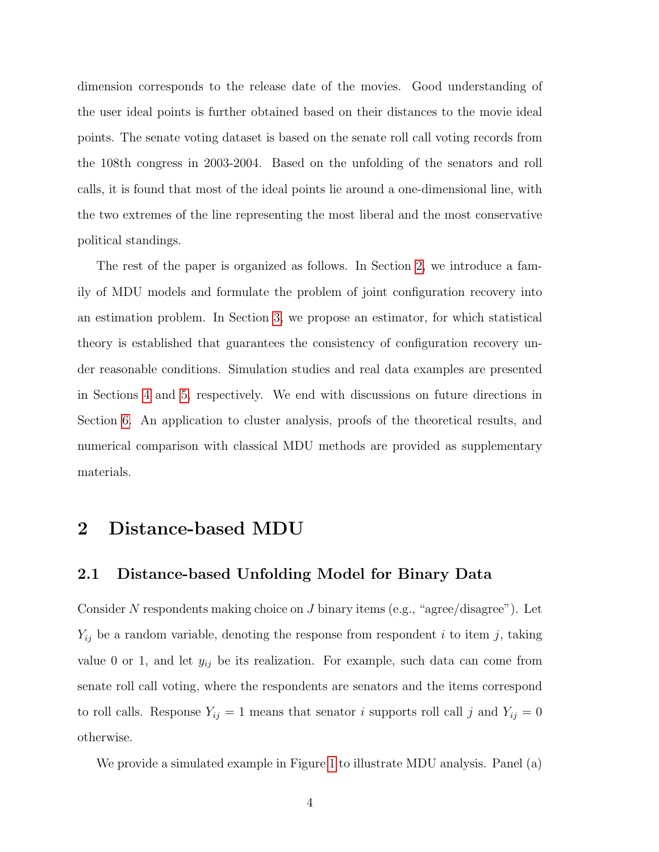dimension corresponds to the release date of the movies. Good understanding of the user ideal points is further obtained based on their distances to the movie ideal points. The senate voting dataset is based on the senate roll call voting records from the 108th congress in 2003-2004. Based on the unfolding of the senators and roll calls, it is found that most of the ideal points lie around a one-dimensional line, with the two extremes of the line representing the most liberal and the most conservative political standings.

The rest of the paper is organized as follows. In Section [2,](#page-3-0) we introduce a family of MDU models and formulate the problem of joint configuration recovery into an estimation problem. In Section [3,](#page-11-0) we propose an estimator, for which statistical theory is established that guarantees the consistency of configuration recovery under reasonable conditions. Simulation studies and real data examples are presented in Sections [4](#page-21-0) and [5,](#page-25-0) respectively. We end with discussions on future directions in Section [6.](#page-33-0) An application to cluster analysis, proofs of the theoretical results, and numerical comparison with classical MDU methods are provided as supplementary materials.

## <span id="page-3-0"></span>2 Distance-based MDU

#### 2.1 Distance-based Unfolding Model for Binary Data

Consider  $N$  respondents making choice on  $J$  binary items (e.g., "agree/disagree"). Let  $Y_{ij}$  be a random variable, denoting the response from respondent i to item j, taking value 0 or 1, and let  $y_{ij}$  be its realization. For example, such data can come from senate roll call voting, where the respondents are senators and the items correspond to roll calls. Response  $Y_{ij} = 1$  means that senator i supports roll call j and  $Y_{ij} = 0$ otherwise.

We provide a simulated example in Figure [1](#page-4-0) to illustrate MDU analysis. Panel (a)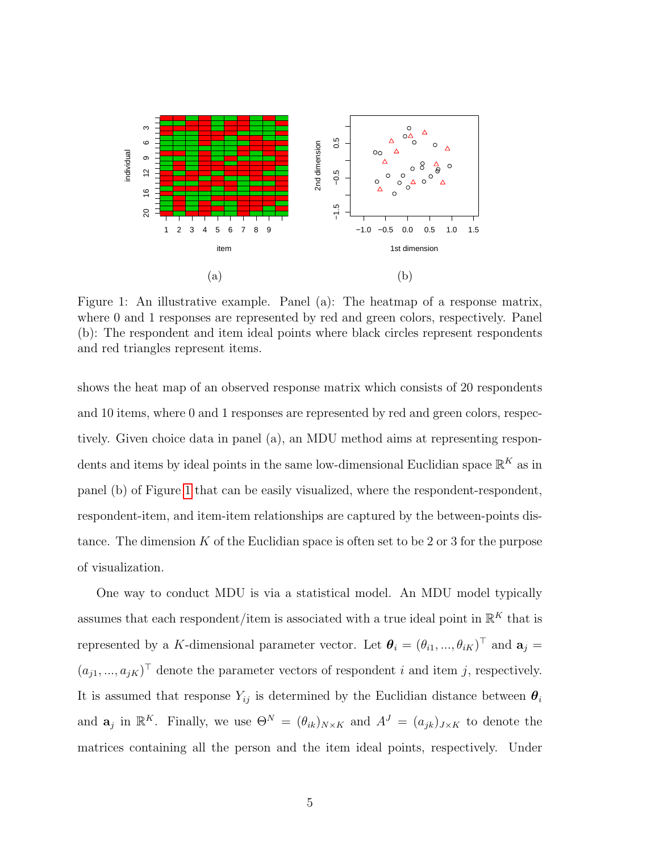<span id="page-4-0"></span>

Figure 1: An illustrative example. Panel (a): The heatmap of a response matrix, where 0 and 1 responses are represented by red and green colors, respectively. Panel (b): The respondent and item ideal points where black circles represent respondents and red triangles represent items.

shows the heat map of an observed response matrix which consists of 20 respondents and 10 items, where 0 and 1 responses are represented by red and green colors, respectively. Given choice data in panel (a), an MDU method aims at representing respondents and items by ideal points in the same low-dimensional Euclidian space  $\mathbb{R}^K$  as in panel (b) of Figure [1](#page-4-0) that can be easily visualized, where the respondent-respondent, respondent-item, and item-item relationships are captured by the between-points distance. The dimension  $K$  of the Euclidian space is often set to be 2 or 3 for the purpose of visualization.

One way to conduct MDU is via a statistical model. An MDU model typically assumes that each respondent/item is associated with a true ideal point in  $\mathbb{R}^K$  that is represented by a K-dimensional parameter vector. Let  $\theta_i = (\theta_{i1}, ..., \theta_{iK})^\top$  and  $\mathbf{a}_j =$  $(a_{j1},...,a_{jK})^{\top}$  denote the parameter vectors of respondent i and item j, respectively. It is assumed that response  $Y_{ij}$  is determined by the Euclidian distance between  $\theta_i$ and  $\mathbf{a}_j$  in  $\mathbb{R}^K$ . Finally, we use  $\Theta^N = (\theta_{ik})_{N \times K}$  and  $A^J = (a_{jk})_{J \times K}$  to denote the matrices containing all the person and the item ideal points, respectively. Under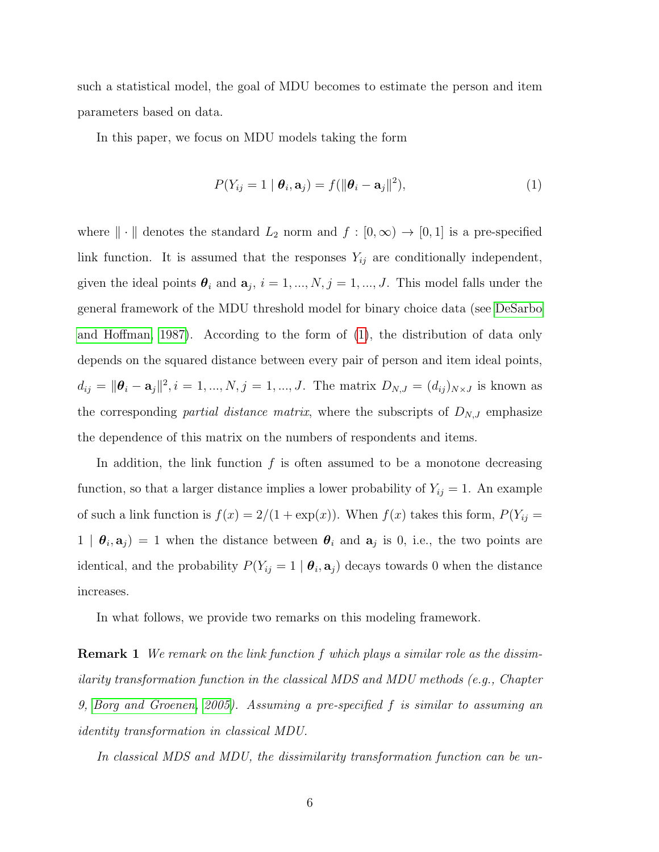such a statistical model, the goal of MDU becomes to estimate the person and item parameters based on data.

In this paper, we focus on MDU models taking the form

<span id="page-5-0"></span>
$$
P(Y_{ij} = 1 | \boldsymbol{\theta}_i, \mathbf{a}_j) = f(||\boldsymbol{\theta}_i - \mathbf{a}_j||^2),
$$
\n(1)

where  $\|\cdot\|$  denotes the standard  $L_2$  norm and  $f : [0, \infty) \to [0, 1]$  is a pre-specified link function. It is assumed that the responses  $Y_{ij}$  are conditionally independent, given the ideal points  $\theta_i$  and  $a_j$ ,  $i = 1, ..., N$ ,  $j = 1, ..., J$ . This model falls under the general framework of the MDU threshold model for binary choice data (see [DeSarbo](#page-69-0) [and Hoffman, 1987\)](#page-69-0). According to the form of [\(1\)](#page-5-0), the distribution of data only depends on the squared distance between every pair of person and item ideal points,  $d_{ij} = ||\boldsymbol{\theta}_i - \mathbf{a}_j||^2, i = 1, ..., N, j = 1, ..., J$ . The matrix  $D_{N,J} = (d_{ij})_{N \times J}$  is known as the corresponding *partial distance matrix*, where the subscripts of  $D_{N,J}$  emphasize the dependence of this matrix on the numbers of respondents and items.

In addition, the link function  $f$  is often assumed to be a monotone decreasing function, so that a larger distance implies a lower probability of  $Y_{ij} = 1$ . An example of such a link function is  $f(x) = 2/(1 + \exp(x))$ . When  $f(x)$  takes this form,  $P(Y_{ij} =$  $1 | \theta_i, \mathbf{a}_j = 1$  when the distance between  $\theta_i$  and  $\mathbf{a}_j$  is 0, i.e., the two points are identical, and the probability  $P(Y_{ij} = 1 | \theta_i, \mathbf{a}_j)$  decays towards 0 when the distance increases.

In what follows, we provide two remarks on this modeling framework.

**Remark 1** We remark on the link function f which plays a similar role as the dissimilarity transformation function in the classical MDS and MDU methods (e.g., Chapter 9, [Borg and Groenen, 2005\)](#page-67-3). Assuming a pre-specified f is similar to assuming an identity transformation in classical MDU.

In classical MDS and MDU, the dissimilarity transformation function can be un-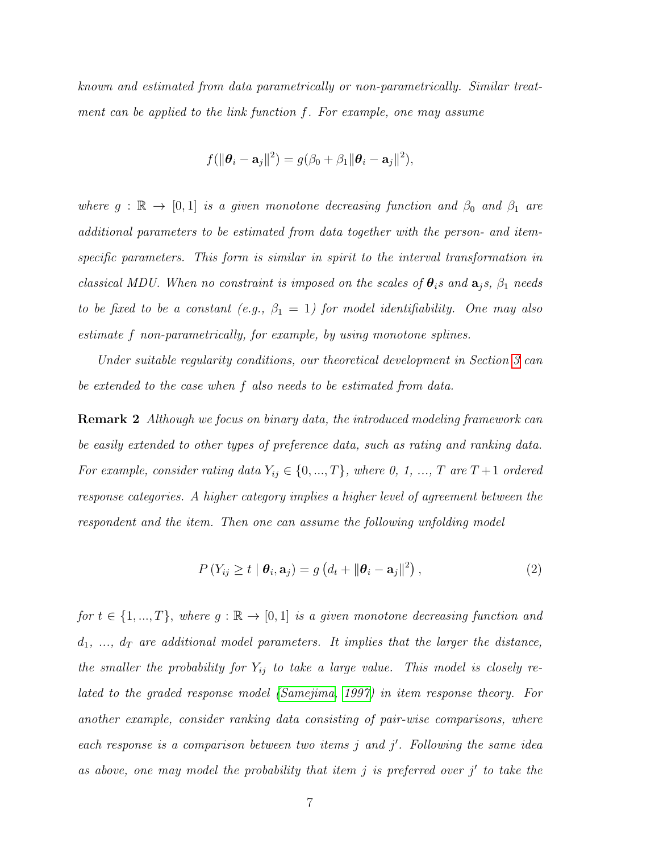known and estimated from data parametrically or non-parametrically. Similar treatment can be applied to the link function f. For example, one may assume

$$
f(||\boldsymbol{\theta}_i - \mathbf{a}_j||^2) = g(\beta_0 + \beta_1 || \boldsymbol{\theta}_i - \mathbf{a}_j||^2),
$$

where  $g : \mathbb{R} \to [0,1]$  is a given monotone decreasing function and  $\beta_0$  and  $\beta_1$  are additional parameters to be estimated from data together with the person- and itemspecific parameters. This form is similar in spirit to the interval transformation in classical MDU. When no constraint is imposed on the scales of  $\theta_i$ s and  $a_i$ s,  $\beta_1$  needs to be fixed to be a constant (e.g.,  $\beta_1 = 1$ ) for model identifiability. One may also estimate f non-parametrically, for example, by using monotone splines.

Under suitable regularity conditions, our theoretical development in Section [3](#page-11-0) can be extended to the case when f also needs to be estimated from data.

Remark 2 Although we focus on binary data, the introduced modeling framework can be easily extended to other types of preference data, such as rating and ranking data. For example, consider rating data  $Y_{ij} \in \{0, ..., T\}$ , where 0, 1, ..., T are T + 1 ordered response categories. A higher category implies a higher level of agreement between the respondent and the item. Then one can assume the following unfolding model

$$
P(Y_{ij} \ge t \mid \boldsymbol{\theta}_i, \mathbf{a}_j) = g\left(d_t + \|\boldsymbol{\theta}_i - \mathbf{a}_j\|^2\right),\tag{2}
$$

for  $t \in \{1, ..., T\}$ , where  $g : \mathbb{R} \to [0, 1]$  is a given monotone decreasing function and  $d_1, \ldots, d_T$  are additional model parameters. It implies that the larger the distance, the smaller the probability for  $Y_{ij}$  to take a large value. This model is closely related to the graded response model [\(Samejima, 1997\)](#page-72-4) in item response theory. For another example, consider ranking data consisting of pair-wise comparisons, where each response is a comparison between two items  $j$  and  $j'$ . Following the same idea as above, one may model the probability that item  $j$  is preferred over  $j'$  to take the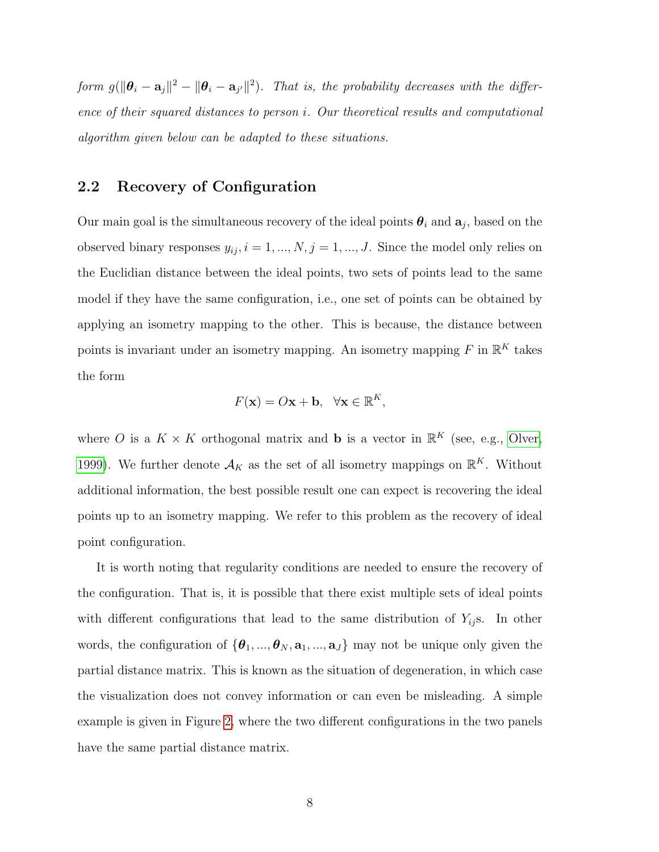form  $g(\|\theta_i - \mathbf{a}_j\|^2 - \|\theta_i - \mathbf{a}_{j'}\|^2)$ . That is, the probability decreases with the difference of their squared distances to person i. Our theoretical results and computational algorithm given below can be adapted to these situations.

### <span id="page-7-0"></span>2.2 Recovery of Configuration

Our main goal is the simultaneous recovery of the ideal points  $\theta_i$  and  $a_j$ , based on the observed binary responses  $y_{ij}$ ,  $i = 1, ..., N$ ,  $j = 1, ..., J$ . Since the model only relies on the Euclidian distance between the ideal points, two sets of points lead to the same model if they have the same configuration, i.e., one set of points can be obtained by applying an isometry mapping to the other. This is because, the distance between points is invariant under an isometry mapping. An isometry mapping F in  $\mathbb{R}^K$  takes the form

$$
F(\mathbf{x}) = O\mathbf{x} + \mathbf{b}, \quad \forall \mathbf{x} \in \mathbb{R}^K,
$$

where O is a  $K \times K$  orthogonal matrix and **b** is a vector in  $\mathbb{R}^K$  (see, e.g., [Olver,](#page-71-5) [1999\)](#page-71-5). We further denote  $\mathcal{A}_K$  as the set of all isometry mappings on  $\mathbb{R}^K$ . Without additional information, the best possible result one can expect is recovering the ideal points up to an isometry mapping. We refer to this problem as the recovery of ideal point configuration.

It is worth noting that regularity conditions are needed to ensure the recovery of the configuration. That is, it is possible that there exist multiple sets of ideal points with different configurations that lead to the same distribution of  $Y_{ij}$ s. In other words, the configuration of  ${\theta_1, ..., \theta_N, \mathbf{a}_1, ..., \mathbf{a}_J}$  may not be unique only given the partial distance matrix. This is known as the situation of degeneration, in which case the visualization does not convey information or can even be misleading. A simple example is given in Figure [2,](#page-8-0) where the two different configurations in the two panels have the same partial distance matrix.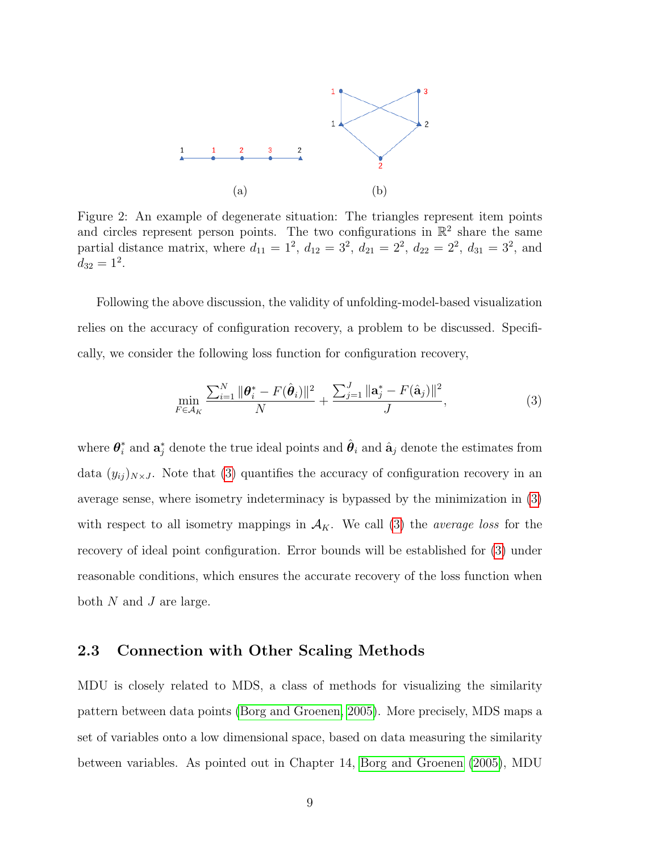<span id="page-8-0"></span>

Figure 2: An example of degenerate situation: The triangles represent item points and circles represent person points. The two configurations in  $\mathbb{R}^2$  share the same partial distance matrix, where  $d_{11} = 1^2$ ,  $d_{12} = 3^2$ ,  $d_{21} = 2^2$ ,  $d_{22} = 2^2$ ,  $d_{31} = 3^2$ , and  $d_{32}=1^2.$ 

Following the above discussion, the validity of unfolding-model-based visualization relies on the accuracy of configuration recovery, a problem to be discussed. Specifically, we consider the following loss function for configuration recovery,

<span id="page-8-1"></span>
$$
\min_{F \in \mathcal{A}_K} \frac{\sum_{i=1}^N \|\boldsymbol{\theta}_i^* - F(\hat{\boldsymbol{\theta}}_i)\|^2}{N} + \frac{\sum_{j=1}^J \|\mathbf{a}_j^* - F(\hat{\mathbf{a}}_j)\|^2}{J},\tag{3}
$$

where  $\boldsymbol{\theta}_i^*$  $\hat{i}_i$  and  $\mathbf{a}_j^*$  denote the true ideal points and  $\hat{\boldsymbol{\theta}}_i$  and  $\hat{\mathbf{a}}_j$  denote the estimates from data  $(y_{ij})_{N\times J}$ . Note that [\(3\)](#page-8-1) quantifies the accuracy of configuration recovery in an average sense, where isometry indeterminacy is bypassed by the minimization in [\(3\)](#page-8-1) with respect to all isometry mappings in  $A_K$ . We call [\(3\)](#page-8-1) the *average loss* for the recovery of ideal point configuration. Error bounds will be established for [\(3\)](#page-8-1) under reasonable conditions, which ensures the accurate recovery of the loss function when both  $N$  and  $J$  are large.

#### 2.3 Connection with Other Scaling Methods

MDU is closely related to MDS, a class of methods for visualizing the similarity pattern between data points [\(Borg and Groenen, 2005\)](#page-67-3). More precisely, MDS maps a set of variables onto a low dimensional space, based on data measuring the similarity between variables. As pointed out in Chapter 14, [Borg and Groenen \(2005\)](#page-67-3), MDU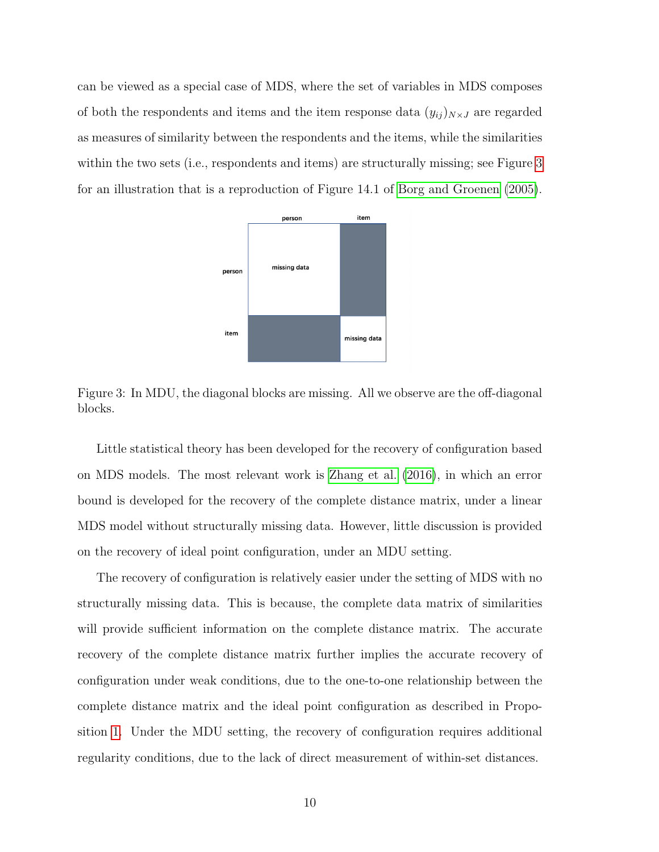<span id="page-9-0"></span>can be viewed as a special case of MDS, where the set of variables in MDS composes of both the respondents and items and the item response data  $(y_{ij})_{N\times J}$  are regarded as measures of similarity between the respondents and the items, while the similarities within the two sets (i.e., respondents and items) are structurally missing; see Figure [3](#page-9-0) for an illustration that is a reproduction of Figure 14.1 of [Borg and Groenen \(2005\)](#page-67-3).



Figure 3: In MDU, the diagonal blocks are missing. All we observe are the off-diagonal blocks.

Little statistical theory has been developed for the recovery of configuration based on MDS models. The most relevant work is [Zhang et al. \(2016\)](#page-72-2), in which an error bound is developed for the recovery of the complete distance matrix, under a linear MDS model without structurally missing data. However, little discussion is provided on the recovery of ideal point configuration, under an MDU setting.

<span id="page-9-1"></span>The recovery of configuration is relatively easier under the setting of MDS with no structurally missing data. This is because, the complete data matrix of similarities will provide sufficient information on the complete distance matrix. The accurate recovery of the complete distance matrix further implies the accurate recovery of configuration under weak conditions, due to the one-to-one relationship between the complete distance matrix and the ideal point configuration as described in Proposition [1.](#page-9-1) Under the MDU setting, the recovery of configuration requires additional regularity conditions, due to the lack of direct measurement of within-set distances.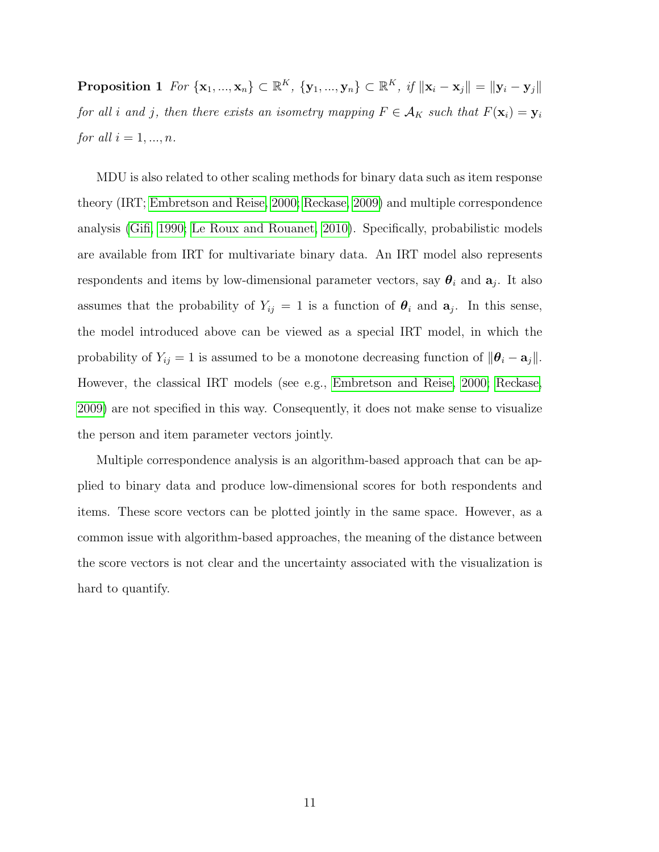Proposition 1  $For \{ \mathbf{x}_1, ..., \mathbf{x}_n \} \subset \mathbb{R}^K$ ,  $\{ \mathbf{y}_1, ..., \mathbf{y}_n \} \subset \mathbb{R}^K$ ,  $if ||\mathbf{x}_i - \mathbf{x}_j|| = ||\mathbf{y}_i - \mathbf{y}_j||$ for all i and j, then there exists an isometry mapping  $F \in \mathcal{A}_K$  such that  $F(\mathbf{x}_i) = \mathbf{y}_i$ *for all*  $i = 1, ..., n$ .

MDU is also related to other scaling methods for binary data such as item response theory (IRT; [Embretson and Reise, 2000;](#page-69-5) [Reckase, 2009\)](#page-72-5) and multiple correspondence analysis [\(Gifi, 1990;](#page-69-6) [Le Roux and Rouanet, 2010\)](#page-70-6). Specifically, probabilistic models are available from IRT for multivariate binary data. An IRT model also represents respondents and items by low-dimensional parameter vectors, say  $\theta_i$  and  $a_j$ . It also assumes that the probability of  $Y_{ij} = 1$  is a function of  $\theta_i$  and  $a_j$ . In this sense, the model introduced above can be viewed as a special IRT model, in which the probability of  $Y_{ij} = 1$  is assumed to be a monotone decreasing function of  $\|\boldsymbol{\theta}_i - \mathbf{a}_j\|$ . However, the classical IRT models (see e.g., [Embretson and Reise, 2000;](#page-69-5) [Reckase,](#page-72-5) [2009\)](#page-72-5) are not specified in this way. Consequently, it does not make sense to visualize the person and item parameter vectors jointly.

Multiple correspondence analysis is an algorithm-based approach that can be applied to binary data and produce low-dimensional scores for both respondents and items. These score vectors can be plotted jointly in the same space. However, as a common issue with algorithm-based approaches, the meaning of the distance between the score vectors is not clear and the uncertainty associated with the visualization is hard to quantify.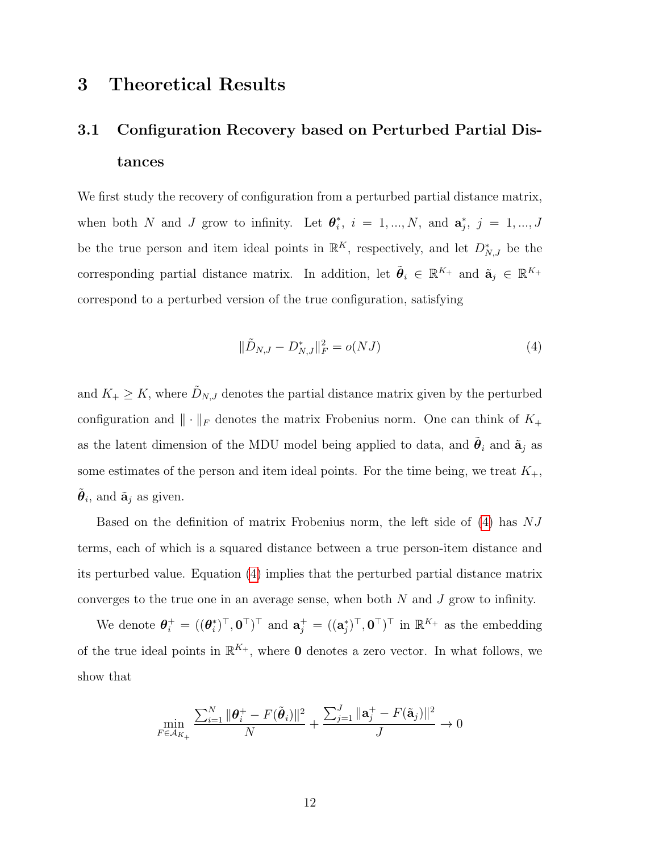## <span id="page-11-0"></span>3 Theoretical Results

## 3.1 Configuration Recovery based on Perturbed Partial Distances

We first study the recovery of configuration from a perturbed partial distance matrix, when both N and J grow to infinity. Let  $\boldsymbol{\theta}_i^*$  $i, i = 1, ..., N, \text{ and } \mathbf{a}_{j}^{*}, j = 1, ..., J$ be the true person and item ideal points in  $\mathbb{R}^K$ , respectively, and let  $D_{N,J}^*$  be the corresponding partial distance matrix. In addition, let  $\tilde{\theta}_i \in \mathbb{R}^{K_+}$  and  $\tilde{\mathbf{a}}_j \in \mathbb{R}^{K_+}$ correspond to a perturbed version of the true configuration, satisfying

<span id="page-11-1"></span>
$$
\|\tilde{D}_{N,J} - D_{N,J}^*\|_F^2 = o(NJ)
$$
\n(4)

and  $K_+ \geq K$ , where  $\tilde{D}_{N,J}$  denotes the partial distance matrix given by the perturbed configuration and  $\|\cdot\|_F$  denotes the matrix Frobenius norm. One can think of  $K_+$ as the latent dimension of the MDU model being applied to data, and  $\tilde{\theta}_i$  and  $\tilde{\mathbf{a}}_j$  as some estimates of the person and item ideal points. For the time being, we treat  $K_{+}$ ,  $\tilde{\boldsymbol{\theta}}_i$ , and  $\tilde{\mathbf{a}}_j$  as given.

Based on the definition of matrix Frobenius norm, the left side of  $(4)$  has  $NJ$ terms, each of which is a squared distance between a true person-item distance and its perturbed value. Equation [\(4\)](#page-11-1) implies that the perturbed partial distance matrix converges to the true one in an average sense, when both N and J grow to infinity.

We denote  $\boldsymbol{\theta}_i^+ = ((\boldsymbol{\theta}_i^*)$  $(\mathbf{a}_i^*)^\top, \mathbf{0}^\top)^\top$  and  $\mathbf{a}_j^+ = ((\mathbf{a}_j^*)^\top, \mathbf{0}^\top)^\top$  in  $\mathbb{R}^{K_+}$  as the embedding of the true ideal points in  $\mathbb{R}^{K_+}$ , where **0** denotes a zero vector. In what follows, we show that

$$
\min_{F \in \mathcal{A}_{K_+}} \frac{\sum_{i=1}^N \|\theta_i^+ - F(\tilde{\theta}_i)\|^2}{N} + \frac{\sum_{j=1}^J \|\mathbf{a}_j^+ - F(\tilde{\mathbf{a}}_j)\|^2}{J} \to 0
$$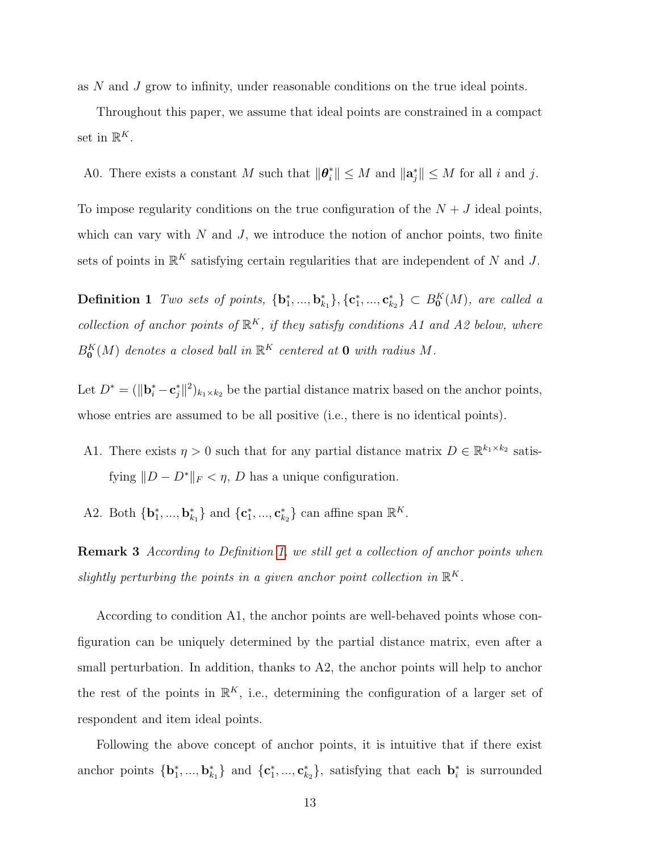as N and J grow to infinity, under reasonable conditions on the true ideal points.

Throughout this paper, we assume that ideal points are constrained in a compact set in  $\mathbb{R}^K$ .

A0. There exists a constant M such that  $\|\boldsymbol{\theta}_{i}^{*}\| \leq M$  and  $\|\mathbf{a}_{j}^{*}\| \leq M$  for all i and j.

To impose regularity conditions on the true configuration of the  $N + J$  ideal points, which can vary with  $N$  and  $J$ , we introduce the notion of anchor points, two finite sets of points in  $\mathbb{R}^K$  satisfying certain regularities that are independent of N and J.

<span id="page-12-0"></span>**Definition 1** Two sets of points,  ${\bf \{b}}_1^*,...,{\bf b}_{k_1}^*{\}$ ,  ${\bf \{c}}_1^*,...,{\bf c}_{k_2}^* {\} \subset B_0^K(M)$ , are called a collection of anchor points of  $\mathbb{R}^K$ , if they satisfy conditions A1 and A2 below, where  $B^K_{\mathbf{0}}(M)$  denotes a closed ball in  $\mathbb{R}^K$  centered at  $\mathbf 0$  with radius M.

Let  $D^* = (\|\mathbf{b}_i^* - \mathbf{c}_j^*\|^2)_{k_1 \times k_2}$  be the partial distance matrix based on the anchor points, whose entries are assumed to be all positive (i.e., there is no identical points).

- A1. There exists  $\eta > 0$  such that for any partial distance matrix  $D \in \mathbb{R}^{k_1 \times k_2}$  satisfying  $||D - D^*||_F < \eta$ , D has a unique configuration.
- A2. Both  ${\bf b}_1^*,..., {\bf b}_{k_1}^*$  and  ${\bf c}_1^*,..., {\bf c}_{k_2}^*$  can affine span  $\mathbb{R}^K$ .

**Remark 3** According to Definition [1,](#page-12-0) we still get a collection of anchor points when slightly perturbing the points in a given anchor point collection in  $\mathbb{R}^K$ .

According to condition A1, the anchor points are well-behaved points whose configuration can be uniquely determined by the partial distance matrix, even after a small perturbation. In addition, thanks to A2, the anchor points will help to anchor the rest of the points in  $\mathbb{R}^K$ , i.e., determining the configuration of a larger set of respondent and item ideal points.

Following the above concept of anchor points, it is intuitive that if there exist anchor points  $\{b_1^*,...,b_{k_1}^*\}$  and  $\{c_1^*,...,c_{k_2}^*\}$ , satisfying that each  $b_i^*$  is surrounded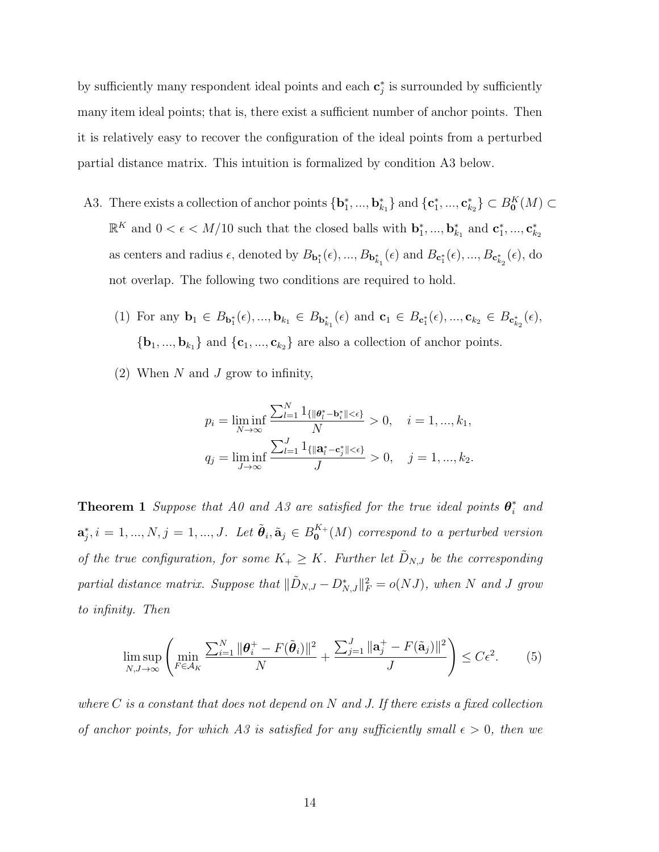by sufficiently many respondent ideal points and each  $\mathbf{c}_j^*$  is surrounded by sufficiently many item ideal points; that is, there exist a sufficient number of anchor points. Then it is relatively easy to recover the configuration of the ideal points from a perturbed partial distance matrix. This intuition is formalized by condition A3 below.

- A3. There exists a collection of anchor points  $\{b_1^*,...,b_{k_1}^*\}$  and  $\{c_1^*,...,c_{k_2}^*\}\subset B_0^K(M)\subset$  $\mathbb{R}^K$  and  $0 < \epsilon < M/10$  such that the closed balls with  $\mathbf{b}_1^*,...,\mathbf{b}_{k_1}^*$  and  $\mathbf{c}_1^*,...,\mathbf{c}_{k_2}^*$ as centers and radius  $\epsilon$ , denoted by  $B_{\mathbf{b}_1^*}(\epsilon), ..., B_{\mathbf{b}_{k_1}^*}(\epsilon)$  and  $B_{\mathbf{c}_1^*}(\epsilon), ..., B_{\mathbf{c}_{k_2}^*}(\epsilon)$ , do not overlap. The following two conditions are required to hold.
	- (1) For any  $\mathbf{b}_1 \in B_{\mathbf{b}_1^*}(\epsilon), ..., \mathbf{b}_{k_1} \in B_{\mathbf{b}_{k_1}^*}(\epsilon)$  and  $\mathbf{c}_1 \in B_{\mathbf{c}_1^*}(\epsilon), ..., \mathbf{c}_{k_2} \in B_{\mathbf{c}_{k_2}^*}(\epsilon)$ ,  $\{{\bf b}_1,...,{\bf b}_{k_1}\}$  and  $\{{\bf c}_1,...,{\bf c}_{k_2}\}$  are also a collection of anchor points.
	- (2) When  $N$  and  $J$  grow to infinity,

$$
p_{i} = \liminf_{N \to \infty} \frac{\sum_{l=1}^{N} 1_{\{ \|\boldsymbol{\theta}_{l}^{*} - \mathbf{b}_{i}^{*} \| < \epsilon \}}}{N} > 0, \quad i = 1, ..., k_{1},
$$
  

$$
q_{j} = \liminf_{J \to \infty} \frac{\sum_{l=1}^{J} 1_{\{ \|\mathbf{a}_{l}^{*} - \mathbf{c}_{j}^{*} \| < \epsilon \}}}{J} > 0, \quad j = 1, ..., k_{2}.
$$

<span id="page-13-0"></span>**Theorem 1** Suppose that A0 and A3 are satisfied for the true ideal points  $\theta_i^*$  and  $\mathbf{a}_j^*, i = 1, ..., N, j = 1, ..., J$ . Let  $\tilde{\boldsymbol{\theta}}_i, \tilde{\mathbf{a}}_j \in B_{\mathbf{0}}^{K_+}$  $\mathfrak{o}^{\mathbf{A}_{+}}(M)$  correspond to a perturbed version of the true configuration, for some  $K_+ \geq K$ . Further let  $\tilde{D}_{N,J}$  be the corresponding partial distance matrix. Suppose that  $\|\tilde{D}_{N,J} - D_{N,J}^*\|_F^2 = o(NJ)$ , when N and J grow to infinity. Then

$$
\limsup_{N,J\to\infty} \left( \min_{F \in \mathcal{A}_K} \frac{\sum_{i=1}^N \|\boldsymbol{\theta}_i^+ - F(\tilde{\boldsymbol{\theta}}_i)\|^2}{N} + \frac{\sum_{j=1}^J \|\mathbf{a}_j^+ - F(\tilde{\mathbf{a}}_j)\|^2}{J} \right) \le C\epsilon^2.
$$
 (5)

where  $C$  is a constant that does not depend on  $N$  and  $J$ . If there exists a fixed collection of anchor points, for which A3 is satisfied for any sufficiently small  $\epsilon > 0$ , then we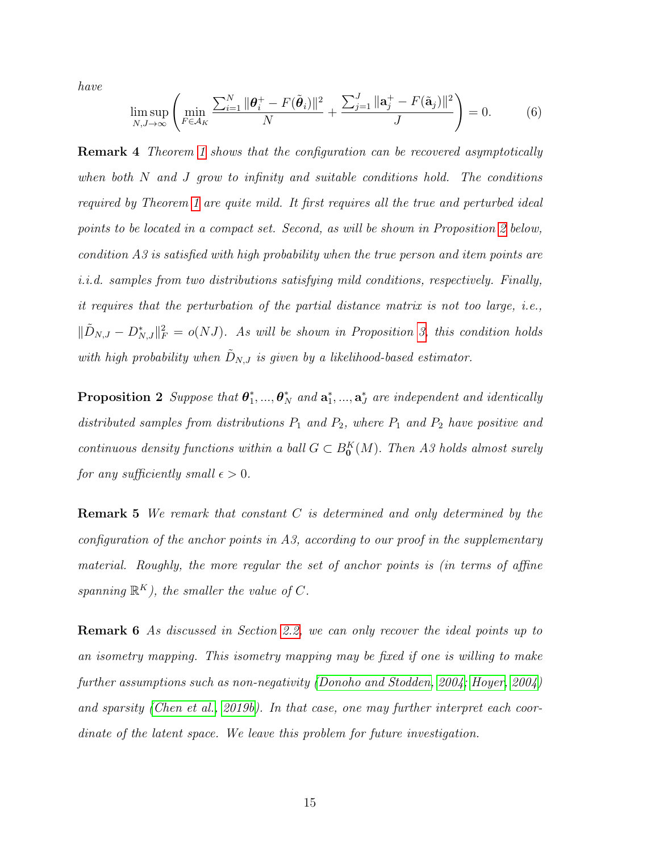have

$$
\limsup_{N,J\to\infty} \left( \min_{F \in \mathcal{A}_K} \frac{\sum_{i=1}^N \|\boldsymbol{\theta}_i^+ - F(\tilde{\boldsymbol{\theta}}_i)\|^2}{N} + \frac{\sum_{j=1}^J \|\mathbf{a}_j^+ - F(\tilde{\mathbf{a}}_j)\|^2}{J} \right) = 0. \tag{6}
$$

Remark 4 Theorem [1](#page-13-0) shows that the configuration can be recovered asymptotically when both  $N$  and  $J$  grow to infinity and suitable conditions hold. The conditions required by Theorem [1](#page-13-0) are quite mild. It first requires all the true and perturbed ideal points to be located in a compact set. Second, as will be shown in Proposition [2](#page-14-0) below, condition A3 is satisfied with high probability when the true person and item points are i.i.d. samples from two distributions satisfying mild conditions, respectively. Finally, it requires that the perturbation of the partial distance matrix is not too large, i.e.,  $\|\tilde{D}_{N,J} - D_{N,J}^*\|_F^2 = o(NJ)$ . As will be shown in Proposition [3,](#page-15-0) this condition holds with high probability when  $\tilde{D}_{N,J}$  is given by a likelihood-based estimator.

<span id="page-14-0"></span>Proposition 2 Suppose that  $\theta_1^*$  $\mathbf{a}_1^*,...,\boldsymbol{\theta}_N^*$  and  $\mathbf{a}_1^*,...,\mathbf{a}_J^*$  are independent and identically distributed samples from distributions  $P_1$  and  $P_2$ , where  $P_1$  and  $P_2$  have positive and continuous density functions within a ball  $G \subset B_0^K(M)$ . Then A3 holds almost surely for any sufficiently small  $\epsilon > 0$ .

**Remark 5** We remark that constant  $C$  is determined and only determined by the configuration of the anchor points in A3, according to our proof in the supplementary material. Roughly, the more regular the set of anchor points is (in terms of affine spanning  $\mathbb{R}^K$ ), the smaller the value of C.

Remark 6 As discussed in Section [2.2,](#page-7-0) we can only recover the ideal points up to an isometry mapping. This isometry mapping may be fixed if one is willing to make further assumptions such as non-negativity [\(Donoho and Stodden, 2004;](#page-69-7) [Hoyer, 2004\)](#page-70-7) and sparsity [\(Chen et al., 2019b\)](#page-68-3). In that case, one may further interpret each coordinate of the latent space. We leave this problem for future investigation.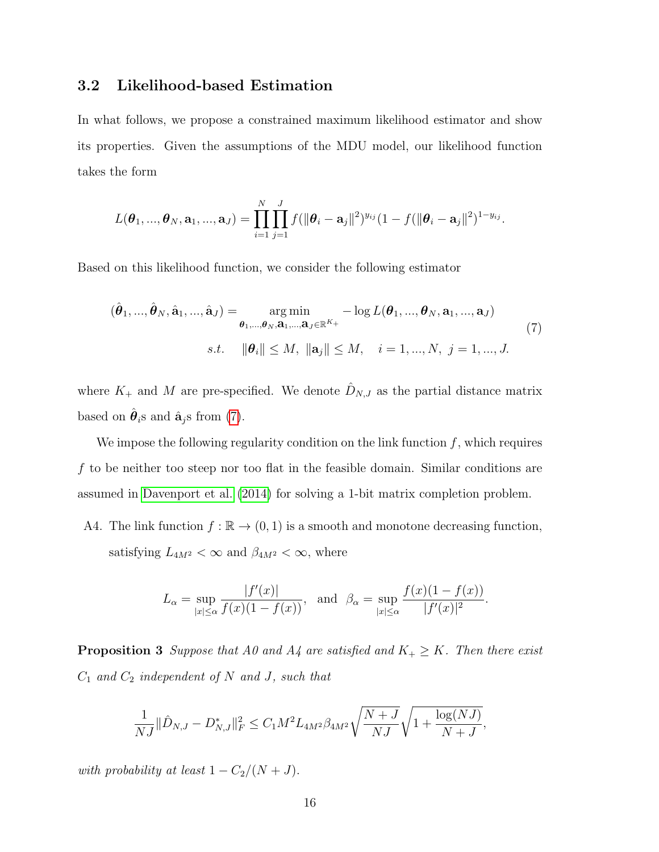#### 3.2 Likelihood-based Estimation

In what follows, we propose a constrained maximum likelihood estimator and show its properties. Given the assumptions of the MDU model, our likelihood function takes the form

$$
L(\boldsymbol{\theta}_1, ..., \boldsymbol{\theta}_N, \mathbf{a}_1, ..., \mathbf{a}_J) = \prod_{i=1}^N \prod_{j=1}^J f(||\boldsymbol{\theta}_i - \mathbf{a}_j||^2)^{y_{ij}} (1 - f(||\boldsymbol{\theta}_i - \mathbf{a}_j||^2)^{1-y_{ij}}.
$$

Based on this likelihood function, we consider the following estimator

<span id="page-15-1"></span>
$$
(\hat{\boldsymbol{\theta}}_1, ..., \hat{\boldsymbol{\theta}}_N, \hat{\mathbf{a}}_1, ..., \hat{\mathbf{a}}_J) = \underset{\boldsymbol{\theta}_1, ..., \boldsymbol{\theta}_N, \mathbf{a}_1, ..., \mathbf{a}_J \in \mathbb{R}^{K_+}}{\arg \min} -\log L(\boldsymbol{\theta}_1, ..., \boldsymbol{\theta}_N, \mathbf{a}_1, ..., \mathbf{a}_J)
$$
\n
$$
s.t. \quad \|\boldsymbol{\theta}_i\| \le M, \quad \|\mathbf{a}_j\| \le M, \quad i = 1, ..., N, \ j = 1, ..., J.
$$
\n
$$
(7)
$$

where  $K_{+}$  and M are pre-specified. We denote  $\hat{D}_{N,J}$  as the partial distance matrix based on  $\hat{\boldsymbol{\theta}}_i$ s and  $\hat{\mathbf{a}}_j$ s from [\(7\)](#page-15-1).

We impose the following regularity condition on the link function  $f$ , which requires f to be neither too steep nor too flat in the feasible domain. Similar conditions are assumed in [Davenport et al. \(2014\)](#page-68-4) for solving a 1-bit matrix completion problem.

A4. The link function  $f : \mathbb{R} \to (0,1)$  is a smooth and monotone decreasing function, satisfying  $L_{4M^2} < \infty$  and  $\beta_{4M^2} < \infty$ , where

$$
L_{\alpha} = \sup_{|x| \le \alpha} \frac{|f'(x)|}{f(x)(1 - f(x))}, \text{ and } \beta_{\alpha} = \sup_{|x| \le \alpha} \frac{f(x)(1 - f(x))}{|f'(x)|^2}.
$$

<span id="page-15-0"></span>**Proposition 3** Suppose that A0 and A4 are satisfied and  $K_+ \geq K$ . Then there exist  $C_1$  and  $C_2$  independent of N and J, such that

$$
\frac{1}{NJ} \|\hat{D}_{N,J} - D_{N,J}^*\|_F^2 \le C_1 M^2 L_{4M^2} \beta_{4M^2} \sqrt{\frac{N+J}{NJ}} \sqrt{1 + \frac{\log(NJ)}{N+J}},
$$

with probability at least  $1 - C_2/(N + J)$ .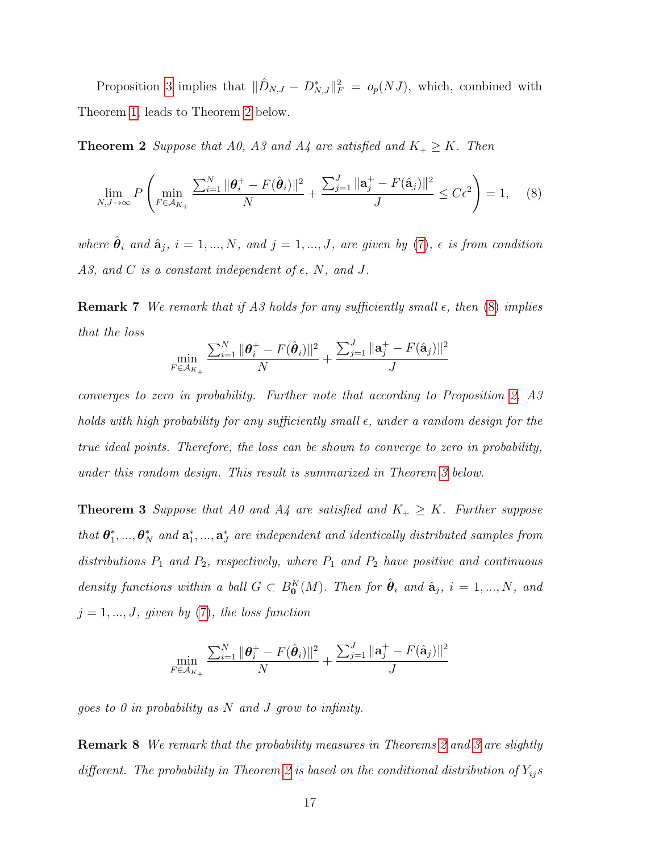Proposition [3](#page-15-0) implies that  $\|\hat{D}_{N,J} - D_{N,J}^*\|_F^2 = o_p(NJ)$ , which, combined with Theorem [1,](#page-13-0) leads to Theorem [2](#page-16-0) below.

**Theorem 2** Suppose that A0, A3 and A4 are satisfied and  $K_+ \geq K$ . Then

<span id="page-16-1"></span><span id="page-16-0"></span>
$$
\lim_{N,J \to \infty} P\left(\min_{F \in \mathcal{A}_{K_+}} \frac{\sum_{i=1}^N \|\theta_i^+ - F(\hat{\theta}_i)\|^2}{N} + \frac{\sum_{j=1}^J \|\mathbf{a}_j^+ - F(\hat{\mathbf{a}}_j)\|^2}{J} \le C\epsilon^2\right) = 1, \quad (8)
$$

where  $\hat{\theta}_i$  and  $\hat{\mathbf{a}}_j$ ,  $i = 1, ..., N$ , and  $j = 1, ..., J$ , are given by [\(7\)](#page-15-1),  $\epsilon$  is from condition A3, and C is a constant independent of  $\epsilon$ , N, and J.

**Remark 7** We remark that if A3 holds for any sufficiently small  $\epsilon$ , then [\(8\)](#page-16-1) implies that the loss

$$
\min_{F \in \mathcal{A}_{K_+}} \frac{\sum_{i=1}^N \|\boldsymbol{\theta}_i^+ - F(\hat{\boldsymbol{\theta}}_i)\|^2}{N} + \frac{\sum_{j=1}^J \|\mathbf{a}_j^+ - F(\hat{\mathbf{a}}_j)\|^2}{J}
$$

converges to zero in probability. Further note that according to Proposition [2,](#page-14-0) A3 holds with high probability for any sufficiently small  $\epsilon$ , under a random design for the true ideal points. Therefore, the loss can be shown to converge to zero in probability, under this random design. This result is summarized in Theorem [3](#page-16-2) below.

<span id="page-16-2"></span>**Theorem 3** Suppose that A0 and A4 are satisfied and  $K_+ \geq K$ . Further suppose that  $\boldsymbol{\theta}^*_1$  $\mathbf{a}_1^*,...,\boldsymbol{\theta}_N^*$  and  $\mathbf{a}_1^*,...,\mathbf{a}_J^*$  are independent and identically distributed samples from distributions  $P_1$  and  $P_2$ , respectively, where  $P_1$  and  $P_2$  have positive and continuous density functions within a ball  $G \subset B_0^K(M)$ . Then for  $\hat{\theta}_i$  and  $\hat{\mathbf{a}}_j$ ,  $i = 1, ..., N$ , and  $j = 1, ..., J$ , given by  $(7)$ , the loss function

$$
\min_{F \in \mathcal{A}_{K_+}} \frac{\sum_{i=1}^N \|\boldsymbol{\theta}_i^+ - F(\hat{\boldsymbol{\theta}}_i)\|^2}{N} + \frac{\sum_{j=1}^J \|\mathbf{a}_j^+ - F(\hat{\mathbf{a}}_j)\|^2}{J}
$$

goes to 0 in probability as  $N$  and  $J$  grow to infinity.

Remark 8 We remark that the probability measures in Theorems [2](#page-16-0) and [3](#page-16-2) are slightly different. The probability in Theorem [2](#page-16-0) is based on the conditional distribution of  $Y_{ij}s$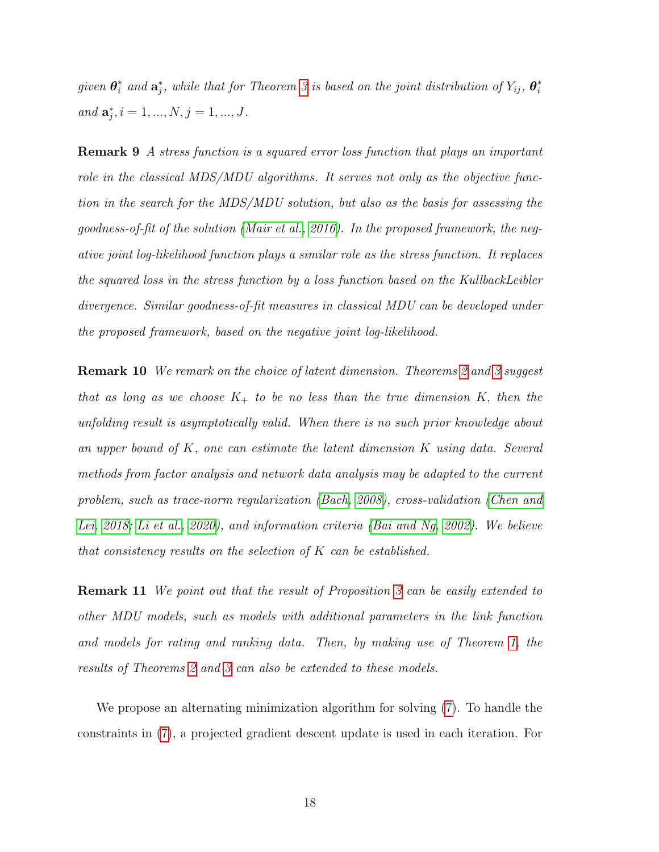given  $\boldsymbol{\theta}_i^*$  and  $\mathbf{a}_j^*$ , while that for Theorem [3](#page-16-2) is based on the joint distribution of  $Y_{ij}$ ,  $\boldsymbol{\theta}_i^*$ i and  $\mathbf{a}_{j}^{*}$ ,  $i = 1, ..., N$ ,  $j = 1, ..., J$ .

Remark 9 A stress function is a squared error loss function that plays an important role in the classical MDS/MDU algorithms. It serves not only as the objective function in the search for the MDS/MDU solution, but also as the basis for assessing the goodness-of-fit of the solution [\(Mair et al., 2016\)](#page-71-6). In the proposed framework, the negative joint log-likelihood function plays a similar role as the stress function. It replaces the squared loss in the stress function by a loss function based on the KullbackLeibler divergence. Similar goodness-of-fit measures in classical MDU can be developed under the proposed framework, based on the negative joint log-likelihood.

Remark 10 We remark on the choice of latent dimension. Theorems [2](#page-16-0) and [3](#page-16-2) suggest that as long as we choose  $K_{+}$  to be no less than the true dimension K, then the unfolding result is asymptotically valid. When there is no such prior knowledge about an upper bound of  $K$ , one can estimate the latent dimension  $K$  using data. Several methods from factor analysis and network data analysis may be adapted to the current problem, such as trace-norm regularization [\(Bach, 2008\)](#page-67-6), cross-validation [\(Chen and](#page-67-7) [Lei, 2018;](#page-67-7) [Li et al., 2020\)](#page-70-8), and information criteria [\(Bai and Ng, 2002\)](#page-67-8). We believe that consistency results on the selection of  $K$  can be established.

**Remark 11** We point out that the result of Proposition [3](#page-15-0) can be easily extended to other MDU models, such as models with additional parameters in the link function and models for rating and ranking data. Then, by making use of Theorem [1,](#page-13-0) the results of Theorems [2](#page-16-0) and [3](#page-16-2) can also be extended to these models.

We propose an alternating minimization algorithm for solving [\(7\)](#page-15-1). To handle the constraints in [\(7\)](#page-15-1), a projected gradient descent update is used in each iteration. For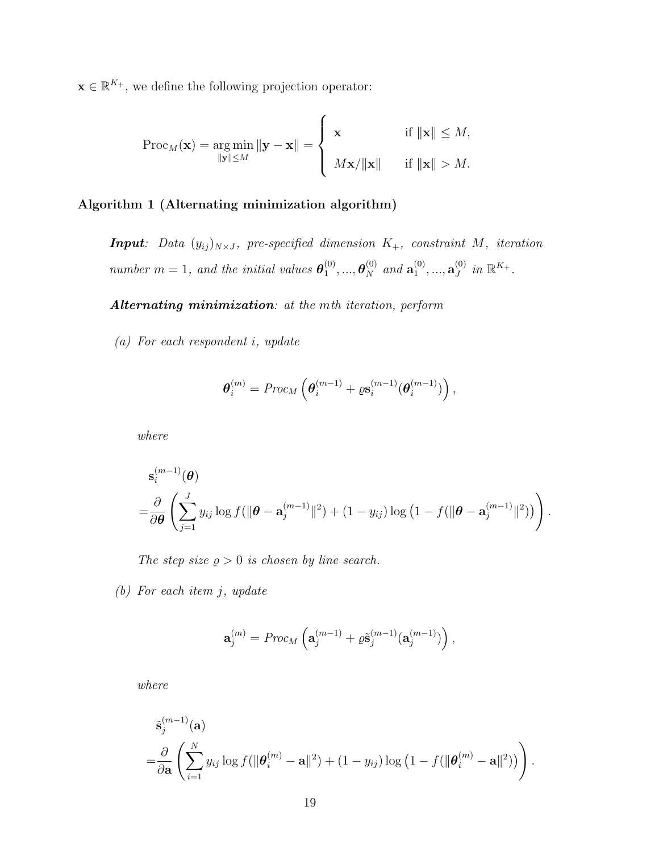$\mathbf{x} \in \mathbb{R}^{K_+}$ , we define the following projection operator:

$$
\operatorname{Proc}_M(\mathbf{x}) = \underset{\|\mathbf{x}\| \le M}{\operatorname{arg\,min}} \|\mathbf{y} - \mathbf{x}\| = \begin{cases} \mathbf{x} & \text{if } \|\mathbf{x}\| \le M, \\ M\mathbf{x}/\|\mathbf{x}\| & \text{if } \|\mathbf{x}\| > M. \end{cases}
$$

#### <span id="page-18-0"></span>Algorithm 1 (Alternating minimization algorithm)

**Input**: Data  $(y_{ij})_{N\times J}$ , pre-specified dimension  $K_{+}$ , constraint M, iteration number  $m = 1$ , and the initial values  $\boldsymbol{\theta}_1^{(0)}$  $\overset{(0)}{1},...,\overset{\textstyle\boldsymbol{\theta}^{(0)}}{N}$  and  $\mathbf{a}^{(0)}_1$  $\overset{(0)}{1},...,\mathbf{a}_J^{(0)}$  $_{J}^{(0)}$  in  $\mathbb{R}^{K_{+}}$ .

Alternating minimization: at the mth iteration, perform

(a) For each respondent i, update

$$
\boldsymbol{\theta}_i^{(m)} = \text{Proc}_M \left( \boldsymbol{\theta}_i^{(m-1)} + \varrho \mathbf{s}_i^{(m-1)} (\boldsymbol{\theta}_i^{(m-1)}) \right),
$$

where

$$
\mathbf{s}_{i}^{(m-1)}(\boldsymbol{\theta}) = \frac{\partial}{\partial \boldsymbol{\theta}} \left( \sum_{j=1}^{J} y_{ij} \log f(||\boldsymbol{\theta} - \mathbf{a}_{j}^{(m-1)}||^{2}) + (1 - y_{ij}) \log (1 - f(||\boldsymbol{\theta} - \mathbf{a}_{j}^{(m-1)}||^{2})) \right).
$$

The step size  $\rho > 0$  is chosen by line search.

(b) For each item j, update

$$
\mathbf{a}_{j}^{(m)}=Proc_{M}\left(\mathbf{a}_{j}^{(m-1)}+\varrho\tilde{\mathbf{s}}_{j}^{(m-1)}(\mathbf{a}_{j}^{(m-1)})\right),
$$

where

$$
\tilde{\mathbf{s}}_j^{(m-1)}(\mathbf{a})\n= \frac{\partial}{\partial \mathbf{a}} \left( \sum_{i=1}^N y_{ij} \log f(||\boldsymbol{\theta}_i^{(m)} - \mathbf{a}||^2) + (1 - y_{ij}) \log (1 - f(||\boldsymbol{\theta}_i^{(m)} - \mathbf{a}||^2)) \right).
$$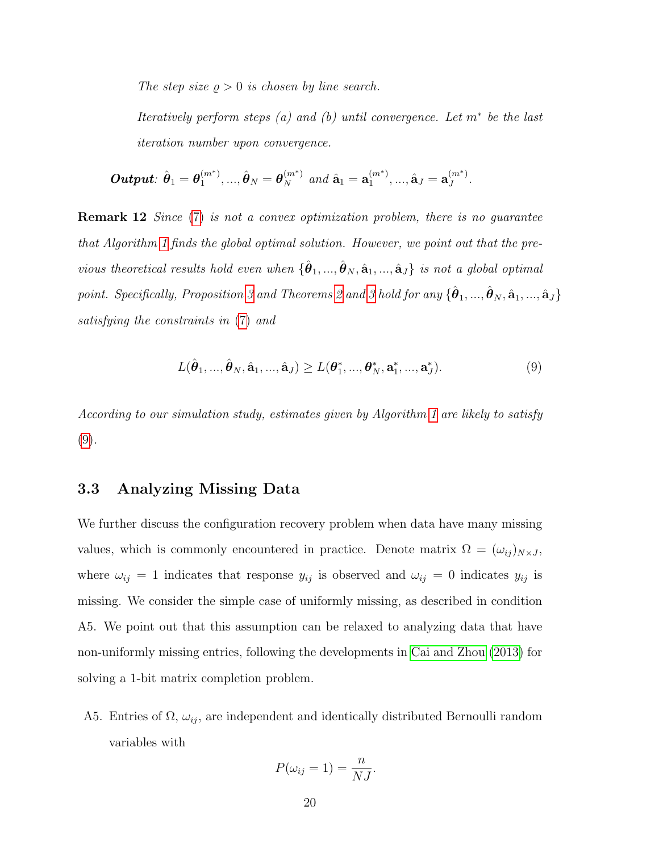The step size  $\rho > 0$  is chosen by line search.

Iteratively perform steps  $(a)$  and  $(b)$  until convergence. Let  $m^*$  be the last iteration number upon convergence.

 $\boldsymbol{Output:} \,\, \hat{\boldsymbol{\theta}}_1 = \boldsymbol{\theta}_1^{(m^*)}$  $\hat{\bm{\theta}}_1^{(m^*)},...,\hat{\bm{\theta}}_N = \bm{\theta}_N^{(m^*)}$  and  $\hat{\mathbf{a}}_1 = \mathbf{a}_1^{(m^*)}$  $\overset{(m^*)}{_{1}},...,\hat{\mathbf{a}}_{J}=\mathbf{a}_{J}^{(m^*)}$  $J^{(m)}$  .

<span id="page-19-1"></span>**Remark 12** Since [\(7\)](#page-15-1) is not a convex optimization problem, there is no guarantee that Algorithm [1](#page-18-0) finds the global optimal solution. However, we point out that the previous theoretical results hold even when  $\{\hat{\theta}_1, ..., \hat{\theta}_N, \hat{\mathbf{a}}_1, ..., \hat{\mathbf{a}}_J\}$  is not a global optimal point. Specifically, Proposition [3](#page-16-2) and Theorems [2](#page-16-0) and 3 hold for any  $\{\hat{\bm{\theta}}_1,...,\hat{\bm{\theta}}_N,\hat{\mathbf{a}}_1,...,\hat{\mathbf{a}}_J\}$ satisfying the constraints in [\(7\)](#page-15-1) and

<span id="page-19-0"></span>
$$
L(\hat{\theta}_1, ..., \hat{\theta}_N, \hat{\mathbf{a}}_1, ..., \hat{\mathbf{a}}_J) \ge L(\theta_1^*, ..., \theta_N^*, \mathbf{a}_1^*, ..., \mathbf{a}_J^*).
$$
 (9)

According to our simulation study, estimates given by Algorithm [1](#page-18-0) are likely to satisfy [\(9\)](#page-19-0).

#### 3.3 Analyzing Missing Data

We further discuss the configuration recovery problem when data have many missing values, which is commonly encountered in practice. Denote matrix  $\Omega = (\omega_{ij})_{N \times J}$ , where  $\omega_{ij} = 1$  indicates that response  $y_{ij}$  is observed and  $\omega_{ij} = 0$  indicates  $y_{ij}$  is missing. We consider the simple case of uniformly missing, as described in condition A5. We point out that this assumption can be relaxed to analyzing data that have non-uniformly missing entries, following the developments in [Cai and Zhou \(2013\)](#page-67-9) for solving a 1-bit matrix completion problem.

A5. Entries of  $\Omega$ ,  $\omega_{ij}$ , are independent and identically distributed Bernoulli random variables with

$$
P(\omega_{ij}=1)=\frac{n}{NJ}.
$$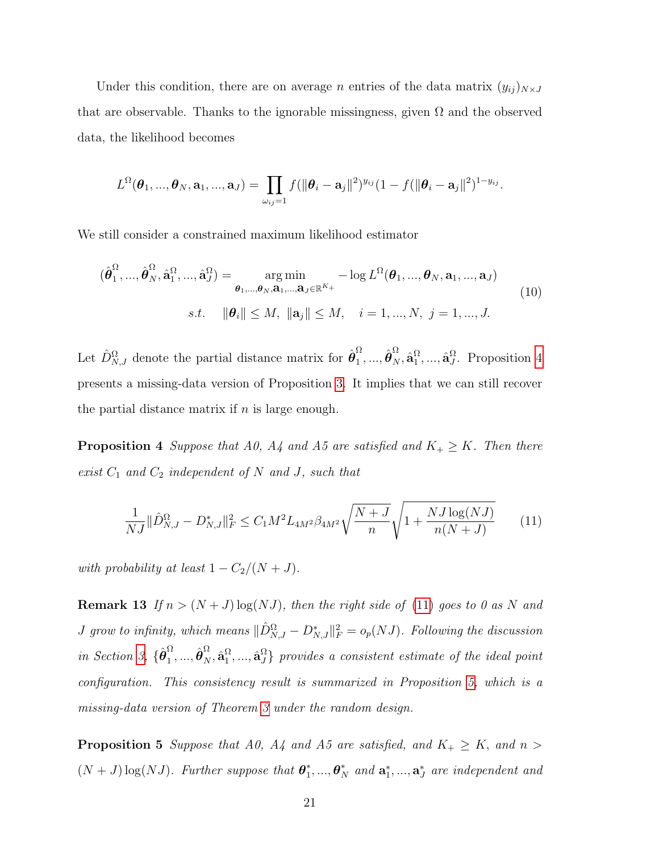Under this condition, there are on average *n* entries of the data matrix  $(y_{ij})_{N \times J}$ that are observable. Thanks to the ignorable missingness, given  $\Omega$  and the observed data, the likelihood becomes

$$
L^{\Omega}(\boldsymbol{\theta}_1, ..., \boldsymbol{\theta}_N, \mathbf{a}_1, ..., \mathbf{a}_J) = \prod_{\omega_{ij}=1} f(||\boldsymbol{\theta}_i - \mathbf{a}_j||^2)^{y_{ij}} (1 - f(||\boldsymbol{\theta}_i - \mathbf{a}_j||^2)^{1-y_{ij}}.
$$

We still consider a constrained maximum likelihood estimator

$$
(\hat{\boldsymbol{\theta}}_1^{\Omega}, ..., \hat{\boldsymbol{\theta}}_N^{\Omega}, \hat{\mathbf{a}}_1^{\Omega}, ..., \hat{\mathbf{a}}_J^{\Omega}) = \underset{\boldsymbol{\theta}_1, ..., \boldsymbol{\theta}_N, \mathbf{a}_1, ..., \mathbf{a}_J \in \mathbb{R}^{K_+}}{\arg \min} -\log L^{\Omega}(\boldsymbol{\theta}_1, ..., \boldsymbol{\theta}_N, \mathbf{a}_1, ..., \mathbf{a}_J)
$$
\n
$$
s.t. \quad \|\boldsymbol{\theta}_i\| \le M, \ \|\mathbf{a}_j\| \le M, \quad i = 1, ..., N, \ j = 1, ..., J.
$$
\n(10)

Let  $\hat{D}_{N,J}^{\Omega}$  denote the partial distance matrix for  $\hat{\theta}_1^{\Omega}$  $\hat{\bm{\theta}}_{N}^{\Omega}, \hat{\mathbf{a}}_{1}^{\Omega}$  $_{1}^{\Omega},...,\hat{\mathbf{a}}_{J}^{\Omega}$  $J<sup>1</sup>$ . Proposition [4](#page-20-0) presents a missing-data version of Proposition [3.](#page-15-0) It implies that we can still recover the partial distance matrix if  $n$  is large enough.

<span id="page-20-0"></span>**Proposition 4** Suppose that A0, A4 and A5 are satisfied and  $K_+ \geq K$ . Then there exist  $C_1$  and  $C_2$  independent of N and J, such that

<span id="page-20-1"></span>
$$
\frac{1}{NJ} \|\hat{D}_{N,J}^{\Omega} - D_{N,J}^*\|_F^2 \le C_1 M^2 L_{4M^2} \beta_{4M^2} \sqrt{\frac{N+J}{n}} \sqrt{1 + \frac{NJ \log(NJ)}{n(N+J)}}
$$
(11)

with probability at least  $1 - C_2/(N + J)$ .

**Remark 13** If  $n > (N+J)\log(NJ)$ , then the right side of [\(11\)](#page-20-1) goes to 0 as N and *J* grow to infinity, which means  $\|\hat{D}_{N,J}^{\Omega} - D_{N,J}^*\|_F^2 = o_p(NJ)$ . Following the discussion in Section [3,](#page-11-0)  $\{\hat{\boldsymbol{\theta}}_1^{\Omega}$  $\hat{\bm{\theta}}_{N}^{\Omega}, \hat{\mathbf{a}}_{1}^{\Omega}$  $\{\mathbf{x}_1^{\Omega},...,\mathbf{\hat{a}}_J^{\Omega}\}$  provides a consistent estimate of the ideal point configuration. This consistency result is summarized in Proposition [5,](#page-20-2) which is a missing-data version of Theorem [3](#page-16-2) under the random design.

<span id="page-20-2"></span>**Proposition 5** Suppose that A0, A4 and A5 are satisfied, and  $K_+ \geq K$ , and  $n >$  $(N + J) \log(NJ)$ . Further suppose that  $\boldsymbol{\theta}_1^*$  $\mathbf{a}_1^*,...,\mathbf{\boldsymbol{\theta}}_N^*$  and  $\mathbf{a}_1^*,...,\mathbf{a}_J^*$  are independent and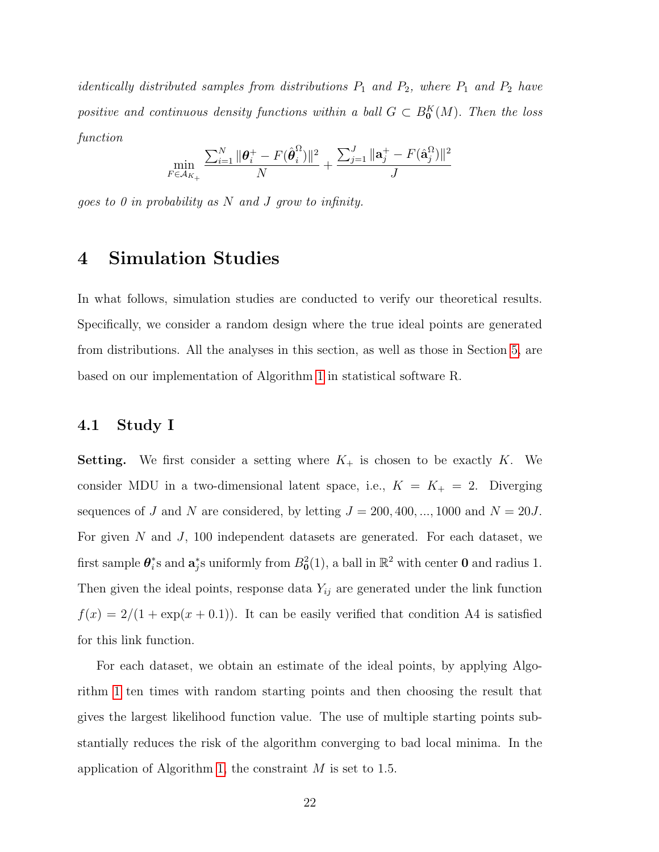*identically distributed samples from distributions*  $P_1$  and  $P_2$ , where  $P_1$  and  $P_2$  have positive and continuous density functions within a ball  $G \subset B_0^K(M)$ . Then the loss function

$$
\min_{F \in \mathcal{A}_{K_+}} \frac{\sum_{i=1}^N \|\boldsymbol{\theta}_i^+ - F(\hat{\boldsymbol{\theta}}_i^{\Omega})\|^2}{N} + \frac{\sum_{j=1}^J \|\mathbf{a}_j^+ - F(\hat{\mathbf{a}}_j^{\Omega})\|^2}{J}
$$

goes to 0 in probability as  $N$  and  $J$  grow to infinity.

### <span id="page-21-0"></span>4 Simulation Studies

In what follows, simulation studies are conducted to verify our theoretical results. Specifically, we consider a random design where the true ideal points are generated from distributions. All the analyses in this section, as well as those in Section [5,](#page-25-0) are based on our implementation of Algorithm [1](#page-18-0) in statistical software R.

#### 4.1 Study I

**Setting.** We first consider a setting where  $K_{+}$  is chosen to be exactly K. We consider MDU in a two-dimensional latent space, i.e.,  $K = K_+ = 2$ . Diverging sequences of J and N are considered, by letting  $J = 200, 400, ..., 1000$  and  $N = 20J$ . For given N and J, 100 independent datasets are generated. For each dataset, we first sample  $\boldsymbol{\theta}_i^*$ \*s and  $\mathbf{a}_j^*$ s uniformly from  $B_0^2(1)$ , a ball in  $\mathbb{R}^2$  with center **0** and radius 1. Then given the ideal points, response data  $Y_{ij}$  are generated under the link function  $f(x) = 2/(1 + \exp(x + 0.1))$ . It can be easily verified that condition A4 is satisfied for this link function.

For each dataset, we obtain an estimate of the ideal points, by applying Algorithm [1](#page-18-0) ten times with random starting points and then choosing the result that gives the largest likelihood function value. The use of multiple starting points substantially reduces the risk of the algorithm converging to bad local minima. In the application of Algorithm [1,](#page-18-0) the constraint M is set to 1.5.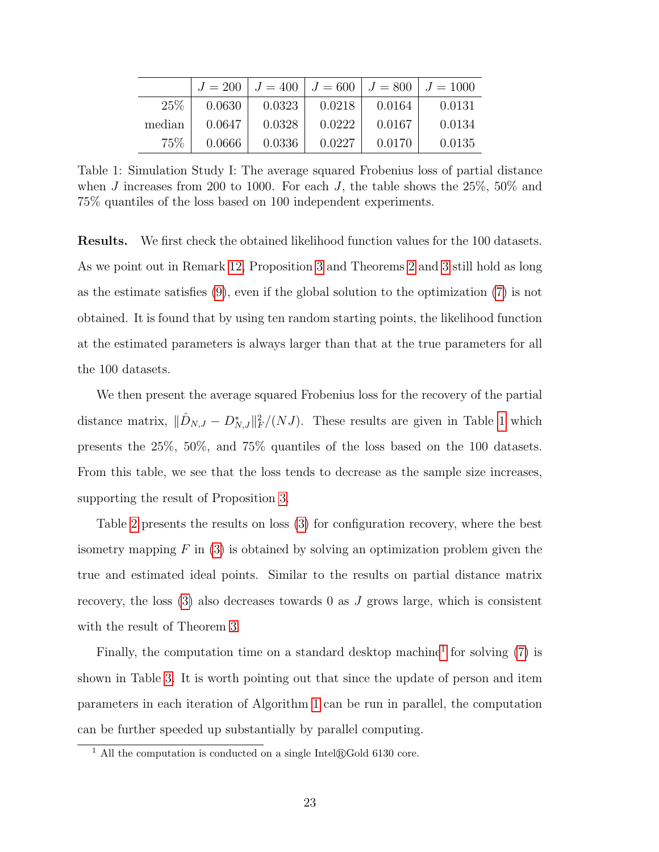<span id="page-22-0"></span>

|        | $J = 200$ | $J = 400$ | $J = 600$ | $J = 800$ | $J = 1000$ |
|--------|-----------|-----------|-----------|-----------|------------|
| 25%    | 0.0630    | 0.0323    | 0.0218    | 0.0164    | 0.0131     |
| median | 0.0647    | 0.0328    | 0.0222    | 0.0167    | 0.0134     |
| $75\%$ | 0.0666    | 0.0336    | 0.0227    | 0.0170    | 0.0135     |

Table 1: Simulation Study I: The average squared Frobenius loss of partial distance when J increases from 200 to 1000. For each J, the table shows the  $25\%$ ,  $50\%$  and 75% quantiles of the loss based on 100 independent experiments.

Results. We first check the obtained likelihood function values for the 100 datasets. As we point out in Remark [12,](#page-19-1) Proposition [3](#page-15-0) and Theorems [2](#page-16-0) and [3](#page-16-2) still hold as long as the estimate satisfies [\(9\)](#page-19-0), even if the global solution to the optimization [\(7\)](#page-15-1) is not obtained. It is found that by using ten random starting points, the likelihood function at the estimated parameters is always larger than that at the true parameters for all the 100 datasets.

We then present the average squared Frobenius loss for the recovery of the partial distance matrix,  $\|\hat{D}_{N,J} - D_{N,J}^*\|_F^2/(NJ)$ . These results are given in Table [1](#page-22-0) which presents the 25%, 50%, and 75% quantiles of the loss based on the 100 datasets. From this table, we see that the loss tends to decrease as the sample size increases, supporting the result of Proposition [3.](#page-15-0)

Table [2](#page-23-0) presents the results on loss [\(3\)](#page-8-1) for configuration recovery, where the best isometry mapping  $F$  in [\(3\)](#page-8-1) is obtained by solving an optimization problem given the true and estimated ideal points. Similar to the results on partial distance matrix recovery, the loss  $(3)$  also decreases towards 0 as J grows large, which is consistent with the result of Theorem [3.](#page-16-2)

Finally, the computation time on a standard desktop machine<sup>[1](#page-22-1)</sup> for solving  $(7)$  is shown in Table [3.](#page-23-1) It is worth pointing out that since the update of person and item parameters in each iteration of Algorithm [1](#page-18-0) can be run in parallel, the computation can be further speeded up substantially by parallel computing.

<span id="page-22-1"></span> $\frac{1}{1}$  All the computation is conducted on a single Intel $\mathbb{R}$ Gold 6130 core.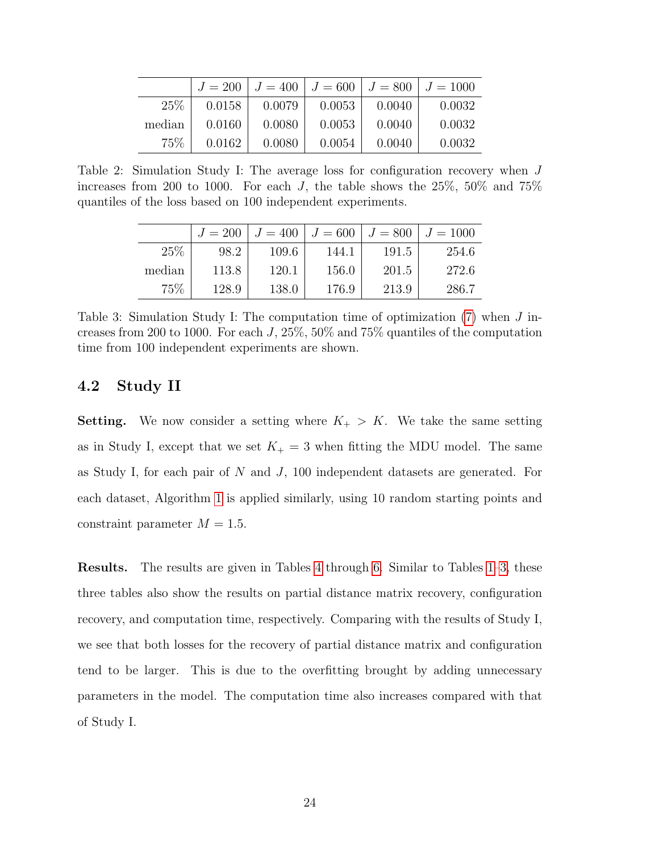<span id="page-23-0"></span>

|        | $J = 200$ | $J = 400$ | $J = 600$ | $J = 800$ | $J = 1000$ |
|--------|-----------|-----------|-----------|-----------|------------|
| 25%    | 0.0158    | 0.0079    | 0.0053    | 0.0040    | 0.0032     |
| median | 0.0160    | 0.0080    | 0.0053    | 0.0040    | 0.0032     |
| $75\%$ | 0.0162    | 0.0080    | 0.0054    | 0.0040    | 0.0032     |

<span id="page-23-1"></span>Table 2: Simulation Study I: The average loss for configuration recovery when J increases from 200 to 1000. For each J, the table shows the  $25\%$ ,  $50\%$  and  $75\%$ quantiles of the loss based on 100 independent experiments.

|        | $J = 200$ | $J = 400$ | $J = 600$ | $J = 800$ | $J = 1000$ |
|--------|-----------|-----------|-----------|-----------|------------|
| 25%    | 98.2      | 109.6     | 144.1     | 191.5     | 254.6      |
| median | 113.8     | 120.1     | 156.0     | 201.5     | 272.6      |
| 75%    | 128.9     | 138.0     | 176.9     | 213.9     | 286.7      |

Table 3: Simulation Study I: The computation time of optimization [\(7\)](#page-15-1) when J increases from 200 to 1000. For each  $J$ , 25%, 50% and 75% quantiles of the computation time from 100 independent experiments are shown.

#### 4.2 Study II

**Setting.** We now consider a setting where  $K_+ > K$ . We take the same setting as in Study I, except that we set  $K_{+} = 3$  when fitting the MDU model. The same as Study I, for each pair of N and J, 100 independent datasets are generated. For each dataset, Algorithm [1](#page-18-0) is applied similarly, using 10 random starting points and constraint parameter  $M = 1.5$ .

Results. The results are given in Tables [4](#page-24-0) through [6.](#page-24-1) Similar to Tables [1–](#page-22-0)[3,](#page-23-1) these three tables also show the results on partial distance matrix recovery, configuration recovery, and computation time, respectively. Comparing with the results of Study I, we see that both losses for the recovery of partial distance matrix and configuration tend to be larger. This is due to the overfitting brought by adding unnecessary parameters in the model. The computation time also increases compared with that of Study I.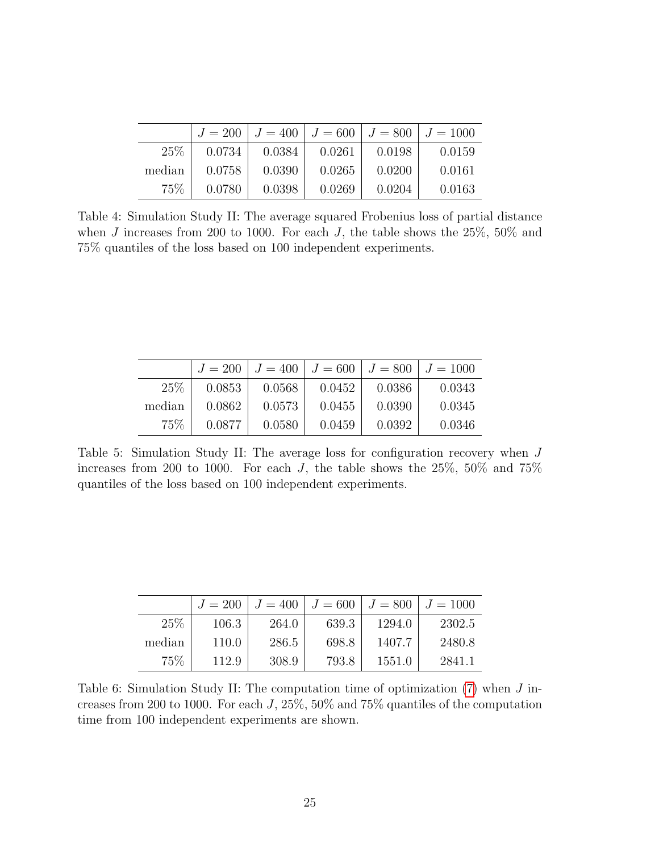<span id="page-24-0"></span>

|        | $J=200$ |        | $J = 400$   $J = 600$   $J = 800$ |        | $J = 1000$ |
|--------|---------|--------|-----------------------------------|--------|------------|
| 25\%   | 0.0734  | 0.0384 | 0.0261                            | 0.0198 | 0.0159     |
| median | 0.0758  | 0.0390 | 0.0265                            | 0.0200 | 0.0161     |
| 75%    | 0.0780  | 0.0398 | 0.0269                            | 0.0204 | 0.0163     |

Table 4: Simulation Study II: The average squared Frobenius loss of partial distance when  $J$  increases from 200 to 1000. For each  $J$ , the table shows the 25%, 50% and 75% quantiles of the loss based on 100 independent experiments.

|        | $J = 200$ | $J = 400$ | $J = 600$ | $J = 800$ | $J = 1000$ |
|--------|-----------|-----------|-----------|-----------|------------|
| 25\%   | 0.0853    | 0.0568    | 0.0452    | 0.0386    | 0.0343     |
| median | 0.0862    | 0.0573    | 0.0455    | 0.0390    | 0.0345     |
| 75\%   | 0.0877    | 0.0580    | 0.0459    | 0.0392    | 0.0346     |

Table 5: Simulation Study II: The average loss for configuration recovery when J increases from 200 to 1000. For each J, the table shows the  $25\%$ ,  $50\%$  and  $75\%$ quantiles of the loss based on 100 independent experiments.

<span id="page-24-1"></span>

|        | $J = 200$ | $J = 400$ | $J = 600$ | $J = 800$ | $J = 1000$ |
|--------|-----------|-----------|-----------|-----------|------------|
| 25%    | 106.3     | 264.0     | 639.3     | 1294.0    | 2302.5     |
| median | 110.0     | 286.5     | 698.8     | 1407.7    | 2480.8     |
| 75%    | 112.9     | 308.9     | 793.8     | 1551.0    | 2841.1     |

Table 6: Simulation Study II: The computation time of optimization [\(7\)](#page-15-1) when J increases from 200 to 1000. For each J, 25%, 50% and 75% quantiles of the computation time from 100 independent experiments are shown.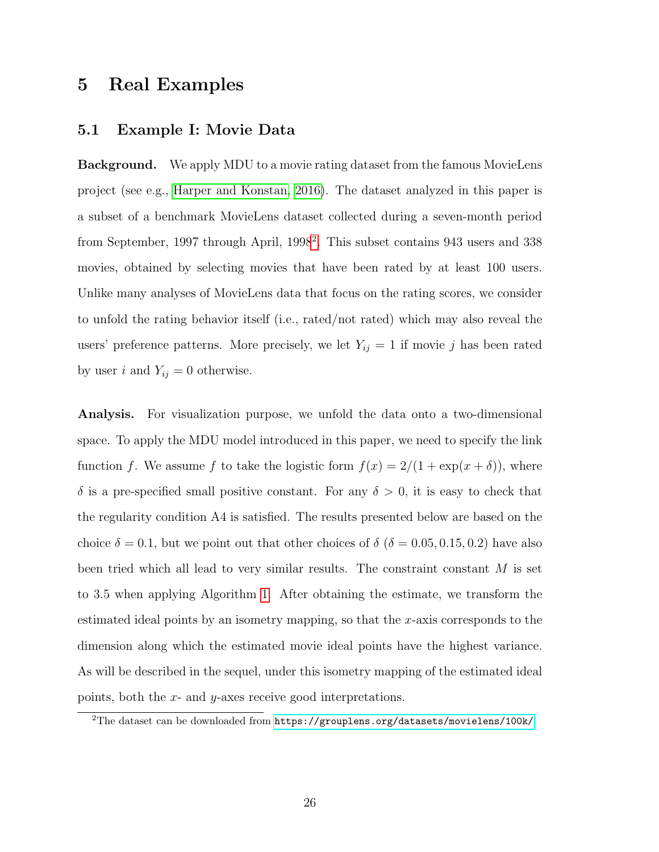## <span id="page-25-0"></span>5 Real Examples

#### 5.1 Example I: Movie Data

Background. We apply MDU to a movie rating dataset from the famous MovieLens project (see e.g., [Harper and Konstan, 2016\)](#page-70-5). The dataset analyzed in this paper is a subset of a benchmark MovieLens dataset collected during a seven-month period from September, 1997 through April, 1998<sup>[2](#page-25-1)</sup>. This subset contains 943 users and 338 movies, obtained by selecting movies that have been rated by at least 100 users. Unlike many analyses of MovieLens data that focus on the rating scores, we consider to unfold the rating behavior itself (i.e., rated/not rated) which may also reveal the users' preference patterns. More precisely, we let  $Y_{ij} = 1$  if movie j has been rated by user i and  $Y_{ij} = 0$  otherwise.

Analysis. For visualization purpose, we unfold the data onto a two-dimensional space. To apply the MDU model introduced in this paper, we need to specify the link function f. We assume f to take the logistic form  $f(x) = 2/(1 + \exp(x + \delta))$ , where  $\delta$  is a pre-specified small positive constant. For any  $\delta > 0$ , it is easy to check that the regularity condition A4 is satisfied. The results presented below are based on the choice  $\delta = 0.1$ , but we point out that other choices of  $\delta$  ( $\delta = 0.05, 0.15, 0.2$ ) have also been tried which all lead to very similar results. The constraint constant  $M$  is set to 3.5 when applying Algorithm [1.](#page-18-0) After obtaining the estimate, we transform the estimated ideal points by an isometry mapping, so that the x-axis corresponds to the dimension along which the estimated movie ideal points have the highest variance. As will be described in the sequel, under this isometry mapping of the estimated ideal points, both the  $x$ - and  $y$ -axes receive good interpretations.

<span id="page-25-1"></span> $^{2}$ The dataset can be downloaded from  $https://grouplens.org/datasets/movielens/100k/$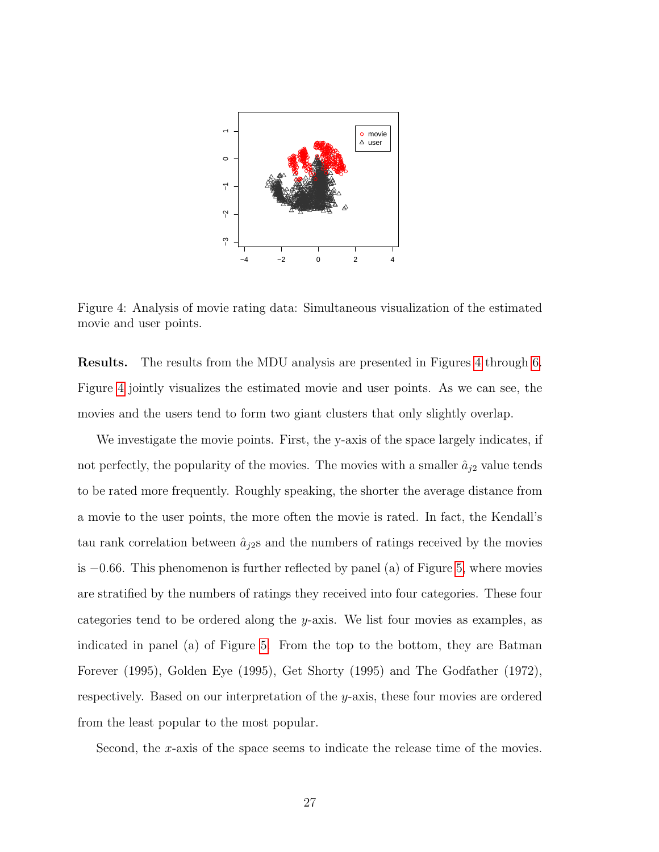<span id="page-26-0"></span>

Figure 4: Analysis of movie rating data: Simultaneous visualization of the estimated movie and user points.

Results. The results from the MDU analysis are presented in Figures [4](#page-26-0) through [6.](#page-28-0) Figure [4](#page-26-0) jointly visualizes the estimated movie and user points. As we can see, the movies and the users tend to form two giant clusters that only slightly overlap.

We investigate the movie points. First, the y-axis of the space largely indicates, if not perfectly, the popularity of the movies. The movies with a smaller  $\hat{a}_{j2}$  value tends to be rated more frequently. Roughly speaking, the shorter the average distance from a movie to the user points, the more often the movie is rated. In fact, the Kendall's tau rank correlation between  $\hat{a}_{j2}$ s and the numbers of ratings received by the movies is −0.66. This phenomenon is further reflected by panel (a) of Figure [5,](#page-27-0) where movies are stratified by the numbers of ratings they received into four categories. These four categories tend to be ordered along the y-axis. We list four movies as examples, as indicated in panel (a) of Figure [5.](#page-27-0) From the top to the bottom, they are Batman Forever (1995), Golden Eye (1995), Get Shorty (1995) and The Godfather (1972), respectively. Based on our interpretation of the y-axis, these four movies are ordered from the least popular to the most popular.

Second, the x-axis of the space seems to indicate the release time of the movies.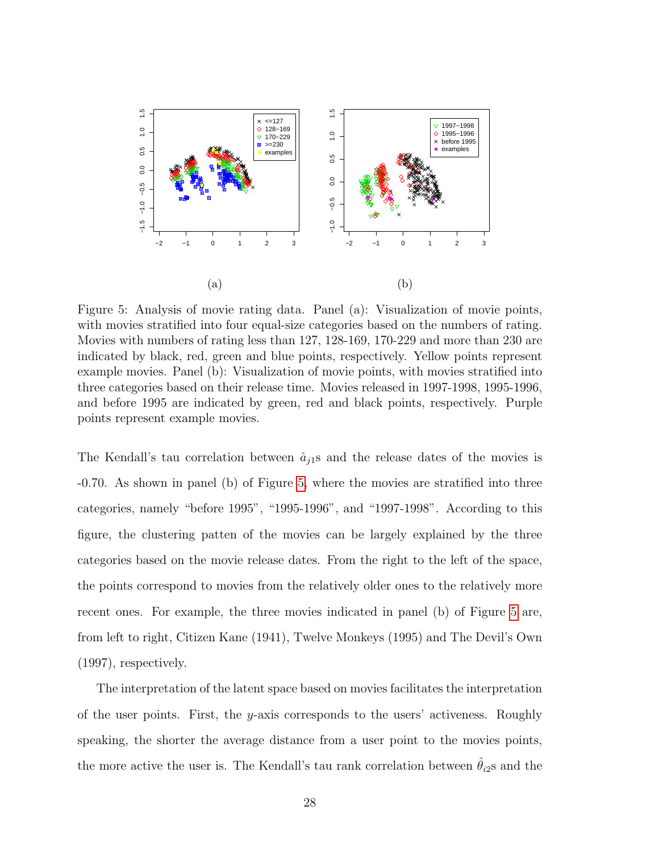<span id="page-27-0"></span>

Figure 5: Analysis of movie rating data. Panel (a): Visualization of movie points, with movies stratified into four equal-size categories based on the numbers of rating. Movies with numbers of rating less than 127, 128-169, 170-229 and more than 230 are indicated by black, red, green and blue points, respectively. Yellow points represent example movies. Panel (b): Visualization of movie points, with movies stratified into three categories based on their release time. Movies released in 1997-1998, 1995-1996, and before 1995 are indicated by green, red and black points, respectively. Purple points represent example movies.

The Kendall's tau correlation between  $\hat{a}_{i1}$ s and the release dates of the movies is -0.70. As shown in panel (b) of Figure [5,](#page-27-0) where the movies are stratified into three categories, namely "before 1995", "1995-1996", and "1997-1998". According to this figure, the clustering patten of the movies can be largely explained by the three categories based on the movie release dates. From the right to the left of the space, the points correspond to movies from the relatively older ones to the relatively more recent ones. For example, the three movies indicated in panel (b) of Figure [5](#page-27-0) are, from left to right, Citizen Kane (1941), Twelve Monkeys (1995) and The Devil's Own (1997), respectively.

The interpretation of the latent space based on movies facilitates the interpretation of the user points. First, the y-axis corresponds to the users' activeness. Roughly speaking, the shorter the average distance from a user point to the movies points, the more active the user is. The Kendall's tau rank correlation between  $\hat{\theta}_{i2}$ s and the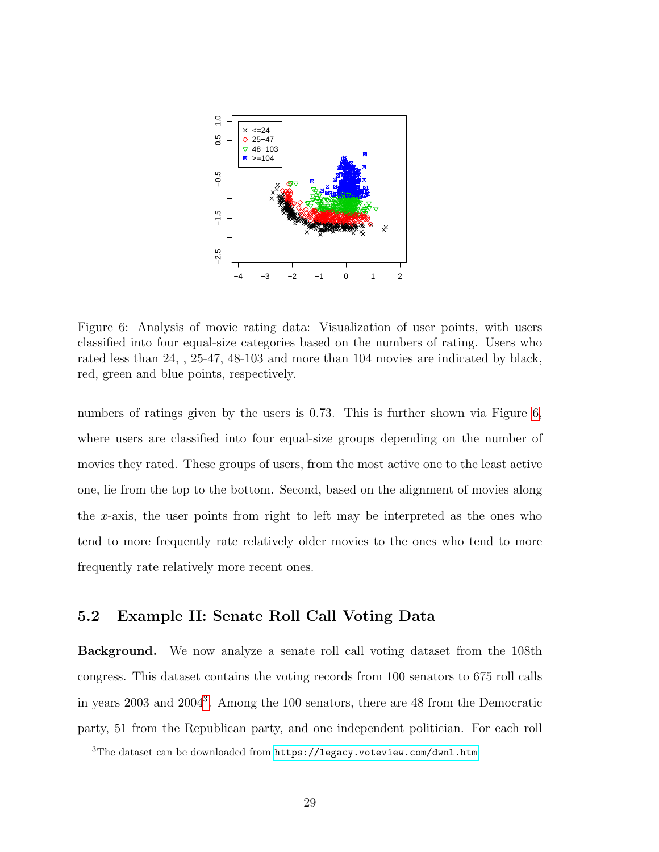<span id="page-28-0"></span>

Figure 6: Analysis of movie rating data: Visualization of user points, with users classified into four equal-size categories based on the numbers of rating. Users who rated less than 24, , 25-47, 48-103 and more than 104 movies are indicated by black, red, green and blue points, respectively.

numbers of ratings given by the users is 0.73. This is further shown via Figure [6,](#page-28-0) where users are classified into four equal-size groups depending on the number of movies they rated. These groups of users, from the most active one to the least active one, lie from the top to the bottom. Second, based on the alignment of movies along the x-axis, the user points from right to left may be interpreted as the ones who tend to more frequently rate relatively older movies to the ones who tend to more frequently rate relatively more recent ones.

#### 5.2 Example II: Senate Roll Call Voting Data

Background. We now analyze a senate roll call voting dataset from the 108th congress. This dataset contains the voting records from 100 senators to 675 roll calls in years 2003 and 2004[3](#page-28-1) . Among the 100 senators, there are 48 from the Democratic party, 51 from the Republican party, and one independent politician. For each roll

<span id="page-28-1"></span><sup>&</sup>lt;sup>3</sup>The dataset can be downloaded from <https://legacy.voteview.com/dwnl.htm>.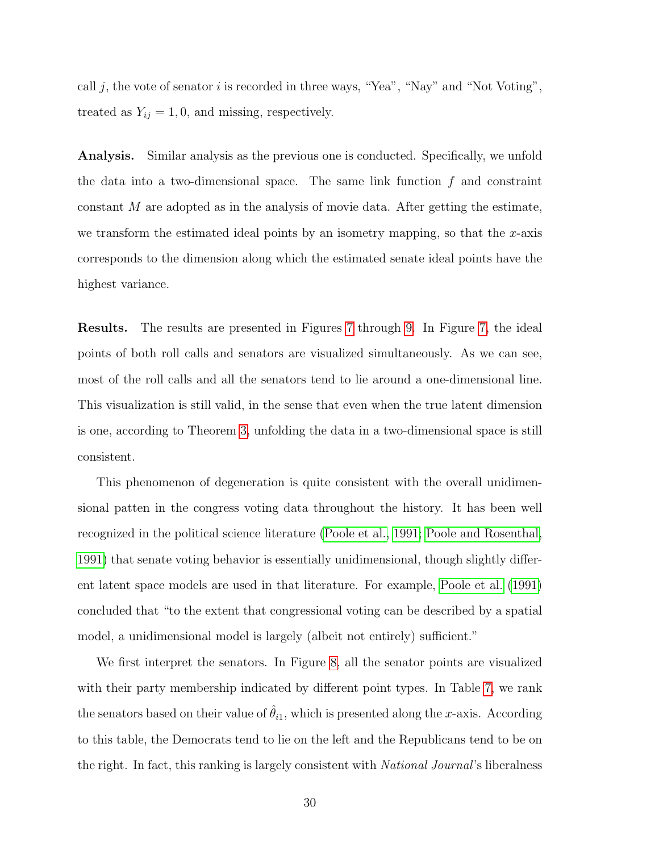call j, the vote of senator i is recorded in three ways, "Yea", "Nay" and "Not Voting", treated as  $Y_{ij} = 1, 0$ , and missing, respectively.

Analysis. Similar analysis as the previous one is conducted. Specifically, we unfold the data into a two-dimensional space. The same link function  $f$  and constraint constant  $M$  are adopted as in the analysis of movie data. After getting the estimate, we transform the estimated ideal points by an isometry mapping, so that the  $x$ -axis corresponds to the dimension along which the estimated senate ideal points have the highest variance.

Results. The results are presented in Figures [7](#page-30-0) through [9.](#page-34-0) In Figure [7,](#page-30-0) the ideal points of both roll calls and senators are visualized simultaneously. As we can see, most of the roll calls and all the senators tend to lie around a one-dimensional line. This visualization is still valid, in the sense that even when the true latent dimension is one, according to Theorem [3,](#page-16-2) unfolding the data in a two-dimensional space is still consistent.

This phenomenon of degeneration is quite consistent with the overall unidimensional patten in the congress voting data throughout the history. It has been well recognized in the political science literature [\(Poole et al., 1991;](#page-71-7) [Poole and Rosenthal,](#page-71-8) [1991\)](#page-71-8) that senate voting behavior is essentially unidimensional, though slightly different latent space models are used in that literature. For example, [Poole et al. \(1991\)](#page-71-7) concluded that "to the extent that congressional voting can be described by a spatial model, a unidimensional model is largely (albeit not entirely) sufficient."

We first interpret the senators. In Figure [8,](#page-32-0) all the senator points are visualized with their party membership indicated by different point types. In Table [7,](#page-31-0) we rank the senators based on their value of  $\hat{\theta}_{i1}$ , which is presented along the x-axis. According to this table, the Democrats tend to lie on the left and the Republicans tend to be on the right. In fact, this ranking is largely consistent with National Journal's liberalness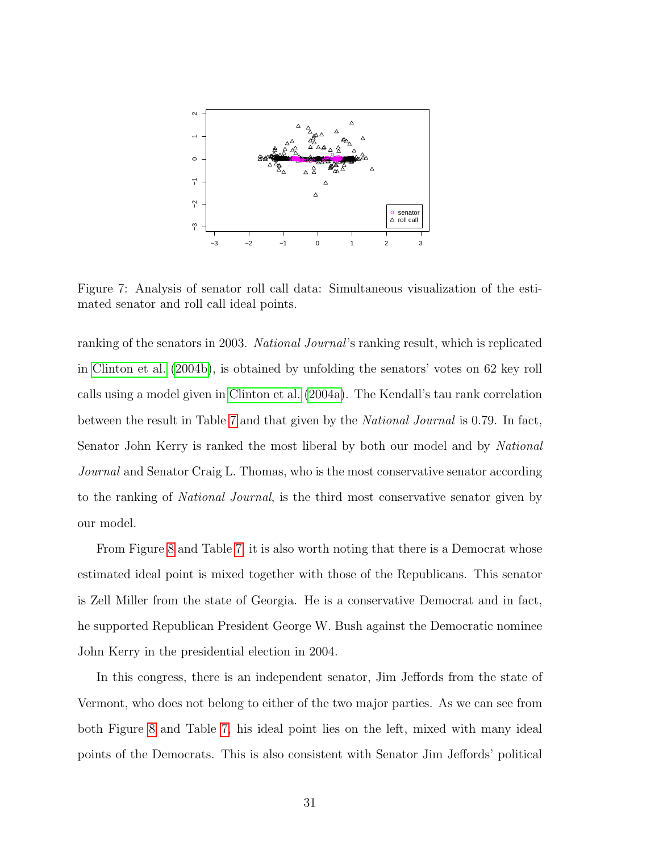<span id="page-30-0"></span>

Figure 7: Analysis of senator roll call data: Simultaneous visualization of the estimated senator and roll call ideal points.

ranking of the senators in 2003. National Journal's ranking result, which is replicated in [Clinton et al. \(2004b\)](#page-68-5), is obtained by unfolding the senators' votes on 62 key roll calls using a model given in [Clinton et al. \(2004a\)](#page-68-0). The Kendall's tau rank correlation between the result in Table [7](#page-31-0) and that given by the National Journal is 0.79. In fact, Senator John Kerry is ranked the most liberal by both our model and by National Journal and Senator Craig L. Thomas, who is the most conservative senator according to the ranking of National Journal, is the third most conservative senator given by our model.

From Figure [8](#page-32-0) and Table [7,](#page-31-0) it is also worth noting that there is a Democrat whose estimated ideal point is mixed together with those of the Republicans. This senator is Zell Miller from the state of Georgia. He is a conservative Democrat and in fact, he supported Republican President George W. Bush against the Democratic nominee John Kerry in the presidential election in 2004.

In this congress, there is an independent senator, Jim Jeffords from the state of Vermont, who does not belong to either of the two major parties. As we can see from both Figure [8](#page-32-0) and Table [7,](#page-31-0) his ideal point lies on the left, mixed with many ideal points of the Democrats. This is also consistent with Senator Jim Jeffords' political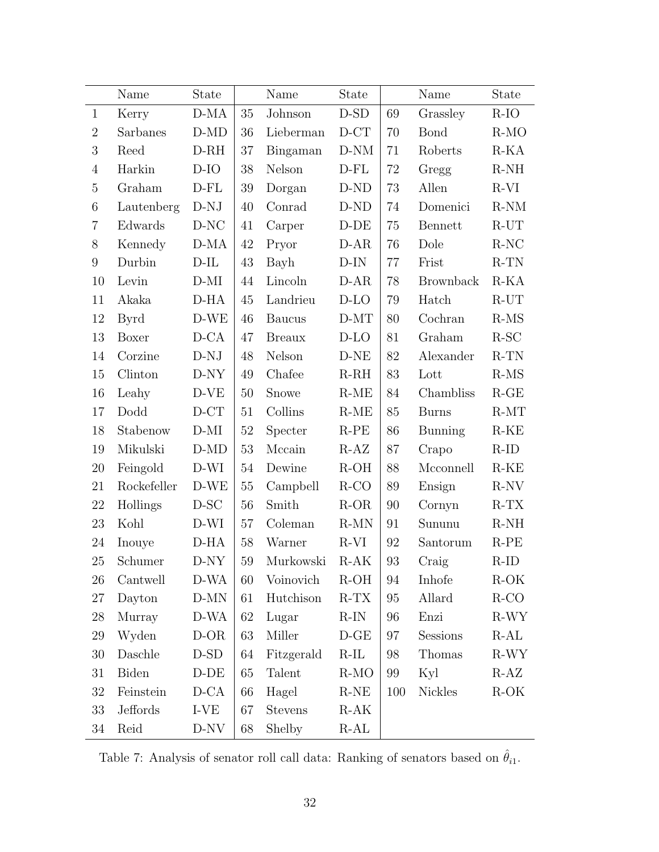<span id="page-31-0"></span>

|                 | Name        | State    |        | Name           | <b>State</b>          |        | Name             | <b>State</b>          |
|-----------------|-------------|----------|--------|----------------|-----------------------|--------|------------------|-----------------------|
| $\mathbf{1}$    | Kerry       | $D-MA$   | $35\,$ | Johnson        | $D-SD$                | 69     | Grassley         | $R-IO$                |
| $\overline{2}$  | Sarbanes    | $D-MD$   | 36     | Lieberman      | $D - CT$              | 70     | <b>Bond</b>      | $R-MO$                |
| 3               | Reed        | $D-RH$   | 37     | Bingaman       | $D-NM$                | 71     | Roberts          | $R-KA$                |
| $\overline{4}$  | Harkin      | $D$ -IO  | 38     | Nelson         | $D$ -FL               | 72     | Gregg            | $R-NH$                |
| $\bf 5$         | Graham      | $D$ -FL  | 39     | Dorgan         | $D-ND$                | 73     | Allen            | $R-VI$                |
| $\,6\,$         | Lautenberg  | $D-NJ$   | 40     | Conrad         | $\operatorname{D-ND}$ | 74     | Domenici         | $R-NM$                |
| $\overline{7}$  | Edwards     | $D-NC$   | 41     | Carper         | $D-DE$                | 75     | Bennett          | $R-UT$                |
| $8\,$           | Kennedy     | $D-MA$   | 42     | Pryor          | $D-AR$                | 76     | Dole             | $R-NC$                |
| $9\phantom{.0}$ | Durbin      | $D$ -IL  | 43     | Bayh           | $D-IN$                | 77     | Frist            | $R-TN$                |
| 10              | Levin       | $D-MI$   | 44     | Lincoln        | $D-AR$                | $78\,$ | <b>Brownback</b> | $R-KA$                |
| 11              | Akaka       | $D-HA$   | 45     | Landrieu       | $D$ -LO               | 79     | Hatch            | $R-UT$                |
| 12              | Byrd        | $D-WE$   | 46     | <b>Baucus</b>  | $D-MT$                | 80     | Cochran          | $R-MS$                |
| 13              | Boxer       | $D-CA$   | 47     | <b>Breaux</b>  | $D$ -LO               | 81     | Graham           | $R$ -SC               |
| 14              | Corzine     | $D-NJ$   | 48     | Nelson         | $D-NE$                | 82     | Alexander        | $R-TN$                |
| 15              | Clinton     | $D-NY$   | 49     | Chafee         | $R-RH$                | 83     | Lott             | $R-MS$                |
| 16              | Leahy       | $D-VE$   | 50     | Snowe          | $R-ME$                | 84     | Chambliss        | $R$ -GE               |
| 17              | Dodd        | $D-CT$   | 51     | Collins        | $R-ME$                | 85     | <b>Burns</b>     | $R-MT$                |
| 18              | Stabenow    | $D-MI$   | $52\,$ | Specter        | $R-PE$                | 86     | <b>Bunning</b>   | $\operatorname{R-KE}$ |
| 19              | Mikulski    | $D-MD$   | 53     | Mccain         | $R-AZ$                | 87     | Crapo            | $R-ID$                |
| $20\,$          | Feingold    | D-WI     | $54\,$ | Dewine         | $R-OH$                | 88     | Mcconnell        | $R-KE$                |
| $21\,$          | Rockefeller | $D-WE$   | $55\,$ | Campbell       | $R-CO$                | 89     | Ensign           | $R-NV$                |
| 22              | Hollings    | $D-SC$   | 56     | Smith          | $R-OR$                | 90     | Cornyn           | $R-TX$                |
| 23              | Kohl        | D-WI     | 57     | Coleman        | $R-MN$                | 91     | Sununu           | $R-NH$                |
| 24              | Inouye      | $D-HA$   | 58     | Warner         | $R-VI$                | 92     | Santorum         | $R-PE$                |
| 25              | Schumer     | $D-NY$   | $59\,$ | Murkowski      | $R-AK$                | 93     | Craig            | $R$ -ID               |
| 26              | Cantwell    | D-WA     | 60     | Voinovich      | $R-OH$                | 94     | Inhofe           | R-OK                  |
| 27              | Dayton      | $D-MN$   | 61     | Hutchison      | $R-TX$                | 95     | Allard           | $R-CO$                |
| $28\,$          | Murray      | D-WA     | 62     | Lugar          | $R-IN$                | 96     | Enzi             | R-WY                  |
| 29              | Wyden       | D-OR     | 63     | Miller         | $\operatorname{D-GE}$ | 97     | Sessions         | $R-AL$                |
| 30              | Daschle     | $D-SD$   | 64     | Fitzgerald     | $R$ -IL               | 98     | Thomas           | R-WY                  |
| 31              | Biden       | $D-DE$   | 65     | Talent         | $R-MO$                | 99     | Kyl              | R-AZ                  |
| $32\,$          | Feinstein   | $D - CA$ | $66\,$ | Hagel          | $R-NE$                | 100    | Nickles          | $R-OK$                |
| 33              | Jeffords    | I-VE     | 67     | <b>Stevens</b> | $R-AK$                |        |                  |                       |
| 34              | Reid        | D-NV     | 68     | Shelby         | $R-AL$                |        |                  |                       |

Table 7: Analysis of senator roll call data: Ranking of senators based on  $\hat{\theta}_{i1}.$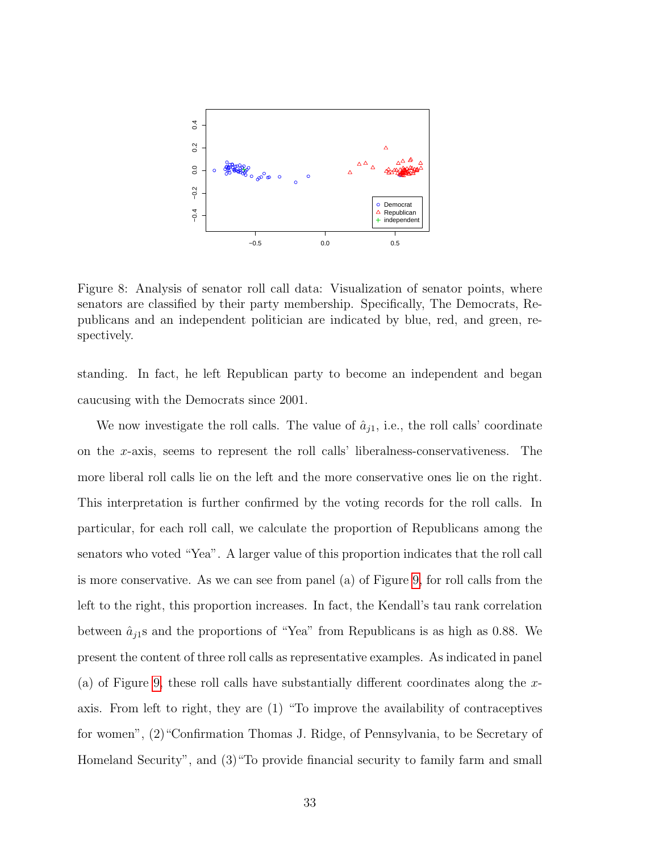<span id="page-32-0"></span>

Figure 8: Analysis of senator roll call data: Visualization of senator points, where senators are classified by their party membership. Specifically, The Democrats, Republicans and an independent politician are indicated by blue, red, and green, respectively.

standing. In fact, he left Republican party to become an independent and began caucusing with the Democrats since 2001.

We now investigate the roll calls. The value of  $\hat{a}_{i1}$ , i.e., the roll calls' coordinate on the x-axis, seems to represent the roll calls' liberalness-conservativeness. The more liberal roll calls lie on the left and the more conservative ones lie on the right. This interpretation is further confirmed by the voting records for the roll calls. In particular, for each roll call, we calculate the proportion of Republicans among the senators who voted "Yea". A larger value of this proportion indicates that the roll call is more conservative. As we can see from panel (a) of Figure [9,](#page-34-0) for roll calls from the left to the right, this proportion increases. In fact, the Kendall's tau rank correlation between  $\hat{a}_{j1}$ s and the proportions of "Yea" from Republicans is as high as 0.88. We present the content of three roll calls as representative examples. As indicated in panel (a) of Figure [9,](#page-34-0) these roll calls have substantially different coordinates along the xaxis. From left to right, they are (1) "To improve the availability of contraceptives for women", (2)"Confirmation Thomas J. Ridge, of Pennsylvania, to be Secretary of Homeland Security", and (3)"To provide financial security to family farm and small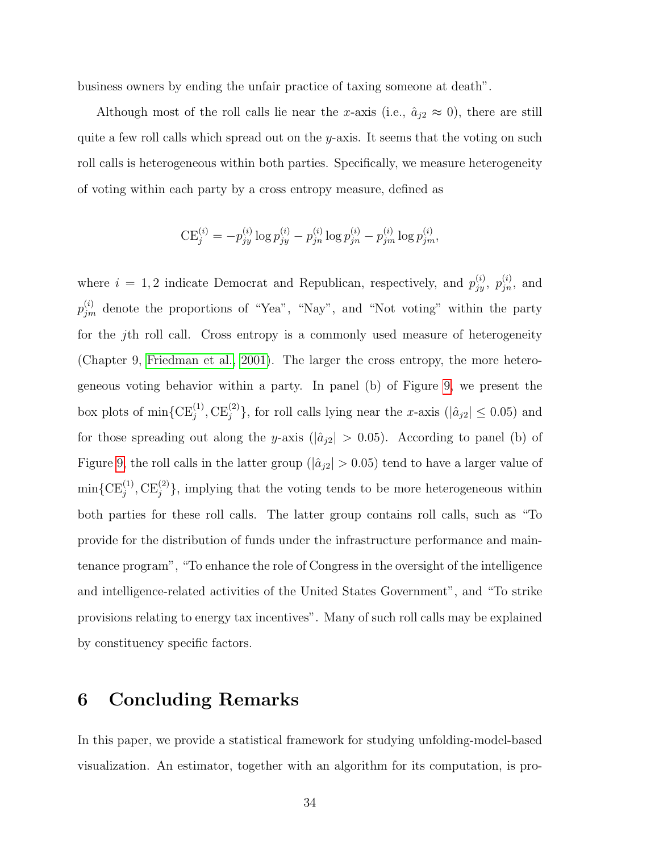business owners by ending the unfair practice of taxing someone at death".

Although most of the roll calls lie near the x-axis (i.e.,  $\hat{a}_{j2} \approx 0$ ), there are still quite a few roll calls which spread out on the y-axis. It seems that the voting on such roll calls is heterogeneous within both parties. Specifically, we measure heterogeneity of voting within each party by a cross entropy measure, defined as

$$
CE_j^{(i)} = -p_{jy}^{(i)} \log p_{jy}^{(i)} - p_{jn}^{(i)} \log p_{jn}^{(i)} - p_{jm}^{(i)} \log p_{jm}^{(i)},
$$

where  $i = 1, 2$  indicate Democrat and Republican, respectively, and  $p_{jy}^{(i)}$ ,  $p_{jn}^{(i)}$ , and  $p_{jm}^{(i)}$  denote the proportions of "Yea", "Nay", and "Not voting" within the party for the jth roll call. Cross entropy is a commonly used measure of heterogeneity (Chapter 9, [Friedman et al., 2001\)](#page-69-8). The larger the cross entropy, the more heterogeneous voting behavior within a party. In panel (b) of Figure [9,](#page-34-0) we present the box plots of  $\min\{CE_j^{(1)}, CE_j^{(2)}\}$ , for roll calls lying near the x-axis ( $|\hat{a}_{j2}| \leq 0.05$ ) and for those spreading out along the y-axis ( $|\hat{a}_{j2}| > 0.05$ ). According to panel (b) of Figure [9,](#page-34-0) the roll calls in the latter group ( $|\hat{a}_{j2}| > 0.05$ ) tend to have a larger value of  $\min\{ \text{CE}_j^{(1)}, \text{CE}_j^{(2)} \},$  implying that the voting tends to be more heterogeneous within both parties for these roll calls. The latter group contains roll calls, such as "To provide for the distribution of funds under the infrastructure performance and maintenance program", "To enhance the role of Congress in the oversight of the intelligence and intelligence-related activities of the United States Government", and "To strike provisions relating to energy tax incentives". Many of such roll calls may be explained by constituency specific factors.

## <span id="page-33-0"></span>6 Concluding Remarks

In this paper, we provide a statistical framework for studying unfolding-model-based visualization. An estimator, together with an algorithm for its computation, is pro-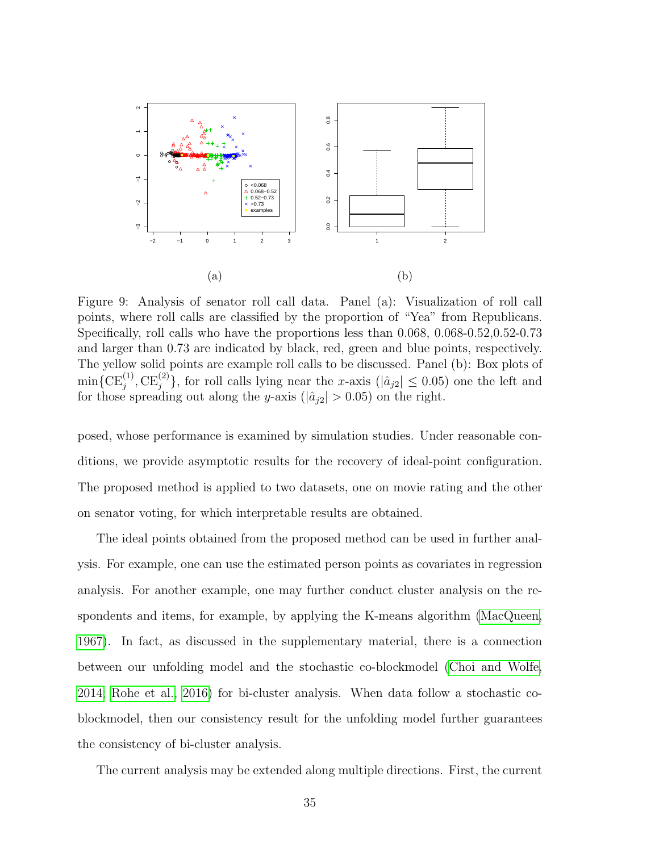<span id="page-34-0"></span>

Figure 9: Analysis of senator roll call data. Panel (a): Visualization of roll call points, where roll calls are classified by the proportion of "Yea" from Republicans. Specifically, roll calls who have the proportions less than 0.068, 0.068-0.52,0.52-0.73 and larger than 0.73 are indicated by black, red, green and blue points, respectively. The yellow solid points are example roll calls to be discussed. Panel (b): Box plots of  $\min\{ \text{CE}_j^{(1)}, \text{CE}_j^{(2)} \},$  for roll calls lying near the x-axis  $(|a_{j2}| \le 0.05)$  one the left and for those spreading out along the y-axis ( $|\hat{a}_{j2}| > 0.05$ ) on the right.

posed, whose performance is examined by simulation studies. Under reasonable conditions, we provide asymptotic results for the recovery of ideal-point configuration. The proposed method is applied to two datasets, one on movie rating and the other on senator voting, for which interpretable results are obtained.

The ideal points obtained from the proposed method can be used in further analysis. For example, one can use the estimated person points as covariates in regression analysis. For another example, one may further conduct cluster analysis on the respondents and items, for example, by applying the K-means algorithm [\(MacQueen,](#page-71-9) [1967\)](#page-71-9). In fact, as discussed in the supplementary material, there is a connection between our unfolding model and the stochastic co-blockmodel [\(Choi and Wolfe,](#page-68-6) [2014;](#page-68-6) [Rohe et al., 2016\)](#page-72-6) for bi-cluster analysis. When data follow a stochastic coblockmodel, then our consistency result for the unfolding model further guarantees the consistency of bi-cluster analysis.

The current analysis may be extended along multiple directions. First, the current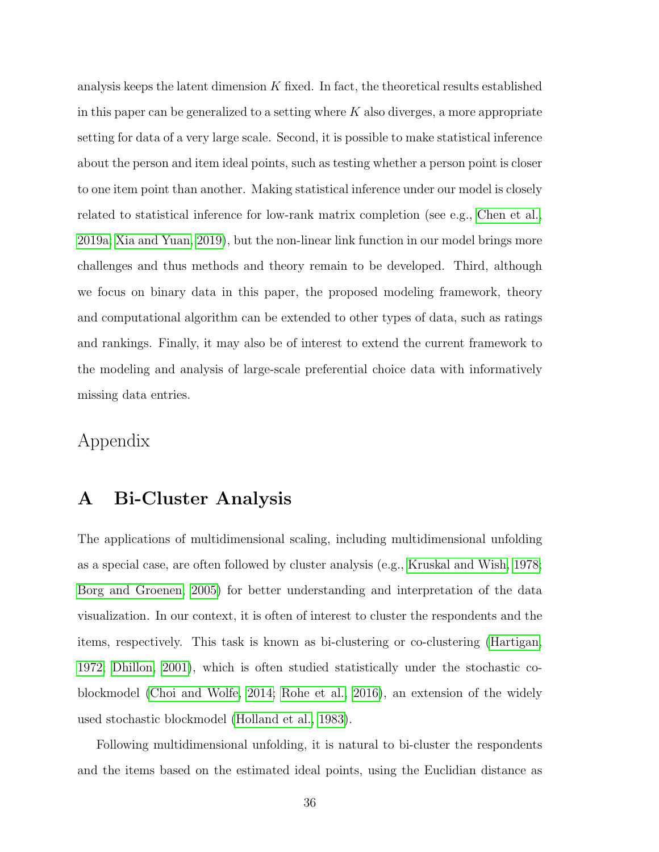analysis keeps the latent dimension K fixed. In fact, the theoretical results established in this paper can be generalized to a setting where  $K$  also diverges, a more appropriate setting for data of a very large scale. Second, it is possible to make statistical inference about the person and item ideal points, such as testing whether a person point is closer to one item point than another. Making statistical inference under our model is closely related to statistical inference for low-rank matrix completion (see e.g., [Chen et al.,](#page-68-7) [2019a;](#page-68-7) [Xia and Yuan, 2019\)](#page-72-7), but the non-linear link function in our model brings more challenges and thus methods and theory remain to be developed. Third, although we focus on binary data in this paper, the proposed modeling framework, theory and computational algorithm can be extended to other types of data, such as ratings and rankings. Finally, it may also be of interest to extend the current framework to the modeling and analysis of large-scale preferential choice data with informatively missing data entries.

## Appendix

## A Bi-Cluster Analysis

The applications of multidimensional scaling, including multidimensional unfolding as a special case, are often followed by cluster analysis (e.g., [Kruskal and Wish, 1978;](#page-70-3) [Borg and Groenen, 2005\)](#page-67-3) for better understanding and interpretation of the data visualization. In our context, it is often of interest to cluster the respondents and the items, respectively. This task is known as bi-clustering or co-clustering [\(Hartigan,](#page-70-9) [1972;](#page-70-9) [Dhillon, 2001\)](#page-69-9), which is often studied statistically under the stochastic coblockmodel [\(Choi and Wolfe, 2014;](#page-68-6) [Rohe et al., 2016\)](#page-72-6), an extension of the widely used stochastic blockmodel [\(Holland et al., 1983\)](#page-70-10).

Following multidimensional unfolding, it is natural to bi-cluster the respondents and the items based on the estimated ideal points, using the Euclidian distance as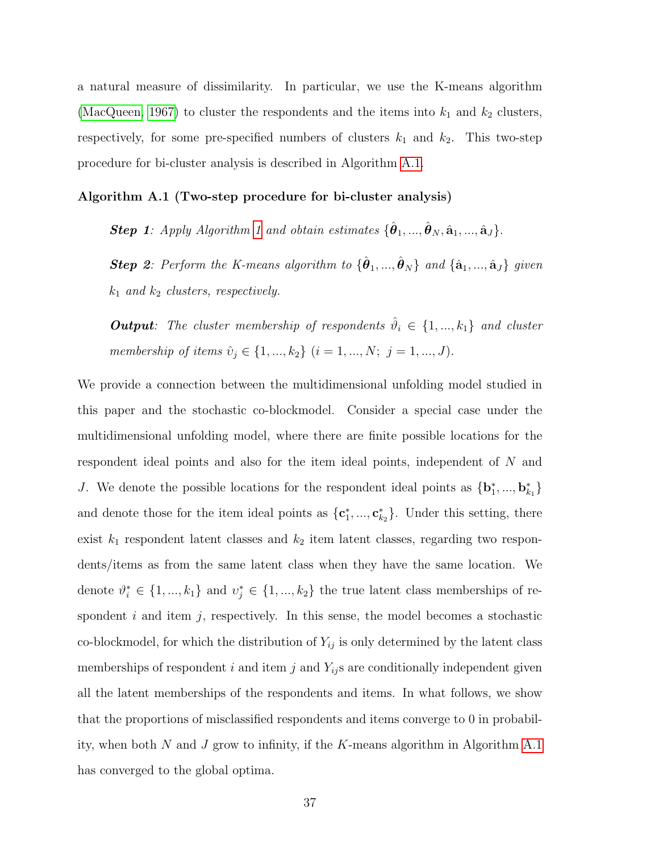a natural measure of dissimilarity. In particular, we use the K-means algorithm [\(MacQueen, 1967\)](#page-71-0) to cluster the respondents and the items into  $k_1$  and  $k_2$  clusters, respectively, for some pre-specified numbers of clusters  $k_1$  and  $k_2$ . This two-step procedure for bi-cluster analysis is described in Algorithm [A.1.](#page-36-0)

<span id="page-36-0"></span>Algorithm A.1 (Two-step procedure for bi-cluster analysis)

**Step [1](#page-18-0)**: Apply Algorithm 1 and obtain estimates  $\{\hat{\boldsymbol{\theta}}_1, ..., \hat{\boldsymbol{\theta}}_N, \hat{\mathbf{a}}_1, ..., \hat{\mathbf{a}}_J\}$ .

**Step 2**: Perform the K-means algorithm to  $\{\hat{\boldsymbol{\theta}}_1, ..., \hat{\boldsymbol{\theta}}_N\}$  and  $\{\hat{\mathbf{a}}_1, ..., \hat{\mathbf{a}}_J\}$  given  $k_1$  and  $k_2$  clusters, respectively.

**Output**: The cluster membership of respondents  $\hat{\theta}_i \in \{1, ..., k_1\}$  and cluster membership of items  $\hat{v}_j \in \{1, ..., k_2\}$   $(i = 1, ..., N; j = 1, ..., J)$ .

<span id="page-36-1"></span>We provide a connection between the multidimensional unfolding model studied in this paper and the stochastic co-blockmodel. Consider a special case under the multidimensional unfolding model, where there are finite possible locations for the respondent ideal points and also for the item ideal points, independent of N and J. We denote the possible locations for the respondent ideal points as  $\{b_1^*,...,b_{k_1}^*\}$ and denote those for the item ideal points as  $\{\mathbf{c}_1^*,...,\mathbf{c}_{k_2}^*\}$ . Under this setting, there exist  $k_1$  respondent latent classes and  $k_2$  item latent classes, regarding two respondents/items as from the same latent class when they have the same location. We denote  $\vartheta_i^* \in \{1, ..., k_1\}$  and  $v_j^* \in \{1, ..., k_2\}$  the true latent class memberships of respondent  $i$  and item  $j$ , respectively. In this sense, the model becomes a stochastic co-blockmodel, for which the distribution of  $Y_{ij}$  is only determined by the latent class memberships of respondent i and item j and  $Y_{ij}$ s are conditionally independent given all the latent memberships of the respondents and items. In what follows, we show that the proportions of misclassified respondents and items converge to 0 in probability, when both  $N$  and  $J$  grow to infinity, if the  $K$ -means algorithm in Algorithm [A.1](#page-36-0) has converged to the global optima.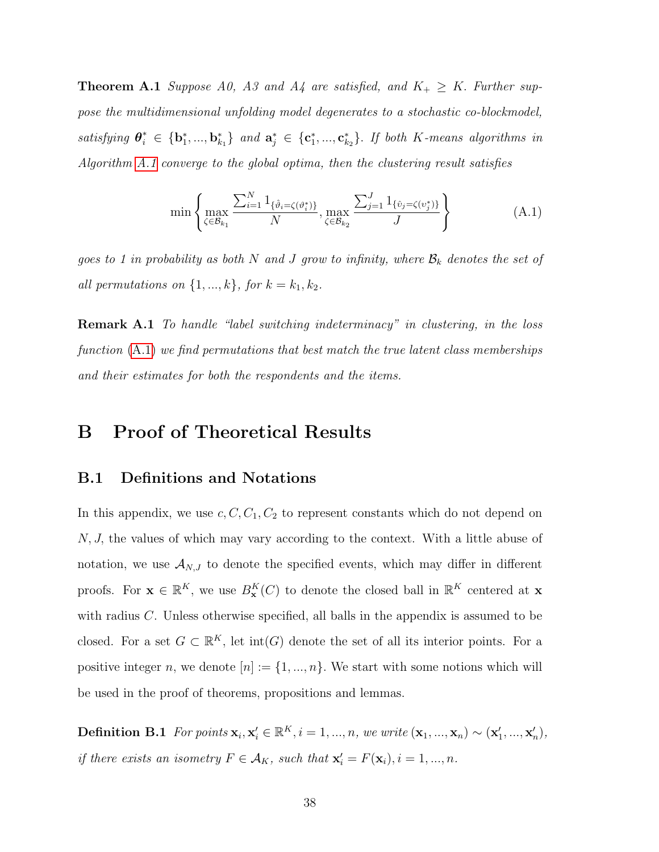**Theorem A.1** Suppose A0, A3 and A4 are satisfied, and  $K_+ \geq K$ . Further suppose the multidimensional unfolding model degenerates to a stochastic co-blockmodel, satisfying  $\theta_i^* \in \{\mathbf{b}_1^*,...,\mathbf{b}_{k_1}^*\}$  and  $\mathbf{a}_j^* \in \{\mathbf{c}_1^*,...,\mathbf{c}_{k_2}^*\}$ . If both K-means algorithms in Algorithm [A.1](#page-36-0) converge to the global optima, then the clustering result satisfies

<span id="page-37-0"></span>
$$
\min \left\{ \max_{\zeta \in \mathcal{B}_{k_1}} \frac{\sum_{i=1}^N 1_{\{\hat{v}_i = \zeta(v_i^*)\}}}{N}, \max_{\zeta \in \mathcal{B}_{k_2}} \frac{\sum_{j=1}^J 1_{\{\hat{v}_j = \zeta(v_j^*)\}}}{J} \right\}
$$
(A.1)

goes to 1 in probability as both N and J grow to infinity, where  $\mathcal{B}_k$  denotes the set of all permutations on  $\{1, ..., k\}$ , for  $k = k_1, k_2$ .

Remark A.1 To handle "label switching indeterminacy" in clustering, in the loss function  $(A.1)$  we find permutations that best match the true latent class memberships and their estimates for both the respondents and the items.

## B Proof of Theoretical Results

#### B.1 Definitions and Notations

In this appendix, we use  $c, C, C_1, C_2$  to represent constants which do not depend on N, J, the values of which may vary according to the context. With a little abuse of notation, we use  $\mathcal{A}_{N,J}$  to denote the specified events, which may differ in different proofs. For  $\mathbf{x} \in \mathbb{R}^K$ , we use  $B^K_{\mathbf{x}}(C)$  to denote the closed ball in  $\mathbb{R}^K$  centered at  $\mathbf{x}$ with radius C. Unless otherwise specified, all balls in the appendix is assumed to be closed. For a set  $G \subset \mathbb{R}^K$ , let  $\text{int}(G)$  denote the set of all its interior points. For a positive integer n, we denote  $[n] := \{1, ..., n\}$ . We start with some notions which will be used in the proof of theorems, propositions and lemmas.

**Definition B.1** For points  $\mathbf{x}_i, \mathbf{x}'_i \in \mathbb{R}^K$ ,  $i = 1, ..., n$ , we write  $(\mathbf{x}_1, ..., \mathbf{x}_n) \sim (\mathbf{x}'_1, ..., \mathbf{x}'_n)$ , if there exists an isometry  $F \in \mathcal{A}_K$ , such that  $\mathbf{x}'_i = F(\mathbf{x}_i)$ ,  $i = 1, ..., n$ .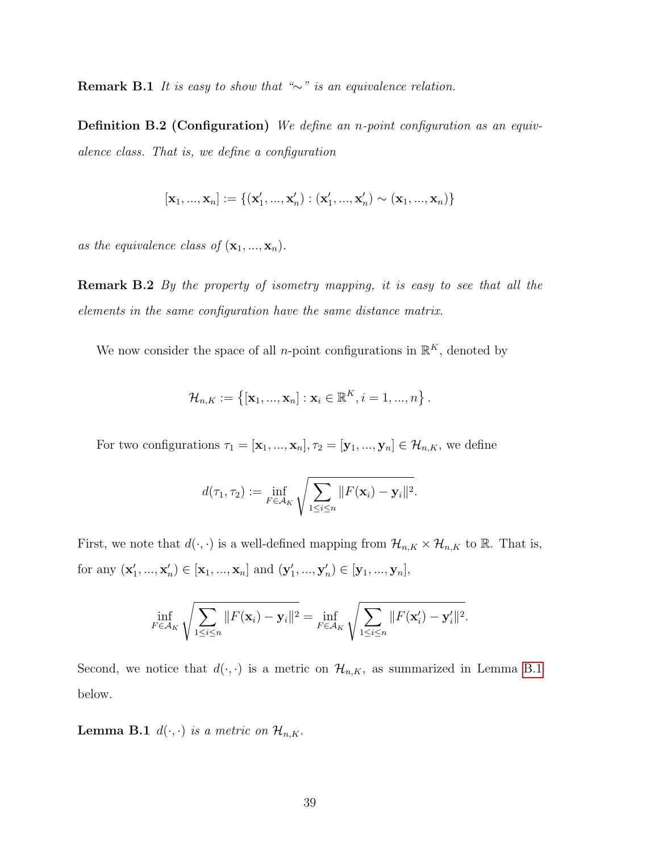Remark B.1 It is easy to show that " $\sim$ " is an equivalence relation.

Definition B.2 (Configuration) We define an n-point configuration as an equivalence class. That is, we define a configuration

$$
[\mathbf{x}_1,...,\mathbf{x}_n]:=\{(\mathbf{x}'_1,...,\mathbf{x}'_n):(\mathbf{x}'_1,...,\mathbf{x}'_n)\sim (\mathbf{x}_1,...,\mathbf{x}_n)\}
$$

as the equivalence class of  $(\mathbf{x}_1, ..., \mathbf{x}_n)$ .

**Remark B.2** By the property of isometry mapping, it is easy to see that all the elements in the same configuration have the same distance matrix.

We now consider the space of all *n*-point configurations in  $\mathbb{R}^K$ , denoted by

$$
\mathcal{H}_{n,K} := \left\{ \left[ \mathbf{x}_1, ..., \mathbf{x}_n \right] : \mathbf{x}_i \in \mathbb{R}^K, i = 1, ..., n \right\}.
$$

For two configurations  $\tau_1 = [\mathbf{x}_1, ..., \mathbf{x}_n], \tau_2 = [\mathbf{y}_1, ..., \mathbf{y}_n] \in \mathcal{H}_{n,K}$ , we define

$$
d(\tau_1, \tau_2) := \inf_{F \in \mathcal{A}_K} \sqrt{\sum_{1 \leq i \leq n} ||F(\mathbf{x}_i) - \mathbf{y}_i||^2}.
$$

First, we note that  $d(\cdot, \cdot)$  is a well-defined mapping from  $\mathcal{H}_{n,K} \times \mathcal{H}_{n,K}$  to  $\mathbb{R}$ . That is, for any  $(x'_1, ..., x'_n) \in [x_1, ..., x_n]$  and  $(y'_1, ..., y'_n) \in [y_1, ..., y_n]$ ,

$$
\inf_{F \in \mathcal{A}_K} \sqrt{\sum_{1 \leq i \leq n} ||F(\mathbf{x}_i) - \mathbf{y}_i||^2} = \inf_{F \in \mathcal{A}_K} \sqrt{\sum_{1 \leq i \leq n} ||F(\mathbf{x}'_i) - \mathbf{y}'_i||^2}.
$$

<span id="page-38-0"></span>Second, we notice that  $d(\cdot, \cdot)$  is a metric on  $\mathcal{H}_{n,K}$ , as summarized in Lemma [B.1](#page-38-0) below.

**Lemma B.1**  $d(\cdot, \cdot)$  is a metric on  $\mathcal{H}_{n,K}$ .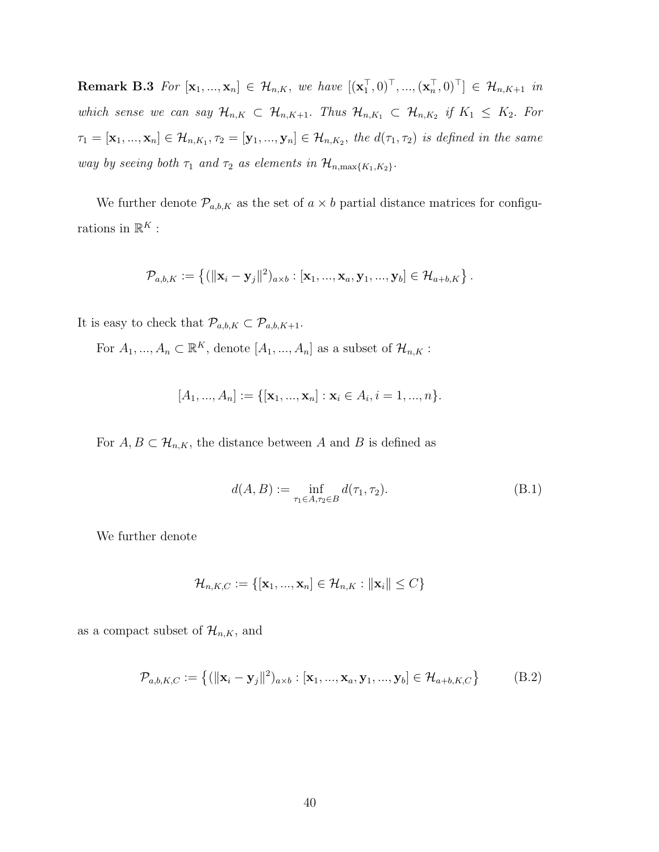**Remark B.3** For  $[\mathbf{x}_1, ..., \mathbf{x}_n] \in \mathcal{H}_{n,K}$ , we have  $[(\mathbf{x}_1^\top, 0)^\top, ..., (\mathbf{x}_n^\top, 0)^\top] \in \mathcal{H}_{n,K+1}$  in which sense we can say  $\mathcal{H}_{n,K} \subset \mathcal{H}_{n,K+1}$ . Thus  $\mathcal{H}_{n,K_1} \subset \mathcal{H}_{n,K_2}$  if  $K_1 \leq K_2$ . For  $\tau_1=[{\bf x}_1,...,{\bf x}_n]\in {\cal H}_{n,K_1}, \tau_2=[{\bf y}_1,...,{\bf y}_n]\in {\cal H}_{n,K_2},$  the  $d(\tau_1,\tau_2)$  is defined in the same way by seeing both  $\tau_1$  and  $\tau_2$  as elements in  $\mathcal{H}_{n,\max\{K_1,K_2\}}$ .

We further denote  $\mathcal{P}_{a,b,K}$  as the set of  $a \times b$  partial distance matrices for configurations in  $\mathbb{R}^K$  :

$$
\mathcal{P}_{a,b,K} := \left\{ (\Vert \mathbf{x}_i - \mathbf{y}_j \Vert^2)_{a \times b} : [\mathbf{x}_1, ..., \mathbf{x}_a, \mathbf{y}_1, ..., \mathbf{y}_b] \in \mathcal{H}_{a+b,K} \right\}.
$$

It is easy to check that  $\mathcal{P}_{a,b,K} \subset \mathcal{P}_{a,b,K+1}.$ 

For  $A_1, ..., A_n \subset \mathbb{R}^K$ , denote  $[A_1, ..., A_n]$  as a subset of  $\mathcal{H}_{n,K}$ :

$$
[A_1, ..., A_n] := \{ [\mathbf{x}_1, ..., \mathbf{x}_n] : \mathbf{x}_i \in A_i, i = 1, ..., n \}.
$$

For  $A, B \subset \mathcal{H}_{n,K}$ , the distance between A and B is defined as

<span id="page-39-0"></span>
$$
d(A, B) := \inf_{\tau_1 \in A, \tau_2 \in B} d(\tau_1, \tau_2).
$$
 (B.1)

We further denote

$$
\mathcal{H}_{n,K,C} := \{[\mathbf{x}_1, ..., \mathbf{x}_n] \in \mathcal{H}_{n,K} : \|\mathbf{x}_i\| \le C\}
$$

as a compact subset of  $\mathcal{H}_{n,K}$ , and

$$
\mathcal{P}_{a,b,K,C} := \{ (||\mathbf{x}_i - \mathbf{y}_j||^2)_{a \times b} : [\mathbf{x}_1, ..., \mathbf{x}_a, \mathbf{y}_1, ..., \mathbf{y}_b] \in \mathcal{H}_{a+b,K,C} \}
$$
(B.2)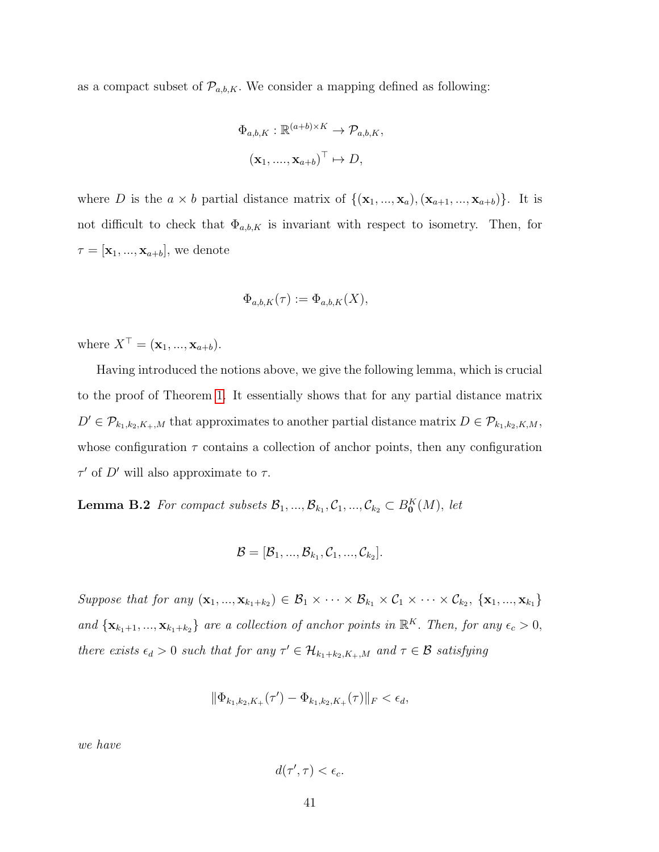as a compact subset of  $\mathcal{P}_{a,b,K}$ . We consider a mapping defined as following:

$$
\Phi_{a,b,K}: \mathbb{R}^{(a+b)\times K} \to \mathcal{P}_{a,b,K},
$$

$$
(\mathbf{x}_1, ..., \mathbf{x}_{a+b})^{\top} \mapsto D,
$$

where D is the  $a \times b$  partial distance matrix of  $\{(\mathbf{x}_1, ..., \mathbf{x}_a), (\mathbf{x}_{a+1}, ..., \mathbf{x}_{a+b})\}$ . It is not difficult to check that  $\Phi_{a,b,K}$  is invariant with respect to isometry. Then, for  $\tau = [\mathbf{x}_1, ..., \mathbf{x}_{a+b}],$  we denote

$$
\Phi_{a,b,K}(\tau) := \Phi_{a,b,K}(X),
$$

where  $X^{\top} = (\mathbf{x}_1, ..., \mathbf{x}_{a+b}).$ 

Having introduced the notions above, we give the following lemma, which is crucial to the proof of Theorem [1.](#page-13-0) It essentially shows that for any partial distance matrix  $D' \in \mathcal{P}_{k_1,k_2,K_+,M}$  that approximates to another partial distance matrix  $D \in \mathcal{P}_{k_1,k_2,K,M}$ , whose configuration  $\tau$  contains a collection of anchor points, then any configuration  $\tau'$  of D' will also approximate to  $\tau$ .

<span id="page-40-0"></span>**Lemma B.2** For compact subsets  $\mathcal{B}_1, ..., \mathcal{B}_{k_1}, \mathcal{C}_1, ..., \mathcal{C}_{k_2} \subset B_0^K(M)$ , let

$$
\mathcal{B}=[\mathcal{B}_1,...,\mathcal{B}_{k_1},\mathcal{C}_1,...,\mathcal{C}_{k_2}].
$$

Suppose that for any  $(\mathbf{x}_1, ..., \mathbf{x}_{k_1+k_2}) \in \mathcal{B}_1 \times \cdots \times \mathcal{B}_{k_1} \times \mathcal{C}_1 \times \cdots \times \mathcal{C}_{k_2}, \{\mathbf{x}_1, ..., \mathbf{x}_{k_1}\}\$ and  $\{x_{k_1+1},...,x_{k_1+k_2}\}\$  are a collection of anchor points in  $\mathbb{R}^K$ . Then, for any  $\epsilon_c > 0$ , there exists  $\epsilon_d > 0$  such that for any  $\tau' \in \mathcal{H}_{k_1+k_2,K_+,M}$  and  $\tau \in \mathcal{B}$  satisfying

$$
\|\Phi_{k_1,k_2,K_+}(\tau') - \Phi_{k_1,k_2,K_+}(\tau)\|_F < \epsilon_d,
$$

we have

$$
d(\tau', \tau) < \epsilon_c.
$$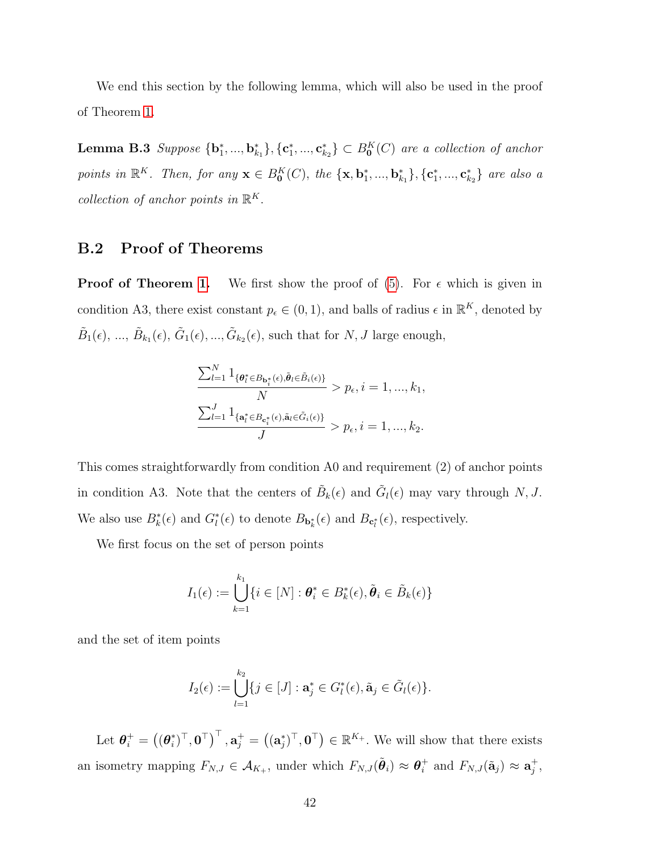<span id="page-41-0"></span>We end this section by the following lemma, which will also be used in the proof of Theorem [1.](#page-13-0)

**Lemma B.3** Suppose  ${\bf\{b_1^*,...,b_{k_1}^*\}, {\bf\{c_1^*,...,c_{k_2}^*\}} \subset B_0^K(C)$  are a collection of anchor points in  $\mathbb{R}^K$ . Then, for any  $\mathbf{x} \in B_0^K(C)$ , the  $\{\mathbf{x}, \mathbf{b}_1^*, ..., \mathbf{b}_{k_1}^*\}$ ,  $\{\mathbf{c}_1^*, ..., \mathbf{c}_{k_2}^*\}$  are also a collection of anchor points in  $\mathbb{R}^K$ .

### B.2 Proof of Theorems

**Proof of Theorem [1.](#page-13-0)** We first show the proof of  $(5)$ . For  $\epsilon$  which is given in condition A3, there exist constant  $p_{\epsilon} \in (0, 1)$ , and balls of radius  $\epsilon$  in  $\mathbb{R}^{K}$ , denoted by  $\tilde{B}_1(\epsilon), \dots, \tilde{B}_{k_1}(\epsilon), \tilde{G}_1(\epsilon), \dots, \tilde{G}_{k_2}(\epsilon)$ , such that for  $N, J$  large enough,

$$
\frac{\sum_{l=1}^{N} 1_{\{\theta_{l}^{*} \in B_{\mathbf{b}_{i}^{*}}(\epsilon), \tilde{\theta}_{l} \in \tilde{B}_{i}(\epsilon)\}}{N} > p_{\epsilon}, i = 1, ..., k_{1},
$$
  

$$
\frac{\sum_{l=1}^{J} 1_{\{\mathbf{a}_{l}^{*} \in B_{\mathbf{c}_{i}^{*}}(\epsilon), \tilde{\mathbf{a}}_{l} \in \tilde{G}_{i}(\epsilon)\}}{J} > p_{\epsilon}, i = 1, ..., k_{2}.
$$

This comes straightforwardly from condition A0 and requirement (2) of anchor points in condition A3. Note that the centers of  $\tilde{B}_k(\epsilon)$  and  $\tilde{G}_l(\epsilon)$  may vary through N, J. We also use  $B_k^*(\epsilon)$  and  $G_l^*(\epsilon)$  to denote  $B_{\mathbf{b}_k^*}(\epsilon)$  and  $B_{\mathbf{c}_l^*}(\epsilon)$ , respectively.

We first focus on the set of person points

$$
I_1(\epsilon) := \bigcup_{k=1}^{k_1} \{ i \in [N] : \boldsymbol{\theta}_i^* \in B_k^*(\epsilon), \tilde{\boldsymbol{\theta}}_i \in \tilde{B}_k(\epsilon) \}
$$

and the set of item points

$$
I_2(\epsilon) := \bigcup_{l=1}^{k_2} \{ j \in [J] : \mathbf{a}_j^* \in G_l^*(\epsilon), \tilde{\mathbf{a}}_j \in \tilde{G}_l(\epsilon) \}.
$$

Let  $\boldsymbol{\theta}_i^+ = \big( (\boldsymbol{\theta}_i^*$  $\mathbf{a}_{i}^{*}$ ,  $\mathbf{0}^{\top}$ ,  $\mathbf{a}_{j}^{+} = ((\mathbf{a}_{j}^{*})^{\top}, \mathbf{0}^{\top}) \in \mathbb{R}^{K_{+}}$ . We will show that there exists an isometry mapping  $F_{N,J} \in \mathcal{A}_{K_+}$ , under which  $F_{N,J}(\tilde{\boldsymbol{\theta}}_i) \approx \boldsymbol{\theta}_i^+$  $i^+$  and  $F_{N,J}(\tilde{\mathbf{a}}_j) \approx \mathbf{a}_j^+$  $^+_j,$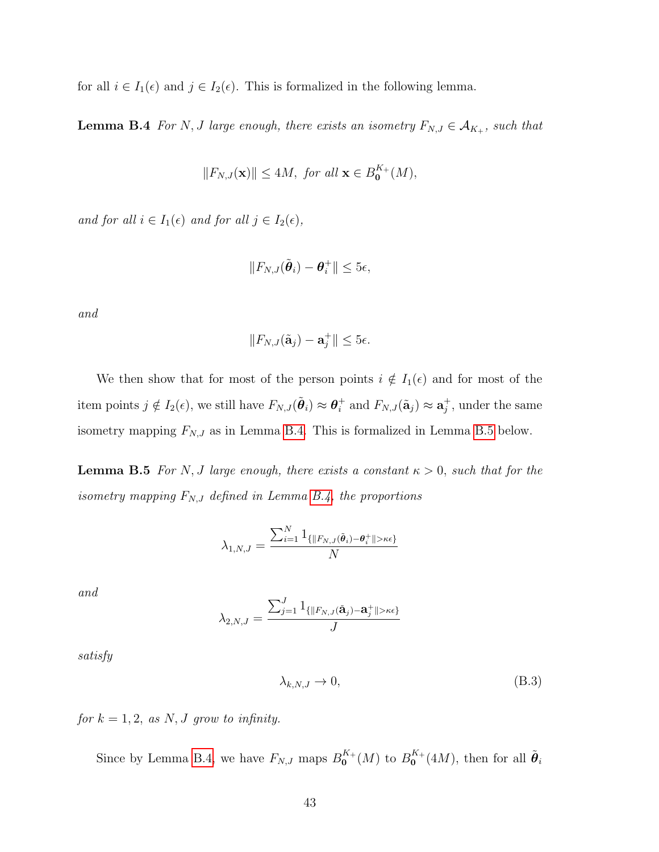<span id="page-42-0"></span>for all  $i \in I_1(\epsilon)$  and  $j \in I_2(\epsilon)$ . This is formalized in the following lemma.

**Lemma B.4** For N, J large enough, there exists an isometry  $F_{N,J} \in \mathcal{A}_{K_{+}}$ , such that

$$
||F_{N,J}(\mathbf{x})|| \le 4M, \text{ for all } \mathbf{x} \in B_0^{K_+}(M),
$$

and for all  $i \in I_1(\epsilon)$  and for all  $j \in I_2(\epsilon)$ ,

$$
||F_{N,J}(\tilde{\boldsymbol{\theta}}_i)-\boldsymbol{\theta}_i^+||\leq 5\epsilon,
$$

and

$$
||F_{N,J}(\tilde{\mathbf{a}}_j) - \mathbf{a}_j^+|| \leq 5\epsilon.
$$

We then show that for most of the person points  $i \notin I_1(\epsilon)$  and for most of the item points  $j \notin I_2(\epsilon)$ , we still have  $F_{N,J}(\tilde{\boldsymbol{\theta}}_i) \approx \boldsymbol{\theta}_i^+$ <sup>+</sup> and  $F_{N,J}(\tilde{\mathbf{a}}_j) \approx \mathbf{a}_j^+$  $j^+$ , under the same isometry mapping  $F_{N,J}$  as in Lemma [B.4.](#page-42-0) This is formalized in Lemma [B.5](#page-42-1) below.

<span id="page-42-1"></span>**Lemma B.5** For N, J large enough, there exists a constant  $\kappa > 0$ , such that for the isometry mapping  $F_{N,J}$  defined in Lemma [B.4,](#page-42-0) the proportions

$$
\lambda_{1,N,J} = \frac{\sum_{i=1}^N \mathbf{1}_{\{\|F_{N,J}(\tilde{\boldsymbol{\theta}}_i) - \boldsymbol{\theta}_i^+\| > \kappa \epsilon\}}}{N}
$$

and

$$
\lambda_{2,N,J}=\frac{\sum_{j=1}^J\mathbb{1}_{\{\|F_{N,J}(\tilde{\mathbf{a}}_j)-\mathbf{a}^+_j\|>\kappa\epsilon\}}}{J}
$$

satisfy

<span id="page-42-2"></span>
$$
\lambda_{k,N,J} \to 0,\tag{B.3}
$$

for  $k = 1, 2$ , as N, J grow to infinity.

Since by Lemma [B.4,](#page-42-0) we have  $F_{N,J}$  maps  $B_0^{K_{+}}$  $\binom{K}{0}$  to  $B_0^{K_+}$  $\overset{K_+}{\mathbf{0}}(4M)$ , then for all  $\tilde{\boldsymbol{\theta}}_i$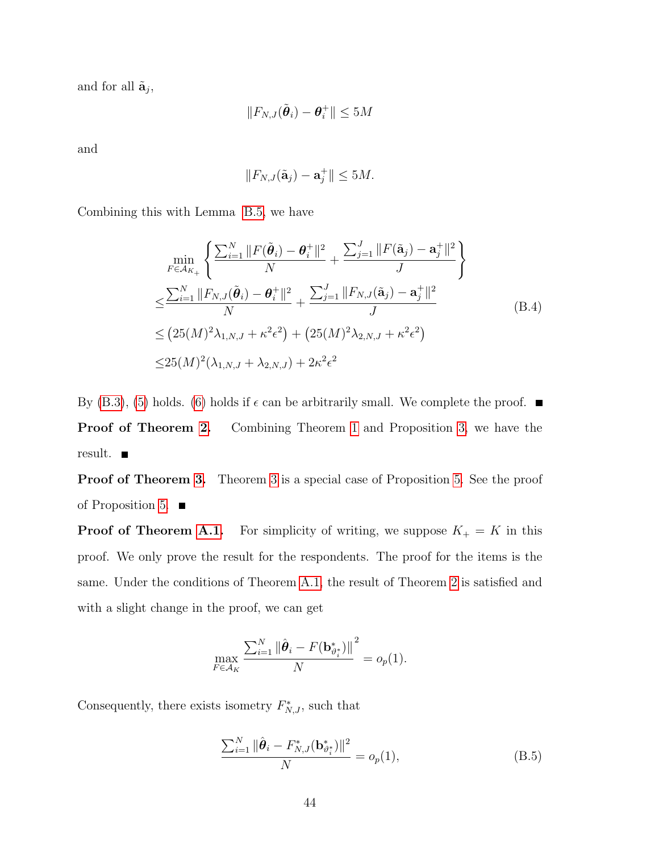and for all  $\tilde{\mathbf{a}}_j$ ,

$$
\|F_{N,J}(\tilde{\boldsymbol{\theta}}_i)-\boldsymbol{\theta}_i^+\|\leq 5M
$$

and

$$
||F_{N,J}(\tilde{\mathbf{a}}_j) - \mathbf{a}_j^+|| \le 5M.
$$

Combining this with Lemma [B.5,](#page-42-1) we have

$$
\min_{F \in \mathcal{A}_{K_{+}}} \left\{ \frac{\sum_{i=1}^{N} \|F(\tilde{\theta}_{i}) - \theta_{i}^{+}\|^{2}}{N} + \frac{\sum_{j=1}^{J} \|F(\tilde{\mathbf{a}}_{j}) - \mathbf{a}_{j}^{+}\|^{2}}{J} \right\}
$$
\n
$$
\leq \frac{\sum_{i=1}^{N} \|F_{N,J}(\tilde{\theta}_{i}) - \theta_{i}^{+}\|^{2}}{N} + \frac{\sum_{j=1}^{J} \|F_{N,J}(\tilde{\mathbf{a}}_{j}) - \mathbf{a}_{j}^{+}\|^{2}}{J}
$$
\n
$$
\leq (25(M)^{2} \lambda_{1,N,J} + \kappa^{2} \epsilon^{2}) + (25(M)^{2} \lambda_{2,N,J} + \kappa^{2} \epsilon^{2})
$$
\n
$$
\leq 25(M)^{2} (\lambda_{1,N,J} + \lambda_{2,N,J}) + 2\kappa^{2} \epsilon^{2}
$$
\n
$$
(B.4)
$$

By [\(B.3\)](#page-42-2), [\(5\)](#page-13-1) holds. [\(6\)](#page-14-0) holds if  $\epsilon$  can be arbitrarily small. We complete the proof.  $\blacksquare$ **Proof of Theorem [2.](#page-16-0)** Combining Theorem [1](#page-13-0) and Proposition [3,](#page-15-0) we have the result.

Proof of Theorem [3.](#page-16-1) Theorem [3](#page-16-1) is a special case of Proposition [5.](#page-20-0) See the proof of Proposition [5.](#page-20-0)  $\blacksquare$ 

**Proof of Theorem [A.1.](#page-36-1)** For simplicity of writing, we suppose  $K_{+} = K$  in this proof. We only prove the result for the respondents. The proof for the items is the same. Under the conditions of Theorem [A.1,](#page-36-1) the result of Theorem [2](#page-16-0) is satisfied and with a slight change in the proof, we can get

$$
\max_{F \in \mathcal{A}_K} \frac{\sum_{i=1}^N \|\hat{\boldsymbol{\theta}}_i - F(\mathbf{b}_{\vartheta_i^*}^*)\|^2}{N} = o_p(1).
$$

Consequently, there exists isometry  $F_{N,J}^*$ , such that

<span id="page-43-0"></span>
$$
\frac{\sum_{i=1}^{N} \|\hat{\boldsymbol{\theta}}_i - F_{N,J}^*(\mathbf{b}_{\vartheta_i^*}^*)\|^2}{N} = o_p(1),
$$
\n(B.5)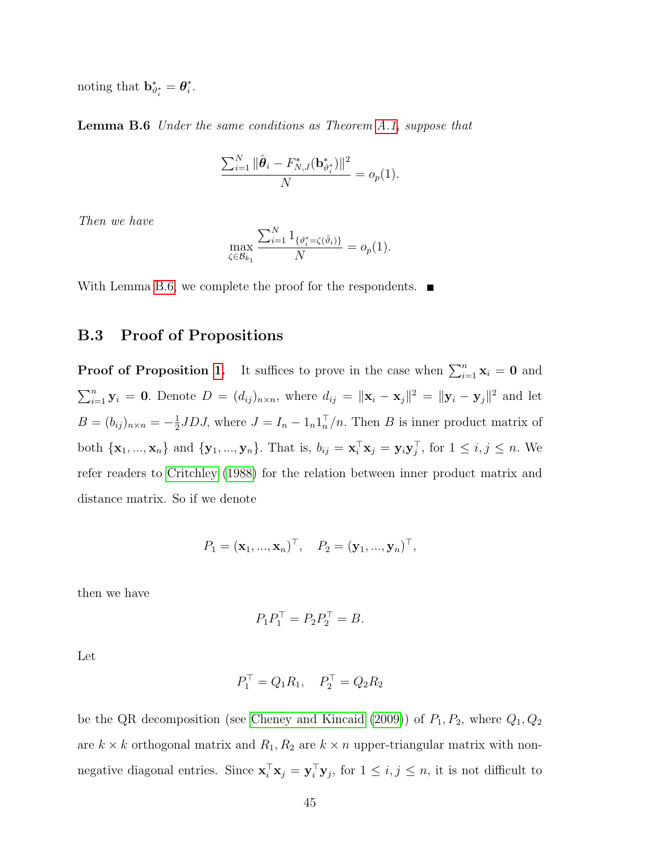<span id="page-44-0"></span>noting that  $\mathbf{b}_{\vartheta_i^*}^* = \boldsymbol{\theta}_i^*$  $\frac{*}{i}$ .

Lemma B.6 Under the same conditions as Theorem [A.1,](#page-36-1) suppose that

$$
\frac{\sum_{i=1}^{N} \|\hat{\boldsymbol{\theta}}_i - F_{N,J}^*(\mathbf{b}_{\vartheta_i^*}^*)\|^2}{N} = o_p(1).
$$

Then we have

$$
\max_{\zeta \in \mathcal{B}_{k_1}} \frac{\sum_{i=1}^N 1_{\{\vartheta_i^* = \zeta(\hat{\vartheta}_i)\}}}{N} = o_p(1).
$$

With Lemma [B.6,](#page-44-0) we complete the proof for the respondents.  $\blacksquare$ 

#### B.3 Proof of Propositions

**Proof of Proposition [1.](#page-9-0)** It suffices to prove in the case when  $\sum_{i=1}^{n} \mathbf{x}_i = \mathbf{0}$  and  $\sum_{i=1}^n \mathbf{y}_i = \mathbf{0}$ . Denote  $D = (d_{ij})_{n \times n}$ , where  $d_{ij} = ||\mathbf{x}_i - \mathbf{x}_j||^2 = ||\mathbf{y}_i - \mathbf{y}_j||^2$  and let  $B = (b_{ij})_{n \times n} = -\frac{1}{2}$  $\frac{1}{2}$ JDJ, where  $J = I_n - 1_n 1_n^{T}/n$ . Then B is inner product matrix of both  $\{\mathbf x_1, ..., \mathbf x_n\}$  and  $\{\mathbf y_1, ..., \mathbf y_n\}$ . That is,  $b_{ij} = \mathbf x_i^{\top} \mathbf x_j = \mathbf y_i \mathbf y_j^{\top}$ , for  $1 \le i, j \le n$ . We refer readers to [Critchley \(1988\)](#page-68-0) for the relation between inner product matrix and distance matrix. So if we denote

$$
P_1 = (\mathbf{x}_1, ..., \mathbf{x}_n)^{\top}, \quad P_2 = (\mathbf{y}_1, ..., \mathbf{y}_n)^{\top},
$$

then we have

$$
P_1 P_1^\top = P_2 P_2^\top = B.
$$

Let

$$
P_1^{\top} = Q_1 R_1, \quad P_2^{\top} = Q_2 R_2
$$

be the QR decomposition (see [Cheney and Kincaid \(2009\)](#page-68-1)) of  $P_1, P_2$ , where  $Q_1, Q_2$ are  $k\times k$  orthogonal matrix and  $R_1,R_2$  are  $k\times n$  upper-triangular matrix with nonnegative diagonal entries. Since  $\mathbf{x}_i^{\top} \mathbf{x}_j = \mathbf{y}_i^{\top} \mathbf{y}_j$ , for  $1 \leq i, j \leq n$ , it is not difficult to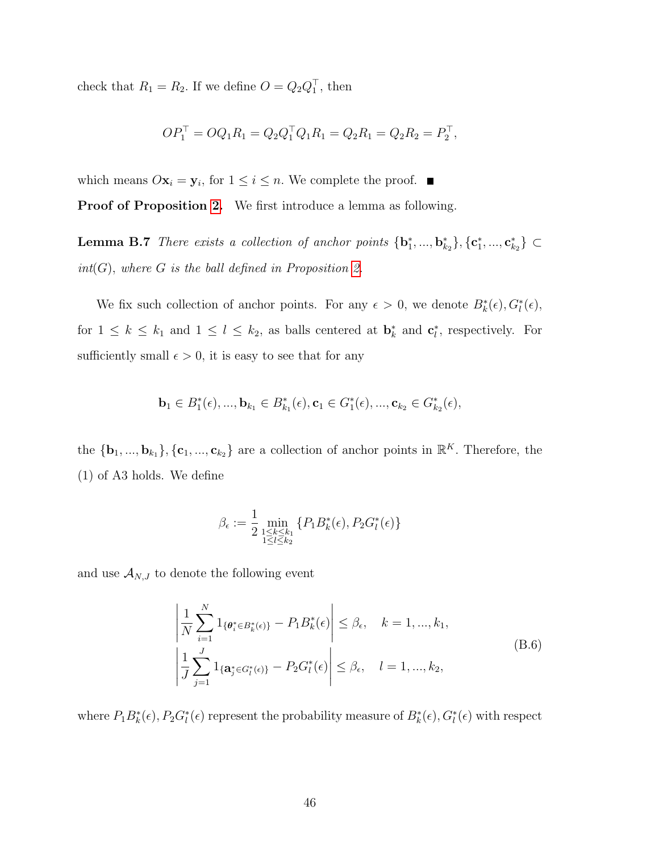check that  $R_1 = R_2$ . If we define  $O = Q_2 Q_1^{\top}$ , then

<span id="page-45-1"></span>
$$
OP_1^{\top} = OQ_1R_1 = Q_2Q_1^{\top}Q_1R_1 = Q_2R_1 = Q_2R_2 = P_2^{\top},
$$

which means  $O\mathbf{x}_i = \mathbf{y}_i$ , for  $1 \leq i \leq n$ . We complete the proof.

Proof of Proposition [2.](#page-14-1) We first introduce a lemma as following.

**Lemma B.7** There exists a collection of anchor points  ${\bf\{b}}_1^*,...,{\bf b}_{k_2}^*{\bf\}}$ ,  ${\bf\{c}}_1^*,...,{\bf c}_{k_2}^*{\bf\}}$   $\subset$  $int(G)$ , where G is the ball defined in Proposition [2.](#page-14-1)

We fix such collection of anchor points. For any  $\epsilon > 0$ , we denote  $B_k^*(\epsilon)$ ,  $G_l^*(\epsilon)$ , for  $1 \leq k \leq k_1$  and  $1 \leq l \leq k_2$ , as balls centered at  $\mathbf{b}_k^*$  and  $\mathbf{c}_l^*$ , respectively. For sufficiently small  $\epsilon > 0$ , it is easy to see that for any

$$
\mathbf{b}_1 \in B_1^*(\epsilon), ..., \mathbf{b}_{k_1} \in B_{k_1}^*(\epsilon), \mathbf{c}_1 \in G_1^*(\epsilon), ..., \mathbf{c}_{k_2} \in G_{k_2}^*(\epsilon),
$$

the  ${\bf \{b_1, ..., b_{k_1}\}, {\bf \{c_1, ..., c_{k_2}\}\}}$  are a collection of anchor points in  $\mathbb{R}^K$ . Therefore, the (1) of A3 holds. We define

$$
\beta_{\epsilon} := \frac{1}{2} \min_{\substack{1 \le k \le k_1 \\ 1 \le l \le k_2}} \{ P_1 B_k^*(\epsilon), P_2 G_l^*(\epsilon) \}
$$

and use  $\mathcal{A}_{N,J}$  to denote the following event

<span id="page-45-0"></span>
$$
\left| \frac{1}{N} \sum_{i=1}^{N} 1_{\{\theta_{i}^{*} \in B_{k}^{*}(\epsilon)\}} - P_{1} B_{k}^{*}(\epsilon) \right| \leq \beta_{\epsilon}, \quad k = 1, ..., k_{1},
$$
\n
$$
\left| \frac{1}{J} \sum_{j=1}^{J} 1_{\{\mathbf{a}_{j}^{*} \in G_{l}^{*}(\epsilon)\}} - P_{2} G_{l}^{*}(\epsilon) \right| \leq \beta_{\epsilon}, \quad l = 1, ..., k_{2},
$$
\n(B.6)

where  $P_1B_k^*(\epsilon)$ ,  $P_2G_l^*(\epsilon)$  represent the probability measure of  $B_k^*(\epsilon)$ ,  $G_l^*(\epsilon)$  with respect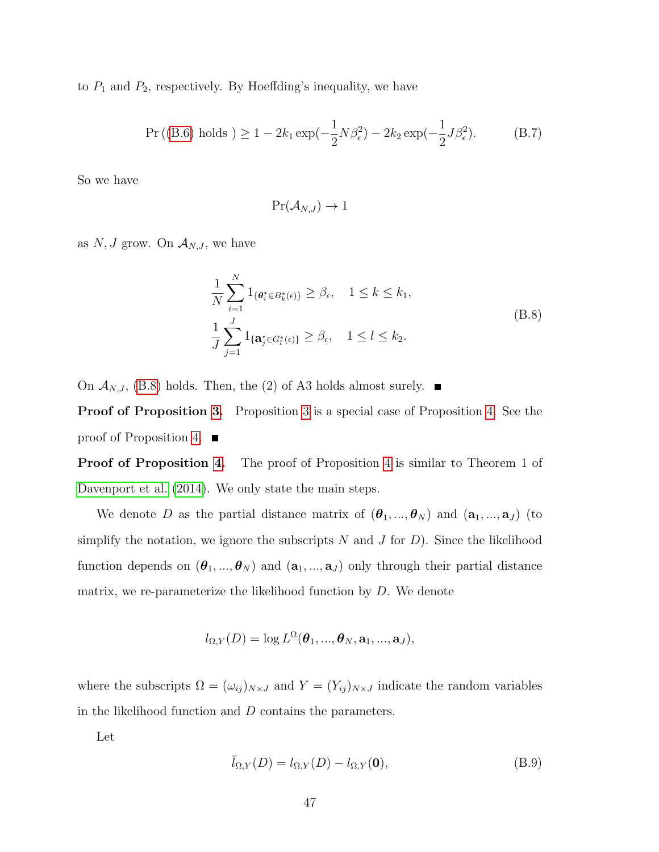to  $P_1$  and  $P_2$ , respectively. By Hoeffding's inequality, we have

$$
\Pr((B.6) \text{ holds}) \ge 1 - 2k_1 \exp(-\frac{1}{2}N\beta_\epsilon^2) - 2k_2 \exp(-\frac{1}{2}J\beta_\epsilon^2). \tag{B.7}
$$

So we have

$$
\Pr(\mathcal{A}_{N,J}) \to 1
$$

as  $N, J$  grow. On  $\mathcal{A}_{N,J}$ , we have

<span id="page-46-0"></span>
$$
\frac{1}{N} \sum_{i=1}^{N} 1_{\{\theta_i^* \in B_k^*(\epsilon)\}} \ge \beta_{\epsilon}, \quad 1 \le k \le k_1,
$$
\n
$$
\frac{1}{J} \sum_{j=1}^{J} 1_{\{\mathbf{a}_j^* \in G_l^*(\epsilon)\}} \ge \beta_{\epsilon}, \quad 1 \le l \le k_2.
$$
\n(B.8)

On  $\mathcal{A}_{N,J}$ , [\(B.8\)](#page-46-0) holds. Then, the (2) of A3 holds almost surely.  $\blacksquare$ 

**Proof of Proposition [3.](#page-15-0)** Proposition [3](#page-15-0) is a special case of Proposition [4.](#page-20-1) See the proof of Proposition [4.](#page-20-1)  $\blacksquare$ 

**Proof of Proposition [4.](#page-20-1)** The proof of Proposition [4](#page-20-1) is similar to Theorem 1 of [Davenport et al. \(2014\)](#page-68-2). We only state the main steps.

We denote D as the partial distance matrix of  $(\theta_1, ..., \theta_N)$  and  $(a_1, ..., a_J)$  (to simplify the notation, we ignore the subscripts  $N$  and  $J$  for  $D$ ). Since the likelihood function depends on  $(\theta_1, ..., \theta_N)$  and  $(a_1, ..., a_J)$  only through their partial distance matrix, we re-parameterize the likelihood function by D. We denote

$$
l_{\Omega,Y}(D) = \log L^{\Omega}(\boldsymbol{\theta}_1, ..., \boldsymbol{\theta}_N, \mathbf{a}_1, ..., \mathbf{a}_J),
$$

where the subscripts  $\Omega = (\omega_{ij})_{N \times J}$  and  $Y = (Y_{ij})_{N \times J}$  indicate the random variables in the likelihood function and  $D$  contains the parameters.

Let

$$
\bar{l}_{\Omega,Y}(D) = l_{\Omega,Y}(D) - l_{\Omega,Y}(\mathbf{0}),\tag{B.9}
$$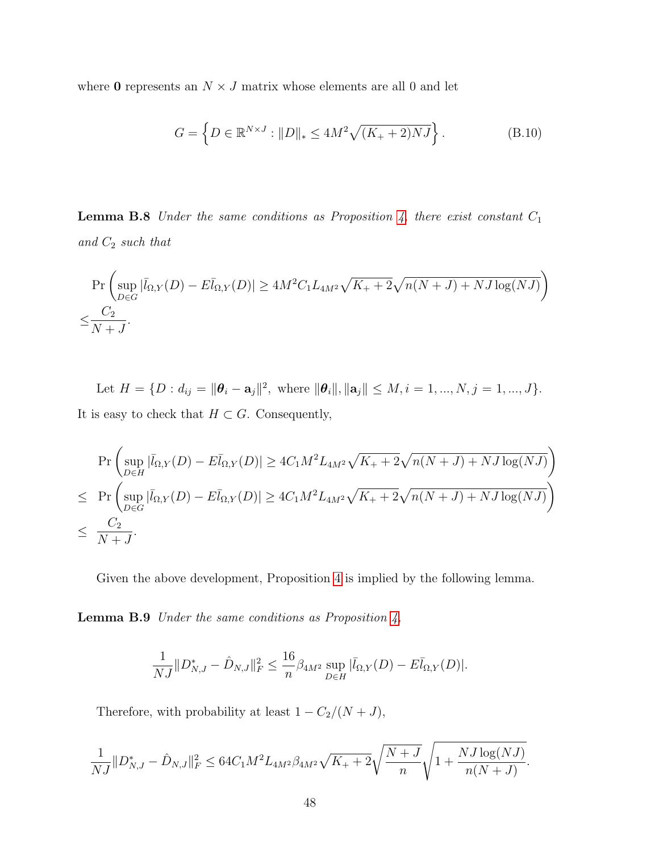where **0** represents an  $N \times J$  matrix whose elements are all 0 and let

$$
G = \left\{ D \in \mathbb{R}^{N \times J} : ||D||_* \le 4M^2 \sqrt{(K_+ + 2)NJ} \right\}.
$$
 (B.10)

<span id="page-47-0"></span>**Lemma B.8** Under the same conditions as Proposition [4,](#page-20-1) there exist constant  $C_1$ and  $C_2$  such that

$$
\Pr\left(\sup_{D\in G}|\bar{l}_{\Omega,Y}(D)-E\bar{l}_{\Omega,Y}(D)|\geq 4M^2C_1L_{4M^2}\sqrt{K_++2}\sqrt{n(N+J)+NJ\log(NJ)}\right)
$$
  

$$
\leq \frac{C_2}{N+J}.
$$

Let  $H = \{D : d_{ij} = ||\boldsymbol{\theta}_i - \mathbf{a}_j||^2, \text{ where } ||\boldsymbol{\theta}_i||, ||\mathbf{a}_j|| \le M, i = 1, ..., N, j = 1, ..., J\}.$ It is easy to check that  $H \subset G$ . Consequently,

$$
\Pr\left(\sup_{D\in H} |\bar{l}_{\Omega,Y}(D) - E\bar{l}_{\Omega,Y}(D)| \ge 4C_1M^2L_{4M^2}\sqrt{K_{+} + 2}\sqrt{n(N+J) + NJ\log(NJ)}\right) \le \Pr\left(\sup_{D\in G} |\bar{l}_{\Omega,Y}(D) - E\bar{l}_{\Omega,Y}(D)| \ge 4C_1M^2L_{4M^2}\sqrt{K_{+} + 2}\sqrt{n(N+J) + NJ\log(NJ)}\right) \le \frac{C_2}{N+J}.
$$

<span id="page-47-1"></span>Given the above development, Proposition [4](#page-20-1) is implied by the following lemma.

**Lemma B.9** Under the same conditions as Proposition  $\lambda$ ,

$$
\frac{1}{NJ} \| D_{N,J}^* - \hat{D}_{N,J} \|_F^2 \le \frac{16}{n} \beta_{4M^2} \sup_{D \in H} |\bar{l}_{\Omega,Y}(D) - E \bar{l}_{\Omega,Y}(D)|.
$$

Therefore, with probability at least  $1 - C_2/(N + J)$ ,

$$
\frac{1}{NJ} \|D_{N,J}^* - \hat{D}_{N,J}\|_F^2 \le 64C_1M^2 L_{4M^2} \beta_{4M^2} \sqrt{K_+ + 2} \sqrt{\frac{N+J}{n}} \sqrt{1 + \frac{NJ\log(NJ)}{n(N+J)}}.
$$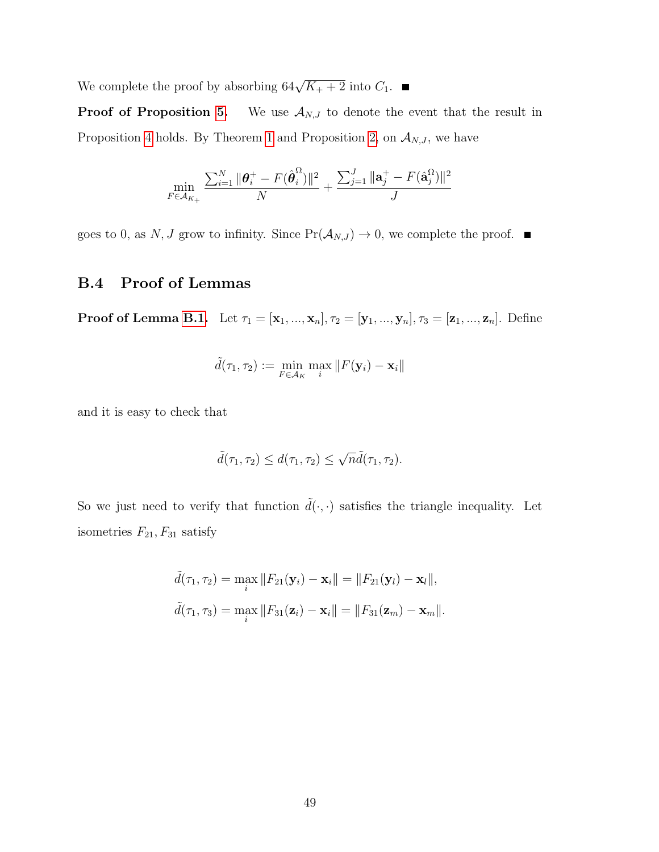We complete the proof by absorbing  $64\sqrt{K_+ + 2}$  into  $C_1$ .

**Proof of Proposition [5.](#page-20-0)** We use  $A_{N,J}$  to denote the event that the result in Proposition [4](#page-20-1) holds. By Theorem [1](#page-13-0) and Proposition [2,](#page-14-1) on  $\mathcal{A}_{N,J}$ , we have

$$
\min_{F \in \mathcal{A}_{K_+}} \frac{\sum_{i=1}^N \|\boldsymbol{\theta}_i^+ - F(\hat{\boldsymbol{\theta}}_i^{\Omega})\|^2}{N} + \frac{\sum_{j=1}^J \|\mathbf{a}_j^+ - F(\hat{\mathbf{a}}_j^{\Omega})\|^2}{J}
$$

goes to 0, as N, J grow to infinity. Since  $Pr(\mathcal{A}_{N,J}) \to 0$ , we complete the proof.  $\blacksquare$ 

### B.4 Proof of Lemmas

**Proof of Lemma [B.1.](#page-38-0)** Let  $\tau_1 = [\mathbf{x}_1, ..., \mathbf{x}_n], \tau_2 = [\mathbf{y}_1, ..., \mathbf{y}_n], \tau_3 = [\mathbf{z}_1, ..., \mathbf{z}_n].$  Define

$$
\tilde{d}(\tau_1, \tau_2) := \min_{F \in \mathcal{A}_K} \max_i \|F(\mathbf{y}_i) - \mathbf{x}_i\|
$$

and it is easy to check that

$$
\tilde{d}(\tau_1, \tau_2) \leq d(\tau_1, \tau_2) \leq \sqrt{n}\tilde{d}(\tau_1, \tau_2).
$$

So we just need to verify that function  $\tilde{d}(\cdot,\cdot)$  satisfies the triangle inequality. Let isometries  $F_{21}, F_{31}$  satisfy

$$
\tilde{d}(\tau_1, \tau_2) = \max_i \|F_{21}(\mathbf{y}_i) - \mathbf{x}_i\| = \|F_{21}(\mathbf{y}_l) - \mathbf{x}_l\|,
$$
  

$$
\tilde{d}(\tau_1, \tau_3) = \max_i \|F_{31}(\mathbf{z}_i) - \mathbf{x}_i\| = \|F_{31}(\mathbf{z}_m) - \mathbf{x}_m\|.
$$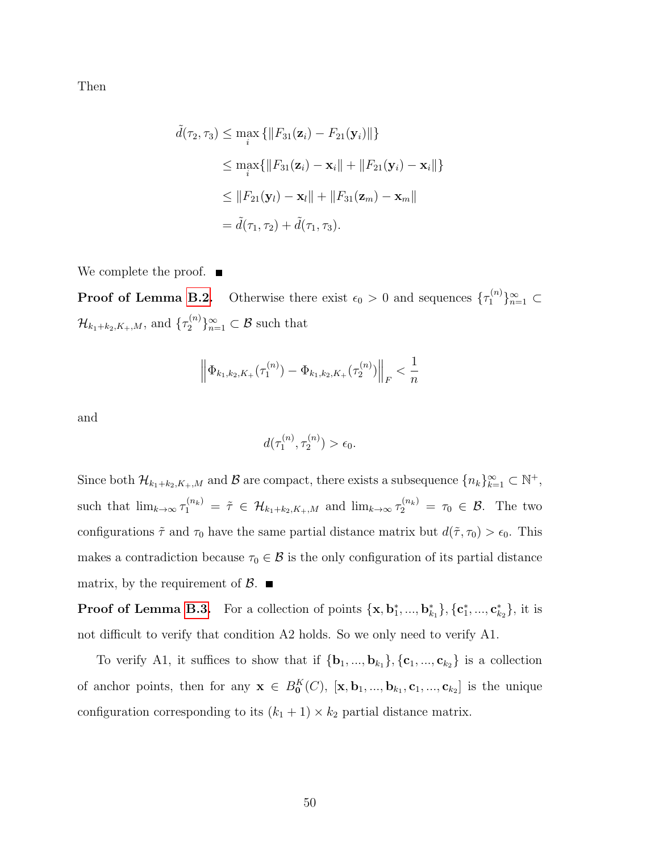Then

$$
\tilde{d}(\tau_2, \tau_3) \le \max_i \{ ||F_{31}(\mathbf{z}_i) - F_{21}(\mathbf{y}_i)|| \}
$$
\n
$$
\le \max_i \{ ||F_{31}(\mathbf{z}_i) - \mathbf{x}_i|| + ||F_{21}(\mathbf{y}_i) - \mathbf{x}_i|| \}
$$
\n
$$
\le ||F_{21}(\mathbf{y}_l) - \mathbf{x}_l|| + ||F_{31}(\mathbf{z}_m) - \mathbf{x}_m||
$$
\n
$$
= \tilde{d}(\tau_1, \tau_2) + \tilde{d}(\tau_1, \tau_3).
$$

We complete the proof.  $\blacksquare$ 

**Proof of Lemma [B.2.](#page-40-0)** Otherwise there exist  $\epsilon_0 > 0$  and sequences  $\{\tau_1^{(n)}\}_{n=1}^{\infty} \subset$  $\mathcal{H}_{k_1+k_2,K_+,M}$ , and  $\{\tau_2^{(n)}\}_{n=1}^{\infty} \subset \mathcal{B}$  such that

$$
\left\| \Phi_{k_1,k_2,K_+}(\tau_1^{(n)}) - \Phi_{k_1,k_2,K_+}(\tau_2^{(n)}) \right\|_F < \frac{1}{n}
$$

and

$$
d(\tau_1^{(n)}, \tau_2^{(n)}) > \epsilon_0.
$$

Since both  $\mathcal{H}_{k_1+k_2,K_+,M}$  and  $\mathcal B$  are compact, there exists a subsequence  $\{n_k\}_{k=1}^{\infty} \subset \mathbb{N}^+,$ such that  $\lim_{k\to\infty} \tau_1^{(n_k)} = \tilde{\tau} \in \mathcal{H}_{k_1+k_2,K_+,M}$  and  $\lim_{k\to\infty} \tau_2^{(n_k)} = \tau_0 \in \mathcal{B}$ . The two configurations  $\tilde{\tau}$  and  $\tau_0$  have the same partial distance matrix but  $d(\tilde{\tau}, \tau_0) > \epsilon_0$ . This makes a contradiction because  $\tau_0 \in \mathcal{B}$  is the only configuration of its partial distance matrix, by the requirement of  $\mathcal{B}$ .

**Proof of Lemma [B.3.](#page-41-0)** For a collection of points  $\{\mathbf{x}, \mathbf{b}_1^*, ..., \mathbf{b}_{k_1}^*\}, \{\mathbf{c}_1^*, ..., \mathbf{c}_{k_2}^*\},$  it is not difficult to verify that condition A2 holds. So we only need to verify A1.

To verify A1, it suffices to show that if  ${\bf \{b_1, ..., b_{k_1}\}, {\bf \{c_1, ..., c_{k_2}\}}\}$  is a collection of anchor points, then for any  $\mathbf{x} \in B_0^K(C)$ ,  $[\mathbf{x}, \mathbf{b}_1, ..., \mathbf{b}_{k_1}, \mathbf{c}_1, ..., \mathbf{c}_{k_2}]$  is the unique configuration corresponding to its  $(k_1 + 1) \times k_2$  partial distance matrix.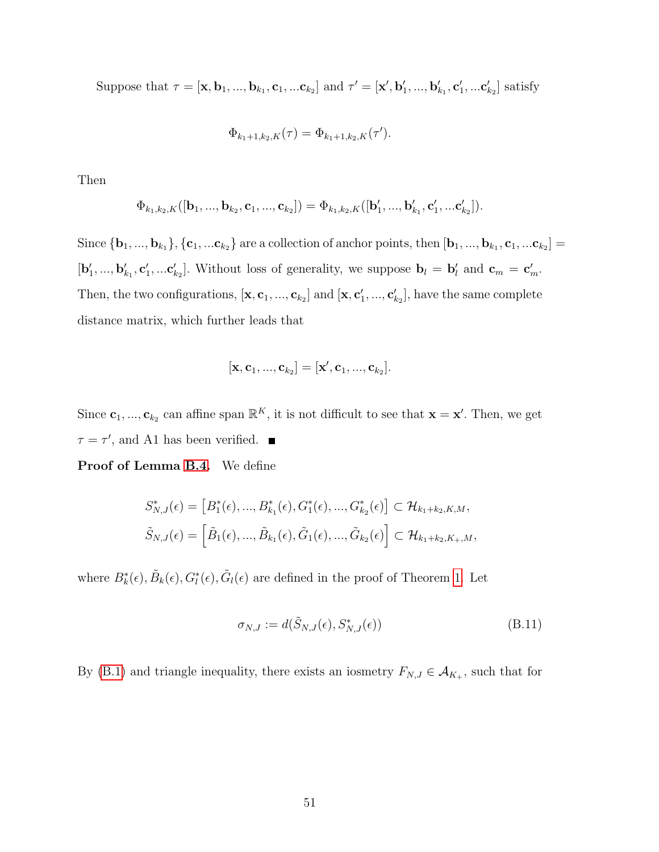Suppose that  $\tau = [\mathbf{x}, \mathbf{b}_1, ..., \mathbf{b}_{k_1}, \mathbf{c}_1, ... \mathbf{c}_{k_2}]$  and  $\tau' = [\mathbf{x}', \mathbf{b}'_1, ..., \mathbf{b}'_{k_1}, \mathbf{c}'_1, ... \mathbf{c}'_{k_2}]$  satisfy

$$
\Phi_{k_1+1,k_2,K}(\tau) = \Phi_{k_1+1,k_2,K}(\tau').
$$

Then

$$
\Phi_{k_1,k_2,K}([\mathbf{b}_1,...,\mathbf{b}_{k_2},\mathbf{c}_1,...,\mathbf{c}_{k_2}])=\Phi_{k_1,k_2,K}([\mathbf{b}'_1,...,\mathbf{b}'_{k_1},\mathbf{c}'_1,...\mathbf{c}'_{k_2}]).
$$

Since  ${\bf \{b_1,...,b_{k_1}\}, {\bf \{c_1,...c_{k_2}\}}$  are a collection of anchor points, then  ${\bf [b_1,...,b_{k_1},c_1,...c_{k_2}]}$  $[\mathbf{b}'_1, ..., \mathbf{b}'_{k_1}, \mathbf{c}'_1, ... \mathbf{c}'_{k_2}]$ . Without loss of generality, we suppose  $\mathbf{b}_l = \mathbf{b}'_l$  and  $\mathbf{c}_m = \mathbf{c}'_m$ . Then, the two configurations,  $[\mathbf{x}, \mathbf{c}_1, ..., \mathbf{c}_{k_2}]$  and  $[\mathbf{x}, \mathbf{c}'_1, ..., \mathbf{c}'_{k_2}]$ , have the same complete distance matrix, which further leads that

$$
[\mathbf{x},\mathbf{c}_1,...,\mathbf{c}_{k_2}]=[\mathbf{x}',\mathbf{c}_1,...,\mathbf{c}_{k_2}].
$$

Since  $\mathbf{c}_1, ..., \mathbf{c}_{k_2}$  can affine span  $\mathbb{R}^K$ , it is not difficult to see that  $\mathbf{x} = \mathbf{x}'$ . Then, we get  $\tau = \tau'$ , and A1 has been verified.

Proof of Lemma [B.4.](#page-42-0) We define

$$
S_{N,J}^*(\epsilon) = [B_1^*(\epsilon), ..., B_{k_1}^*(\epsilon), G_1^*(\epsilon), ..., G_{k_2}^*(\epsilon)] \subset \mathcal{H}_{k_1 + k_2, K, M},
$$
  

$$
\tilde{S}_{N,J}(\epsilon) = [\tilde{B}_1(\epsilon), ..., \tilde{B}_{k_1}(\epsilon), \tilde{G}_1(\epsilon), ..., \tilde{G}_{k_2}(\epsilon)] \subset \mathcal{H}_{k_1 + k_2, K_+, M},
$$

where  $B_k^*(\epsilon), \tilde{B}_k(\epsilon), G_l^*(\epsilon), \tilde{G}_l(\epsilon)$  are defined in the proof of Theorem [1.](#page-13-0) Let

<span id="page-50-0"></span>
$$
\sigma_{N,J} := d(\tilde{S}_{N,J}(\epsilon), S_{N,J}^*(\epsilon))
$$
\n(B.11)

By [\(B.1\)](#page-39-0) and triangle inequality, there exists an iosmetry  $F_{N,J} \in \mathcal{A}_{K_{+}}$ , such that for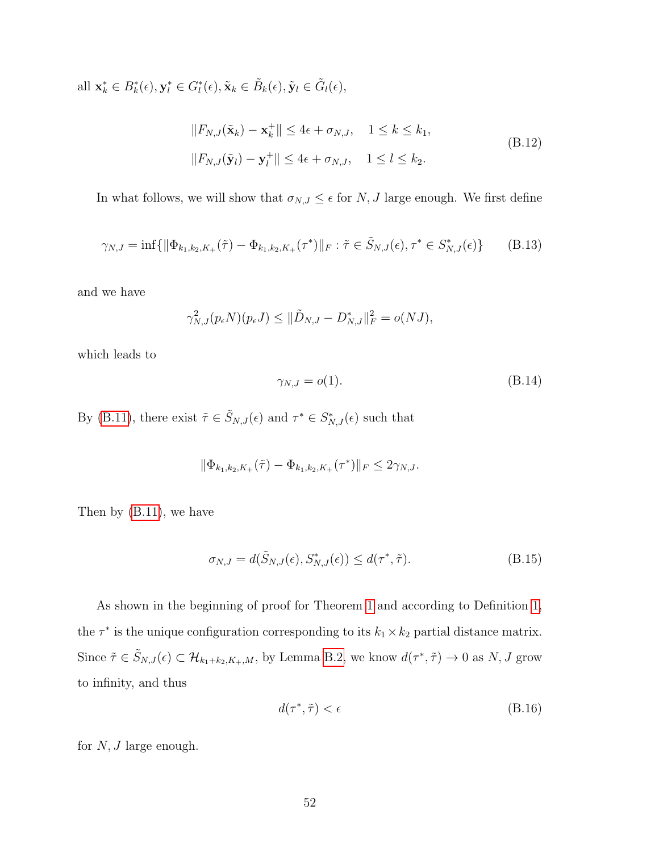all  $\mathbf{x}_{k}^{*} \in B_{k}^{*}(\epsilon), \mathbf{y}_{l}^{*} \in G_{l}^{*}(\epsilon), \tilde{\mathbf{x}}_{k} \in \tilde{B}_{k}(\epsilon), \tilde{\mathbf{y}}_{l} \in \tilde{G}_{l}(\epsilon),$ 

<span id="page-51-0"></span>
$$
||F_{N,J}(\tilde{\mathbf{x}}_k) - \mathbf{x}_k^+|| \le 4\epsilon + \sigma_{N,J}, \quad 1 \le k \le k_1,
$$
  

$$
||F_{N,J}(\tilde{\mathbf{y}}_l) - \mathbf{y}_l^+|| \le 4\epsilon + \sigma_{N,J}, \quad 1 \le l \le k_2.
$$
 (B.12)

In what follows, we will show that  $\sigma_{N,J} \leq \epsilon$  for N, J large enough. We first define

$$
\gamma_{N,J} = \inf \{ \|\Phi_{k_1,k_2,K_+}(\tilde{\tau}) - \Phi_{k_1,k_2,K_+}(\tau^*)\|_F : \tilde{\tau} \in \tilde{S}_{N,J}(\epsilon), \tau^* \in S_{N,J}^*(\epsilon) \} \tag{B.13}
$$

and we have

$$
\gamma_{N,J}^2(p_{\epsilon}N)(p_{\epsilon}J) \leq \|\tilde{D}_{N,J} - D_{N,J}^*\|_F^2 = o(NJ),
$$

which leads to

$$
\gamma_{N,J} = o(1). \tag{B.14}
$$

By [\(B.11\)](#page-50-0), there exist  $\tilde{\tau} \in \tilde{S}_{N,J}(\epsilon)$  and  $\tau^* \in S^*_{N,J}(\epsilon)$  such that

$$
\|\Phi_{k_1,k_2,K_+}(\tilde{\tau}) - \Phi_{k_1,k_2,K_+}(\tau^*)\|_F \le 2\gamma_{N,J}.
$$

Then by [\(B.11\)](#page-50-0), we have

$$
\sigma_{N,J} = d(\tilde{S}_{N,J}(\epsilon), S_{N,J}^*(\epsilon)) \le d(\tau^*, \tilde{\tau}). \tag{B.15}
$$

As shown in the beginning of proof for Theorem [1](#page-13-0) and according to Definition [1,](#page-12-0) the  $\tau^*$  is the unique configuration corresponding to its  $k_1 \times k_2$  partial distance matrix. Since  $\tilde{\tau} \in \tilde{S}_{N,J}(\epsilon) \subset \mathcal{H}_{k_1+k_2,K_+,M}$ , by Lemma [B.2,](#page-40-0) we know  $d(\tau^*, \tilde{\tau}) \to 0$  as  $N, J$  grow to infinity, and thus

<span id="page-51-1"></span>
$$
d(\tau^*, \tilde{\tau}) < \epsilon \tag{B.16}
$$

for  $N, J$  large enough.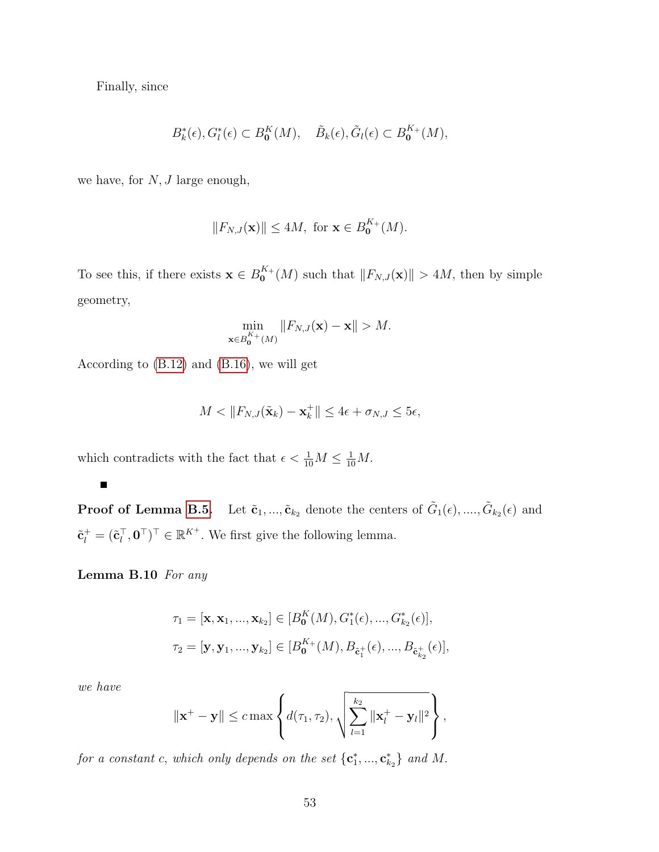Finally, since

$$
B_k^*(\epsilon), G_l^*(\epsilon) \subset B_0^K(M), \quad \tilde{B}_k(\epsilon), \tilde{G}_l(\epsilon) \subset B_0^{K_+}(M),
$$

we have, for  $N, J$  large enough,

$$
||F_{N,J}(\mathbf{x})|| \le 4M, \text{ for } \mathbf{x} \in B_0^{K_+}(M).
$$

To see this, if there exists  $\mathbf{x} \in B_0^{K_+}$  $\mathcal{L}_{\mathbf{0}}^{K+}(M)$  such that  $||F_{N,J}(\mathbf{x})|| > 4M$ , then by simple geometry,

$$
\min_{\mathbf{x}\in B_0^{K+}(M)}\|F_{N,J}(\mathbf{x})-\mathbf{x}\|>M.
$$

According to [\(B.12\)](#page-51-0) and [\(B.16\)](#page-51-1), we will get

$$
M < \|F_{N,J}(\tilde{\mathbf{x}}_k) - \mathbf{x}_k^+\| \le 4\epsilon + \sigma_{N,J} \le 5\epsilon,
$$

which contradicts with the fact that  $\epsilon < \frac{1}{10}M \leq \frac{1}{10}M$ .

**Proof of Lemma [B.5.](#page-42-1)** Let  $\tilde{\mathbf{c}}_1, ..., \tilde{\mathbf{c}}_{k_2}$  denote the centers of  $\tilde{G}_1(\epsilon), ..., \tilde{G}_{k_2}(\epsilon)$  and  $\tilde{\mathbf{c}}_l^+ = (\tilde{\mathbf{c}}_l^{\top}, \mathbf{0}^{\top})^{\top} \in \mathbb{R}^{K^+}$ . We first give the following lemma.

<span id="page-52-0"></span>Lemma B.10 For any

$$
\tau_1 = [\mathbf{x}, \mathbf{x}_1, ..., \mathbf{x}_{k_2}] \in [B_0^K(M), G_1^*(\epsilon), ..., G_{k_2}^*(\epsilon)],
$$
  

$$
\tau_2 = [\mathbf{y}, \mathbf{y}_1, ..., \mathbf{y}_{k_2}] \in [B_0^{K_+}(M), B_{\tilde{\mathbf{c}}_1^+}(\epsilon), ..., B_{\tilde{\mathbf{c}}_{k_2}^+}(\epsilon)],
$$

we have

$$
\|\mathbf{x}^+-\mathbf{y}\| \leq c \max\left\{d(\tau_1,\tau_2),\sqrt{\sum_{l=1}^{k_2} \|\mathbf{x}_l^+-\mathbf{y}_l\|^2}\right\},\,
$$

for a constant c, which only depends on the set  $\{c_1^*,...,c_{k_2}^*\}$  and M.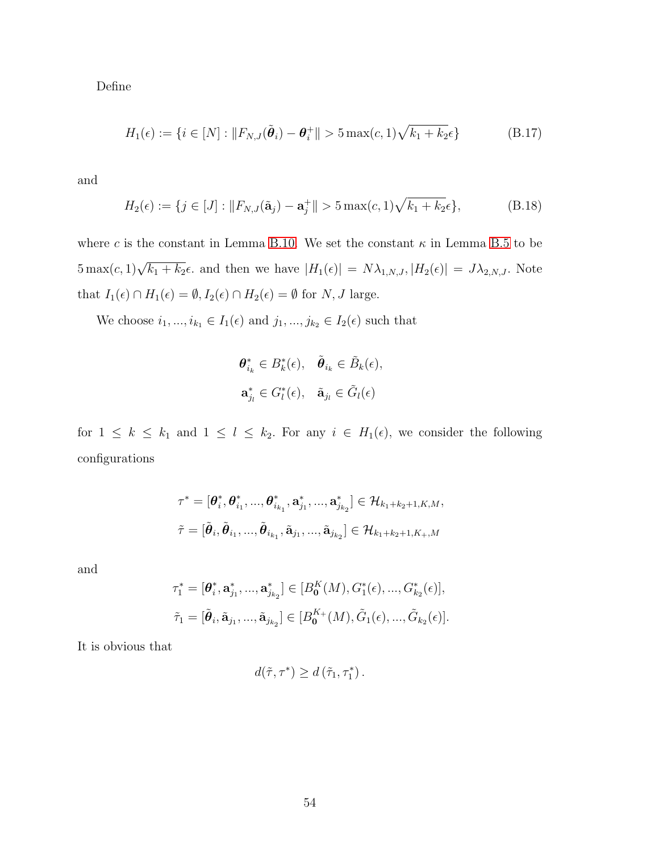Define

<span id="page-53-0"></span>
$$
H_1(\epsilon) := \{ i \in [N] : \|F_{N,J}(\tilde{\theta}_i) - \theta_i^+\| > 5 \max(c, 1) \sqrt{k_1 + k_2} \epsilon \}
$$
(B.17)

and

$$
H_2(\epsilon) := \{ j \in [J] : ||F_{N,J}(\tilde{\mathbf{a}}_j) - \mathbf{a}_j^+|| > 5 \max(c, 1) \sqrt{k_1 + k_2} \epsilon \},
$$
 (B.18)

where c is the constant in Lemma [B.10.](#page-52-0) We set the constant  $\kappa$  in Lemma [B.5](#page-42-1) to be  $5 \max(c, 1)\sqrt{k_1 + k_2}\epsilon$  and then we have  $|H_1(\epsilon)| = N\lambda_{1,N,J}, |H_2(\epsilon)| = J\lambda_{2,N,J}$ . Note that  $I_1(\epsilon) \cap H_1(\epsilon) = \emptyset, I_2(\epsilon) \cap H_2(\epsilon) = \emptyset$  for  $N, J$  large.

We choose  $i_1, ..., i_{k_1} \in I_1(\epsilon)$  and  $j_1, ..., j_{k_2} \in I_2(\epsilon)$  such that

$$
\mathbf{\theta}_{i_k}^* \in B_k^*(\epsilon), \quad \tilde{\mathbf{\theta}}_{i_k} \in \tilde{B}_k(\epsilon),
$$
  

$$
\mathbf{a}_{j_l}^* \in G_l^*(\epsilon), \quad \tilde{\mathbf{a}}_{j_l} \in \tilde{G}_l(\epsilon)
$$

for  $1 \leq k \leq k_1$  and  $1 \leq l \leq k_2$ . For any  $i \in H_1(\epsilon)$ , we consider the following configurations

$$
\begin{aligned} \tau^* &= [\boldsymbol{\theta}_i^*, \boldsymbol{\theta}_{i_1}^*, ..., \boldsymbol{\theta}_{i_{k_1}}^*, \mathbf{a}_{j_1}^*, ..., \mathbf{a}_{j_{k_2}}^*] \in \mathcal{H}_{k_1+k_2+1, K, M}, \\ \tilde{\tau} &= [\tilde{\boldsymbol{\theta}}_i, \tilde{\boldsymbol{\theta}}_{i_1}, ..., \tilde{\boldsymbol{\theta}}_{i_{k_1}}, \tilde{\mathbf{a}}_{j_1}, ..., \tilde{\mathbf{a}}_{j_{k_2}}] \in \mathcal{H}_{k_1+k_2+1, K_+, M} \end{aligned}
$$

and

$$
\tau_1^* = [\boldsymbol{\theta}_i^*, \mathbf{a}_{j_1}^*, ..., \mathbf{a}_{j_{k_2}}^*] \in [B_0^K(M), G_1^*(\epsilon), ..., G_{k_2}^*(\epsilon)],
$$
  

$$
\tilde{\tau}_1 = [\tilde{\boldsymbol{\theta}}_i, \tilde{\mathbf{a}}_{j_1}, ..., \tilde{\mathbf{a}}_{j_{k_2}}] \in [B_0^{K_+}(M), \tilde{G}_1(\epsilon), ..., \tilde{G}_{k_2}(\epsilon)].
$$

It is obvious that

$$
d(\tilde{\tau},\tau^*) \geq d(\tilde{\tau}_1,\tau_1^*).
$$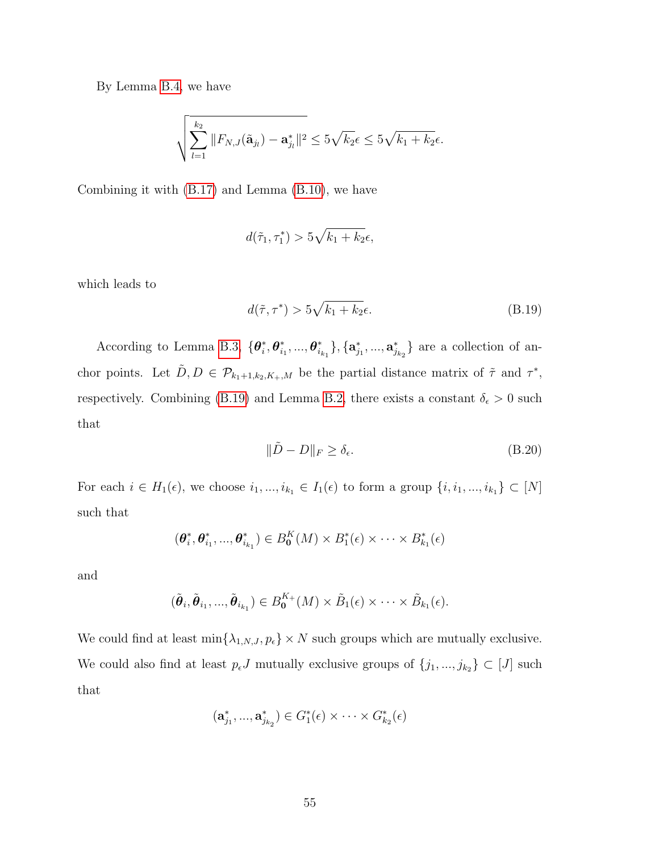By Lemma [B.4,](#page-42-0) we have

$$
\sqrt{\sum_{l=1}^{k_2} \|F_{N,J}(\tilde{\mathbf{a}}_{j_l}) - \mathbf{a}_{j_l}^*\|^2} \le 5\sqrt{k_2\epsilon} \le 5\sqrt{k_1 + k_2\epsilon}.
$$

Combining it with [\(B.17\)](#page-53-0) and Lemma [\(B.10\)](#page-52-0), we have

$$
d(\tilde{\tau}_1, \tau_1^*) > 5\sqrt{k_1 + k_2}\epsilon,
$$

which leads to

<span id="page-54-0"></span>
$$
d(\tilde{\tau}, \tau^*) > 5\sqrt{k_1 + k_2}\epsilon.
$$
 (B.19)

According to Lemma [B.3,](#page-41-0)  $\{\boldsymbol{\theta}_i^*\}$  $_i^*, \boldsymbol{\theta}_i^*$  $\stackrel{*}{i_1},...,\boldsymbol{\theta}^*_{i_j}$  $\{a_{i_{k_1}}^*\}, \{a_{j_1}^*,...,a_{j_{k_2}}^*\}$  are a collection of anchor points. Let  $\tilde{D}, D \in \mathcal{P}_{k_1+1,k_2,K_+,M}$  be the partial distance matrix of  $\tilde{\tau}$  and  $\tau^*$ , respectively. Combining [\(B.19\)](#page-54-0) and Lemma [B.2,](#page-40-0) there exists a constant  $\delta_{\epsilon} > 0$  such that

<span id="page-54-1"></span>
$$
\|\tilde{D} - D\|_{F} \ge \delta_{\epsilon}.\tag{B.20}
$$

For each  $i \in H_1(\epsilon)$ , we choose  $i_1, ..., i_{k_1} \in I_1(\epsilon)$  to form a group  $\{i, i_1, ..., i_{k_1}\} \subset [N]$ such that

$$
(\boldsymbol{\theta}_i^*, \boldsymbol{\theta}_{i_1}^*, ..., \boldsymbol{\theta}_{i_{k_1}}^*) \in B_0^K(M) \times B_1^*(\epsilon) \times \cdots \times B_{k_1}^*(\epsilon)
$$

and

$$
(\tilde{\boldsymbol{\theta}}_i, \tilde{\boldsymbol{\theta}}_{i_1}, ..., \tilde{\boldsymbol{\theta}}_{i_{k_1}}) \in B_0^{K_+}(M) \times \tilde{B}_1(\epsilon) \times \cdots \times \tilde{B}_{k_1}(\epsilon).
$$

We could find at least  $\min\{\lambda_{1,N,J}, p_{\epsilon}\}\times N$  such groups which are mutually exclusive. We could also find at least  $p_{\epsilon}J$  mutually exclusive groups of  $\{j_1, ..., j_{k_2}\} \subset [J]$  such that

$$
(\mathbf{a}_{j_1}^*,...,\mathbf{a}_{j_{k_2}}^*)\in G_1^*(\epsilon)\times\cdots\times G_{k_2}^*(\epsilon)
$$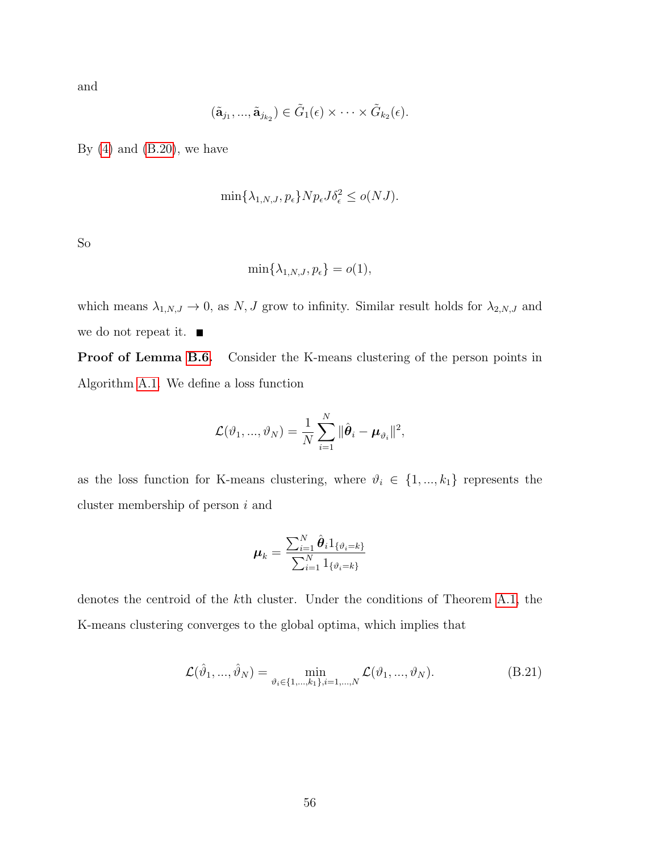and

$$
(\tilde{\mathbf{a}}_{j_1},...,\tilde{\mathbf{a}}_{j_{k_2}}) \in \tilde{G}_1(\epsilon) \times \cdots \times \tilde{G}_{k_2}(\epsilon).
$$

By  $(4)$  and  $(B.20)$ , we have

$$
\min\{\lambda_{1,N,J}, p_{\epsilon}\} N p_{\epsilon} J \delta_{\epsilon}^2 \le o(NJ).
$$

So

$$
\min\{\lambda_{1,N,J},p_{\epsilon}\}=o(1),
$$

which means  $\lambda_{1,N,J} \to 0$ , as N, J grow to infinity. Similar result holds for  $\lambda_{2,N,J}$  and we do not repeat it.

Proof of Lemma [B.6.](#page-44-0) Consider the K-means clustering of the person points in Algorithm [A.1.](#page-36-0) We define a loss function

$$
\mathcal{L}(\vartheta_1, ..., \vartheta_N) = \frac{1}{N} \sum_{i=1}^N \|\hat{\boldsymbol{\theta}}_i - \boldsymbol{\mu}_{\vartheta_i}\|^2,
$$

as the loss function for K-means clustering, where  $\vartheta_i \in \{1, ..., k_1\}$  represents the cluster membership of person  $i$  and

$$
\boldsymbol{\mu}_k = \frac{\sum_{i=1}^N \hat{\boldsymbol{\theta}}_i \mathbb{1}_{\{\vartheta_i = k\}}}{\sum_{i=1}^N \mathbb{1}_{\{\vartheta_i = k\}}}
$$

denotes the centroid of the kth cluster. Under the conditions of Theorem [A.1,](#page-36-1) the K-means clustering converges to the global optima, which implies that

$$
\mathcal{L}(\hat{\vartheta}_1, ..., \hat{\vartheta}_N) = \min_{\vartheta_i \in \{1, ..., k_1\}, i = 1, ..., N} \mathcal{L}(\vartheta_1, ..., \vartheta_N).
$$
 (B.21)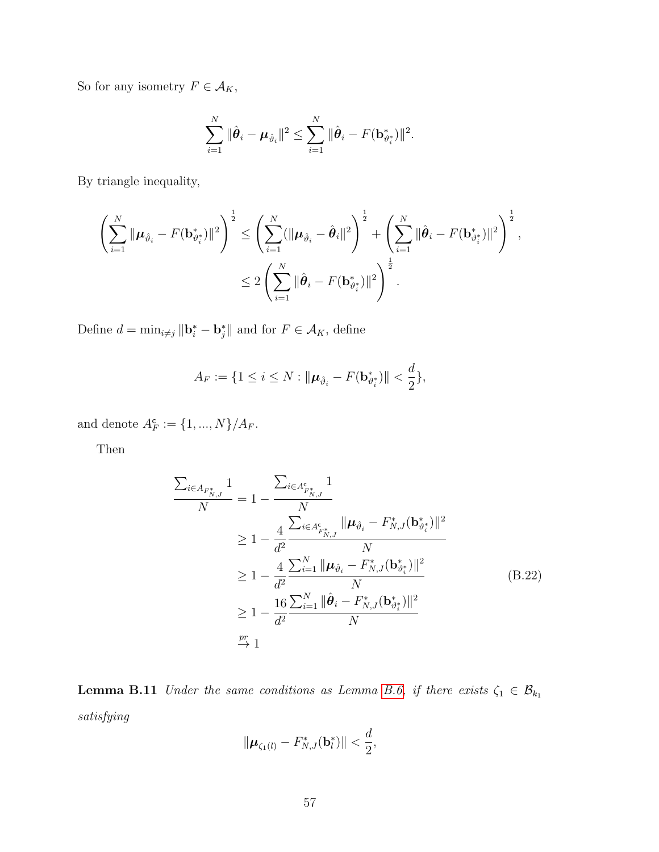So for any isometry  $F\in\mathcal{A}_K,$ 

$$
\sum_{i=1}^N \|\hat{\boldsymbol{\theta}}_i - \boldsymbol{\mu}_{\hat{\vartheta}_i}\|^2 \leq \sum_{i=1}^N \|\hat{\boldsymbol{\theta}}_i - F(\mathbf{b}_{\vartheta_i^*}^*)\|^2.
$$

By triangle inequality,

$$
\left(\sum_{i=1}^N \|\boldsymbol{\mu}_{\hat{\vartheta}_i} - F(\mathbf{b}_{\vartheta_i^*}^*)\|^2\right)^{\frac{1}{2}} \le \left(\sum_{i=1}^N (\|\boldsymbol{\mu}_{\hat{\vartheta}_i} - \hat{\boldsymbol{\theta}}_i\|^2)\right)^{\frac{1}{2}} + \left(\sum_{i=1}^N \|\hat{\boldsymbol{\theta}}_i - F(\mathbf{b}_{\vartheta_i^*}^*)\|^2\right)^{\frac{1}{2}},
$$
  

$$
\le 2\left(\sum_{i=1}^N \|\hat{\boldsymbol{\theta}}_i - F(\mathbf{b}_{\vartheta_i^*}^*)\|^2\right)^{\frac{1}{2}}.
$$

Define  $d = \min_{i \neq j} ||\mathbf{b}_i^* - \mathbf{b}_j^*||$  and for  $F \in \mathcal{A}_K$ , define

$$
A_F := \{ 1 \le i \le N : ||\boldsymbol{\mu}_{\hat{\vartheta}_i} - F(\mathbf{b}_{\vartheta_i^*}^*)|| < \frac{d}{2} \},
$$

and denote  $A_F^c := \{1, ..., N\}/A_F$ .

Then

$$
\frac{\sum_{i \in A_{F_{N,J}^*}} 1}{N} = 1 - \frac{\sum_{i \in A_{F_{N,J}^*}} 1}{N}
$$
\n
$$
\geq 1 - \frac{4}{d^2} \frac{\sum_{i \in A_{F_{N,J}^*}} ||\boldsymbol{\mu}_{\hat{\vartheta}_i} - F_{N,J}^*(\mathbf{b}_{\vartheta_i^*}^*)||^2}{N}
$$
\n
$$
\geq 1 - \frac{4}{d^2} \frac{\sum_{i=1}^N ||\boldsymbol{\mu}_{\hat{\vartheta}_i} - F_{N,J}^*(\mathbf{b}_{\vartheta_i^*}^*)||^2}{N}
$$
\n
$$
\geq 1 - \frac{16}{d^2} \frac{\sum_{i=1}^N ||\hat{\boldsymbol{\theta}}_i - F_{N,J}^*(\mathbf{b}_{\vartheta_i^*}^*)||^2}{N}
$$
\n
$$
\stackrel{\text{pr}}{\to} 1
$$
\n
$$
\stackrel{\text{pr}}{\to} 1
$$
\n(B.22)

<span id="page-56-0"></span>**Lemma B.11** Under the same conditions as Lemma [B.6,](#page-44-0) if there exists  $\zeta_1 \in \mathcal{B}_{k_1}$ satisfying

<span id="page-56-1"></span>
$$
\|\boldsymbol{\mu}_{\zeta_1(l)} - F_{N,J}^*(\mathbf{b}_l^*)\| < \frac{d}{2},
$$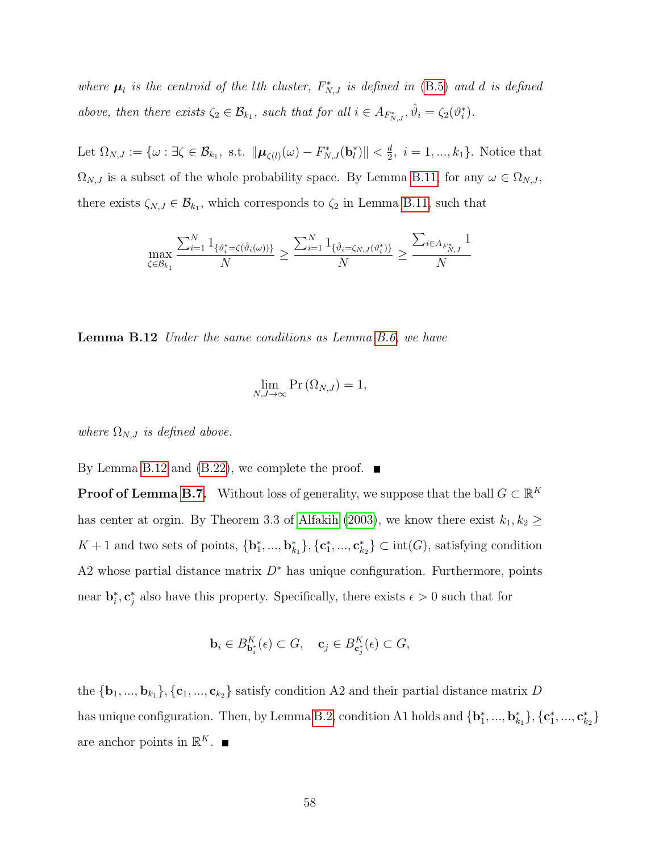where  $\mu_l$  is the centroid of the lth cluster,  $F_{N,J}^*$  is defined in [\(B.5\)](#page-43-0) and d is defined above, then there exists  $\zeta_2 \in \mathcal{B}_{k_1}$ , such that for all  $i \in A_{F^*_{N,J}}, \hat{\vartheta}_i = \zeta_2(\vartheta_i^*).$ 

Let  $\Omega_{N,J}:=\{\omega:\exists \zeta\in\mathcal{B}_{k_1}, \text{ s.t. } \|\boldsymbol{\mu}_{\zeta(l)}(\omega)-F_{N,J}^*(\mathbf{b}_l^*)\|<\frac{d}{2}\}$  $\frac{d}{2}$ ,  $i = 1, ..., k_1$ . Notice that  $\Omega_{N,J}$  is a subset of the whole probability space. By Lemma [B.11,](#page-56-0) for any  $\omega \in \Omega_{N,J}$ , there exists  $\zeta_{N,J} \in \mathcal{B}_{k_1}$ , which corresponds to  $\zeta_2$  in Lemma [B.11,](#page-56-0) such that

$$
\max_{\zeta \in \mathcal{B}_{k_1}} \frac{\sum_{i=1}^N 1_{\{\vartheta_i^* = \zeta(\hat{\vartheta}_i(\omega))\}}}{N} \ge \frac{\sum_{i=1}^N 1_{\{\hat{\vartheta}_i = \zeta_{N,J}(\vartheta_i^*)\}}}{N} \ge \frac{\sum_{i \in A_{F_{N,J}^*}} 1}{N}
$$

<span id="page-57-0"></span>**Lemma B.12** Under the same conditions as Lemma [B.6,](#page-44-0) we have

$$
\lim_{N,J\to\infty} \Pr\left(\Omega_{N,J}\right) = 1,
$$

where  $\Omega_{N,J}$  is defined above.

By Lemma [B.12](#page-57-0) and [\(B.22\)](#page-56-1), we complete the proof.  $\blacksquare$ 

**Proof of Lemma [B.7.](#page-45-1)** Without loss of generality, we suppose that the ball  $G \subset \mathbb{R}^K$ has center at orgin. By Theorem 3.3 of [Alfakih \(2003\)](#page-66-0), we know there exist  $k_1, k_2 \geq$  $K+1$  and two sets of points,  ${\bf\{b}}_1^*,..., {\bf b}_{k_1}^*{\}, {\bf\{c}}_1^*,..., {\bf c}_{k_2}^* {\}\subset \text{int}(G)$ , satisfying condition A2 whose partial distance matrix  $D^*$  has unique configuration. Furthermore, points near  $\mathbf{b}_i^*, \mathbf{c}_j^*$  also have this property. Specifically, there exists  $\epsilon > 0$  such that for

$$
\mathbf{b}_i \in B_{\mathbf{b}_i^*}^K(\epsilon) \subset G, \quad \mathbf{c}_j \in B_{\mathbf{c}_j^*}^K(\epsilon) \subset G,
$$

the  ${\bf \{b_1,...,b_{k_1}\}, {\bf \{c_1,...,c_{k_2}\}}$  satisfy condition A2 and their partial distance matrix D has unique configuration. Then, by Lemma [B.2,](#page-40-0) condition A1 holds and  $\{b_1^*,...,b_{k_1}^*\},\{c_1^*,...,c_{k_2}^*\}$ are anchor points in  $\mathbb{R}^K$ .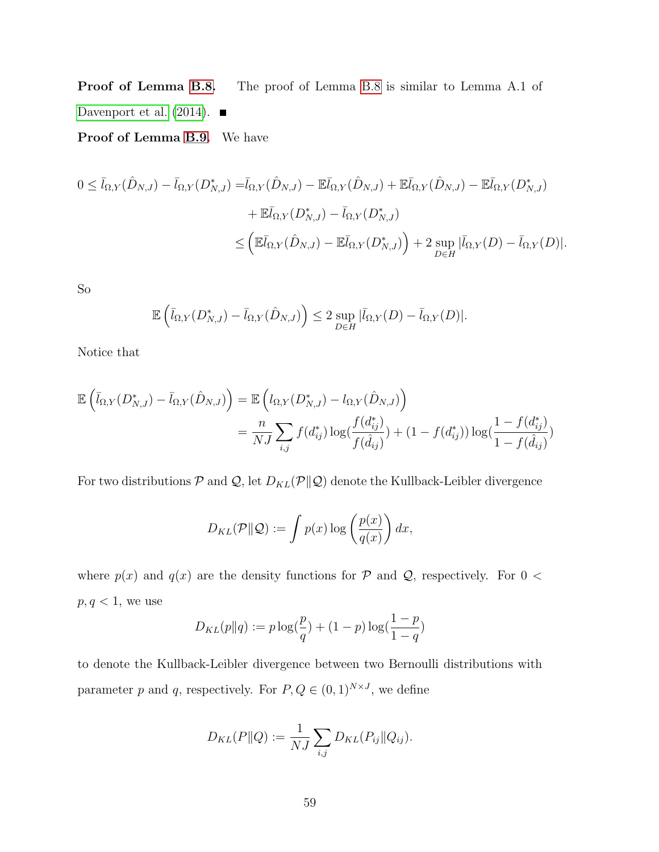Proof of Lemma [B.8.](#page-47-0) The proof of Lemma [B.8](#page-47-0) is similar to Lemma A.1 of Davenport et al.  $(2014)$ .

Proof of Lemma [B.9.](#page-47-1) We have

$$
0 \leq \bar{l}_{\Omega,Y}(\hat{D}_{N,J}) - \bar{l}_{\Omega,Y}(D_{N,J}^*) = \bar{l}_{\Omega,Y}(\hat{D}_{N,J}) - \mathbb{E}\bar{l}_{\Omega,Y}(\hat{D}_{N,J}) + \mathbb{E}\bar{l}_{\Omega,Y}(\hat{D}_{N,J}) - \mathbb{E}\bar{l}_{\Omega,Y}(D_{N,J}^*)
$$
  
+ 
$$
\mathbb{E}\bar{l}_{\Omega,Y}(D_{N,J}^*) - \bar{l}_{\Omega,Y}(D_{N,J}^*)
$$
  

$$
\leq \left(\mathbb{E}\bar{l}_{\Omega,Y}(\hat{D}_{N,J}) - \mathbb{E}\bar{l}_{\Omega,Y}(D_{N,J}^*)\right) + 2 \sup_{D \in H} |\bar{l}_{\Omega,Y}(D) - \bar{l}_{\Omega,Y}(D)|.
$$

So

$$
\mathbb{E}\left(\bar{l}_{\Omega,Y}(D_{N,J}^*)-\bar{l}_{\Omega,Y}(\hat{D}_{N,J})\right)\leq 2 \sup_{D\in H}|\bar{l}_{\Omega,Y}(D)-\bar{l}_{\Omega,Y}(D)|.
$$

Notice that

$$
\mathbb{E}\left(\bar{l}_{\Omega,Y}(D_{N,J}^*) - \bar{l}_{\Omega,Y}(\hat{D}_{N,J})\right) = \mathbb{E}\left(l_{\Omega,Y}(D_{N,J}^*) - l_{\Omega,Y}(\hat{D}_{N,J})\right)
$$

$$
= \frac{n}{NJ}\sum_{i,j} f(d_{ij}^*) \log(\frac{f(d_{ij}^*)}{f(\hat{d}_{ij})}) + (1 - f(d_{ij}^*)) \log(\frac{1 - f(d_{ij}^*)}{1 - f(\hat{d}_{ij})})
$$

For two distributions  $P$  and  $Q$ , let  $D_{KL}(P||Q)$  denote the Kullback-Leibler divergence

$$
D_{KL}(\mathcal{P}||\mathcal{Q}) := \int p(x) \log \left(\frac{p(x)}{q(x)}\right) dx,
$$

where  $p(x)$  and  $q(x)$  are the density functions for  $P$  and  $Q$ , respectively. For  $0 <$  $p, q < 1$ , we use

$$
D_{KL}(p||q) := p \log(\frac{p}{q}) + (1-p) \log(\frac{1-p}{1-q})
$$

to denote the Kullback-Leibler divergence between two Bernoulli distributions with parameter p and q, respectively. For  $P, Q \in (0, 1)^{N \times J}$ , we define

$$
D_{KL}(P||Q) := \frac{1}{NJ} \sum_{i,j} D_{KL}(P_{ij}||Q_{ij}).
$$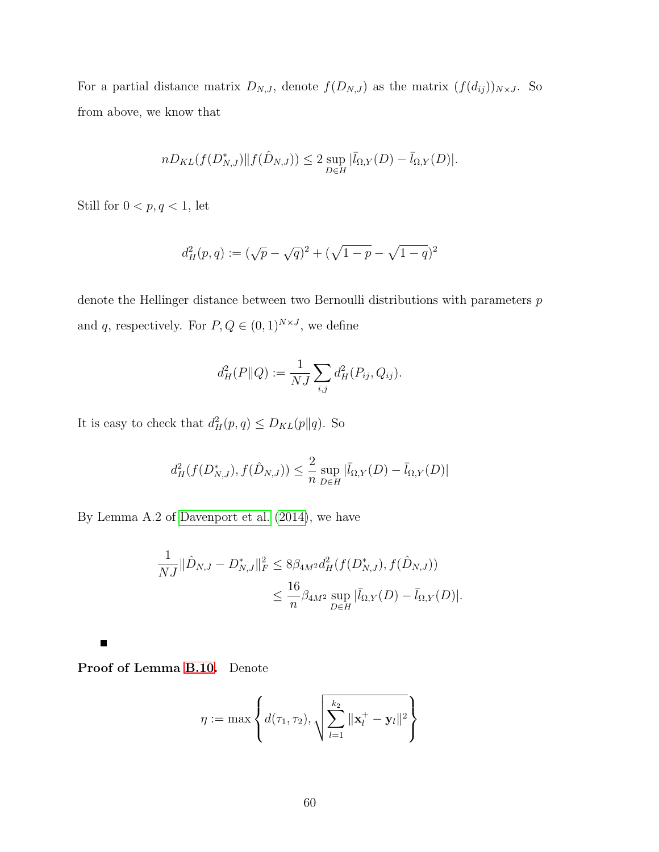For a partial distance matrix  $D_{N,J}$ , denote  $f(D_{N,J})$  as the matrix  $(f(d_{ij}))_{N\times J}$ . So from above, we know that

$$
nD_{KL}(f(D^*_{N,J})||f(\hat{D}_{N,J})) \leq 2 \sup_{D \in H} |\bar{l}_{\Omega,Y}(D) - \bar{l}_{\Omega,Y}(D)|.
$$

Still for  $0 < p,q < 1,$  let

$$
d_H^2(p,q) := (\sqrt{p} - \sqrt{q})^2 + (\sqrt{1-p} - \sqrt{1-q})^2
$$

denote the Hellinger distance between two Bernoulli distributions with parameters  $p$ and q, respectively. For  $P, Q \in (0,1)^{N \times J}$ , we define

$$
d_H^2(P||Q) := \frac{1}{NJ} \sum_{i,j} d_H^2(P_{ij}, Q_{ij}).
$$

It is easy to check that  $d_H^2(p,q) \leq D_{KL}(p||q)$ . So

$$
d_H^2(f(D_{N,J}^*), f(\hat{D}_{N,J})) \le \frac{2}{n} \sup_{D \in H} |\bar{l}_{\Omega,Y}(D) - \bar{l}_{\Omega,Y}(D)|
$$

By Lemma A.2 of [Davenport et al. \(2014\)](#page-68-2), we have

$$
\frac{1}{NJ} \|\hat{D}_{N,J} - D_{N,J}^*\|_F^2 \le 8\beta_{4M^2} d_H^2(f(D_{N,J}^*), f(\hat{D}_{N,J}))
$$
  

$$
\le \frac{16}{n} \beta_{4M^2} \sup_{D \in H} |\bar{l}_{\Omega,Y}(D) - \bar{l}_{\Omega,Y}(D)|.
$$

 $\blacksquare$ 

Proof of Lemma [B.10.](#page-52-0) Denote

$$
\eta := \max \left\{ d(\tau_1, \tau_2), \sqrt{\sum_{l=1}^{k_2} ||\mathbf{x}_l^+ - \mathbf{y}_l||^2} \right\}
$$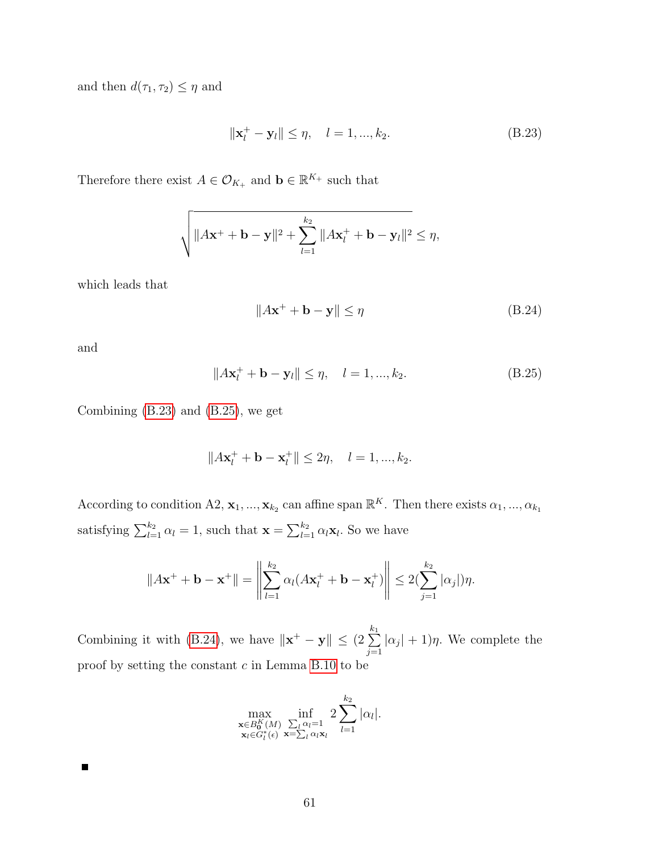and then  $d(\tau_1, \tau_2) \leq \eta$  and

<span id="page-60-0"></span>
$$
\|\mathbf{x}_{l}^{+} - \mathbf{y}_{l}\| \leq \eta, \quad l = 1, ..., k_{2}.
$$
 (B.23)

Therefore there exist  $A \in \mathcal{O}_{K_+}$  and  $\mathbf{b} \in \mathbb{R}^{K_+}$  such that

$$
\sqrt{\|Ax^+ + \mathbf{b} - \mathbf{y}\|^2 + \sum_{l=1}^{k_2} \|Ax_l^+ + \mathbf{b} - \mathbf{y}_l\|^2} \le \eta,
$$

which leads that

<span id="page-60-2"></span>
$$
||A\mathbf{x}^+ + \mathbf{b} - \mathbf{y}|| \le \eta \tag{B.24}
$$

and

 $\blacksquare$ 

<span id="page-60-1"></span>
$$
||A\mathbf{x}_{l}^{+} + \mathbf{b} - \mathbf{y}_{l}|| \leq \eta, \quad l = 1, ..., k_{2}.
$$
 (B.25)

Combining [\(B.23\)](#page-60-0) and [\(B.25\)](#page-60-1), we get

$$
||A\mathbf{x}_{l}^{+} + \mathbf{b} - \mathbf{x}_{l}^{+}|| \leq 2\eta, \quad l = 1, ..., k_{2}.
$$

According to condition A2,  $\mathbf{x}_1, ..., \mathbf{x}_{k_2}$  can affine span  $\mathbb{R}^K$ . Then there exists  $\alpha_1, ..., \alpha_{k_1}$ satisfying  $\sum_{l=1}^{k_2} \alpha_l = 1$ , such that  $\mathbf{x} = \sum_{l=1}^{k_2} \alpha_l \mathbf{x}_l$ . So we have

$$
||A\mathbf{x}^+ + \mathbf{b} - \mathbf{x}^+|| = \left\|\sum_{l=1}^{k_2} \alpha_l (A\mathbf{x}_l^+ + \mathbf{b} - \mathbf{x}_l^+)\right\| \le 2(\sum_{j=1}^{k_2} |\alpha_j|)\eta.
$$

Combining it with [\(B.24\)](#page-60-2), we have  $\|\mathbf{x}^+ - \mathbf{y}\| \leq (2 \sum_{k=1}^{k_1}$  $j=1$  $|\alpha_j| + 1$ )η. We complete the proof by setting the constant  $c$  in Lemma [B.10](#page-52-0) to be

$$
\max_{\substack{\mathbf{x}\in B_0^K(M) \\ \mathbf{x}_l\in G_l^*(\epsilon)}} \inf_{\substack{\sum_l \alpha_l=1 \\ \mathbf{x}_l\geq \sum_l \alpha_l \mathbf{x}_l}} 2 \sum_{l=1}^{k_2} |\alpha_l|.
$$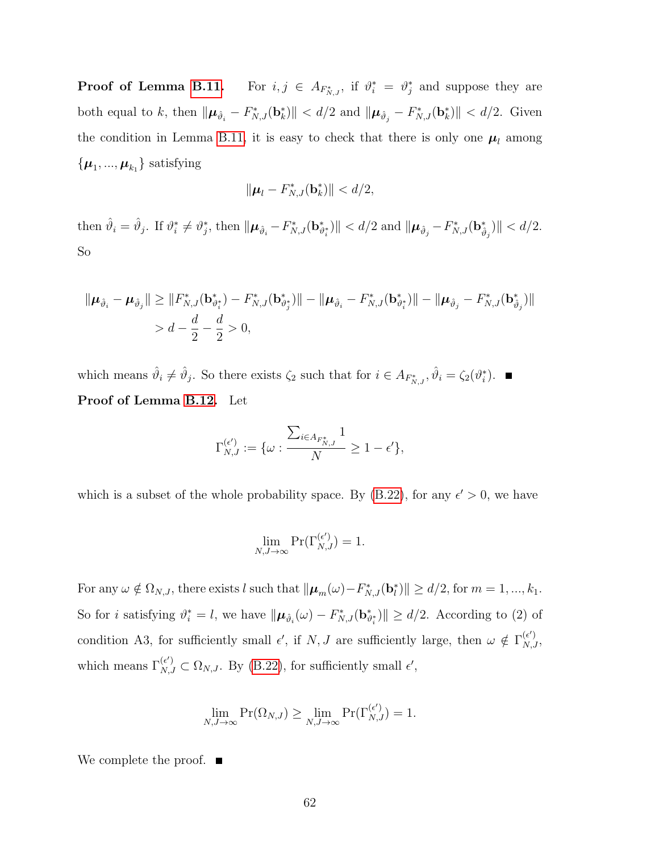Proof of Lemma [B.11.](#page-56-0) <sup>\*\*</sup><sub>N,J</sub>, if  $\vartheta_i^* = \vartheta_j^*$  and suppose they are both equal to k, then  $\|\boldsymbol{\mu}_{\hat{\vartheta}_i} - F_{N,J}^*(\mathbf{b}_k^*)\| < d/2$  and  $\|\boldsymbol{\mu}_{\hat{\vartheta}_j} - F_{N,J}^*(\mathbf{b}_k^*)\| < d/2$ . Given the condition in Lemma [B.11,](#page-56-0) it is easy to check that there is only one  $\mu_l$  among  $\{\boldsymbol{\mu}_1, ..., \boldsymbol{\mu}_{k_1}\}$  satisfying

$$
\|\boldsymbol{\mu}_l-F^*_{N,J}(\mathbf{b}_k^*)\|
$$

then  $\hat{\vartheta}_i = \hat{\vartheta}_j$ . If  $\vartheta_i^* \neq \vartheta_j^*$ , then  $\|\boldsymbol{\mu}_{\hat{\vartheta}_i} - F_{N,J}^*(\mathbf{b}_{\vartheta_i^*}^*)\| < d/2$  and  $\|\boldsymbol{\mu}_{\hat{\vartheta}_j} - F_{N,J}^*(\mathbf{b}_{\hat{\vartheta}_j}^*)\| < d/2$ . So

$$
\|\boldsymbol{\mu}_{\hat{\vartheta}_i} - \boldsymbol{\mu}_{\hat{\vartheta}_j}\| \geq \|F_{N,J}^*(\mathbf{b}_{\vartheta_i^*}^*) - F_{N,J}^*(\mathbf{b}_{\vartheta_j^*}^*)\| - \|\boldsymbol{\mu}_{\hat{\vartheta}_i} - F_{N,J}^*(\mathbf{b}_{\vartheta_i^*}^*)\| - \|\boldsymbol{\mu}_{\hat{\vartheta}_j} - F_{N,J}^*(\mathbf{b}_{\hat{\vartheta}_j}^*)\|
$$
  
>  $d - \frac{d}{2} - \frac{d}{2} > 0$ ,

which means  $\hat{\vartheta}_i \neq \hat{\vartheta}_j$ . So there exists  $\zeta_2$  such that for  $i \in A_{F^*_{N,J}}, \hat{\vartheta}_i = \zeta_2(\vartheta_i^*)$ . Proof of Lemma [B.12.](#page-57-0) Let

$$
\Gamma_{N,J}^{(\epsilon')}:=\{\omega: \frac{\sum_{i\in A_{F_{N,J}^*}}1}{N}\geq 1-\epsilon'\},
$$

which is a subset of the whole probability space. By [\(B.22\)](#page-56-1), for any  $\epsilon' > 0$ , we have

$$
\lim_{N,J\to\infty}\Pr(\Gamma_{N,J}^{(\epsilon')})=1.
$$

For any  $\omega \notin \Omega_{N,J}$ , there exists l such that  $\|\boldsymbol{\mu}_m(\omega) - F_{N,J}^*(\mathbf{b}_l^*)\| \ge d/2$ , for  $m = 1, ..., k_1$ . So for *i* satisfying  $\vartheta_i^* = l$ , we have  $\|\boldsymbol{\mu}_{\hat{\vartheta}_i}(\omega) - F_{N,J}^*(\mathbf{b}_{\vartheta_i^*}^*)\| \ge d/2$ . According to (2) of condition A3, for sufficiently small  $\epsilon'$ , if N, J are sufficiently large, then  $\omega \notin \Gamma_{N,J}^{(\epsilon')}$ , which means  $\Gamma_{N,J}^{(\epsilon')} \subset \Omega_{N,J}$ . By [\(B.22\)](#page-56-1), for sufficiently small  $\epsilon'$ ,

$$
\lim_{N,J\to\infty} \Pr(\Omega_{N,J}) \ge \lim_{N,J\to\infty} \Pr(\Gamma_{N,J}^{(\epsilon')}) = 1.
$$

We complete the proof.  $\blacksquare$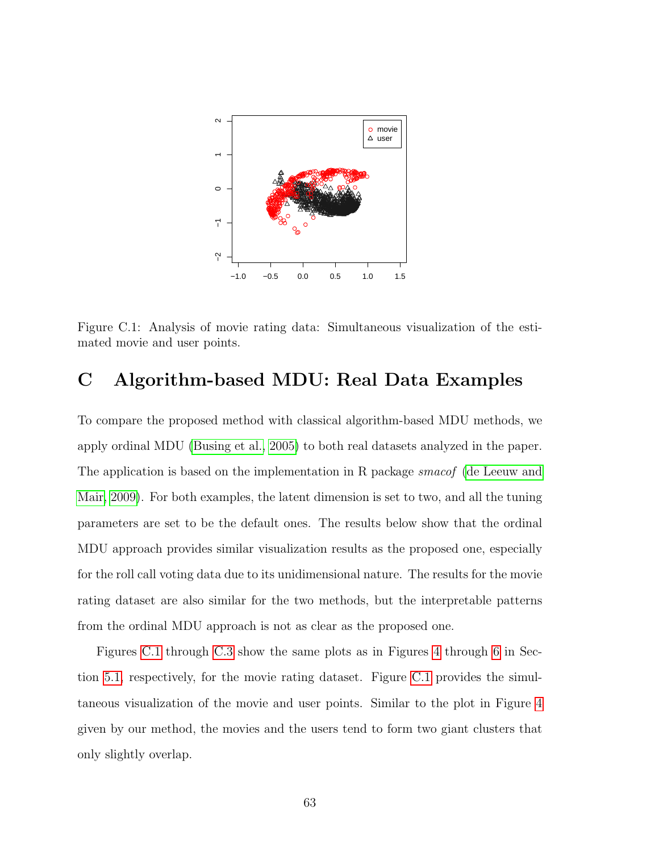<span id="page-62-0"></span>

Figure C.1: Analysis of movie rating data: Simultaneous visualization of the estimated movie and user points.

# C Algorithm-based MDU: Real Data Examples

To compare the proposed method with classical algorithm-based MDU methods, we apply ordinal MDU [\(Busing et al., 2005\)](#page-67-0) to both real datasets analyzed in the paper. The application is based on the implementation in R package *smacof* [\(de Leeuw and](#page-69-0) [Mair, 2009\)](#page-69-0). For both examples, the latent dimension is set to two, and all the tuning parameters are set to be the default ones. The results below show that the ordinal MDU approach provides similar visualization results as the proposed one, especially for the roll call voting data due to its unidimensional nature. The results for the movie rating dataset are also similar for the two methods, but the interpretable patterns from the ordinal MDU approach is not as clear as the proposed one.

Figures [C.1](#page-62-0) through [C.3](#page-64-0) show the same plots as in Figures [4](#page-26-0) through [6](#page-28-0) in Section [5.1,](#page-25-0) respectively, for the movie rating dataset. Figure [C.1](#page-62-0) provides the simultaneous visualization of the movie and user points. Similar to the plot in Figure [4](#page-26-0) given by our method, the movies and the users tend to form two giant clusters that only slightly overlap.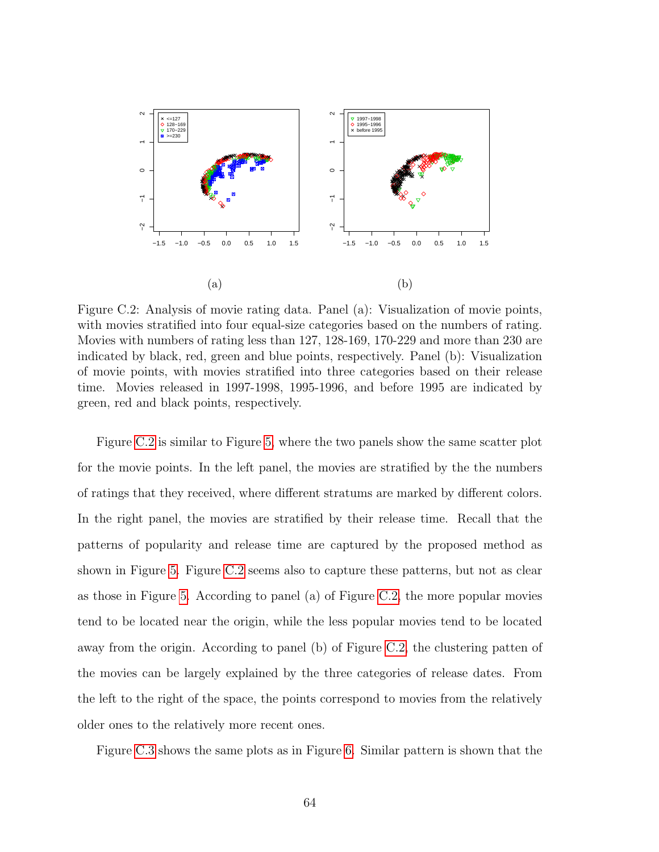<span id="page-63-0"></span>

Figure C.2: Analysis of movie rating data. Panel (a): Visualization of movie points, with movies stratified into four equal-size categories based on the numbers of rating. Movies with numbers of rating less than 127, 128-169, 170-229 and more than 230 are indicated by black, red, green and blue points, respectively. Panel (b): Visualization of movie points, with movies stratified into three categories based on their release time. Movies released in 1997-1998, 1995-1996, and before 1995 are indicated by green, red and black points, respectively.

Figure [C.2](#page-63-0) is similar to Figure [5,](#page-27-0) where the two panels show the same scatter plot for the movie points. In the left panel, the movies are stratified by the the numbers of ratings that they received, where different stratums are marked by different colors. In the right panel, the movies are stratified by their release time. Recall that the patterns of popularity and release time are captured by the proposed method as shown in Figure [5.](#page-27-0) Figure [C.2](#page-63-0) seems also to capture these patterns, but not as clear as those in Figure [5.](#page-27-0) According to panel (a) of Figure [C.2,](#page-63-0) the more popular movies tend to be located near the origin, while the less popular movies tend to be located away from the origin. According to panel (b) of Figure [C.2,](#page-63-0) the clustering patten of the movies can be largely explained by the three categories of release dates. From the left to the right of the space, the points correspond to movies from the relatively older ones to the relatively more recent ones.

Figure [C.3](#page-64-0) shows the same plots as in Figure [6.](#page-28-0) Similar pattern is shown that the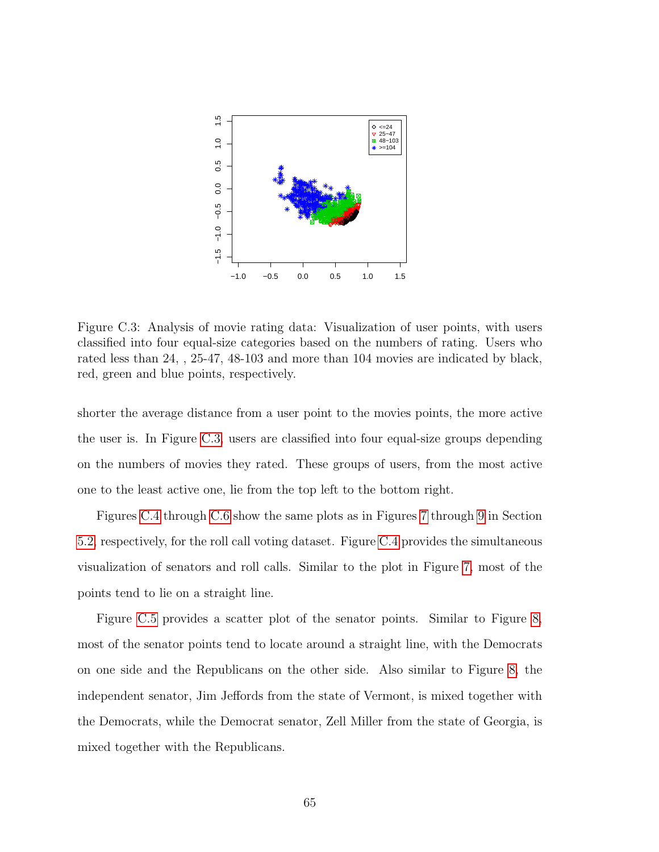<span id="page-64-0"></span>

Figure C.3: Analysis of movie rating data: Visualization of user points, with users classified into four equal-size categories based on the numbers of rating. Users who rated less than 24, , 25-47, 48-103 and more than 104 movies are indicated by black, red, green and blue points, respectively.

shorter the average distance from a user point to the movies points, the more active the user is. In Figure [C.3,](#page-64-0) users are classified into four equal-size groups depending on the numbers of movies they rated. These groups of users, from the most active one to the least active one, lie from the top left to the bottom right.

Figures [C.4](#page-65-0) through [C.6](#page-66-1) show the same plots as in Figures [7](#page-30-0) through [9](#page-34-0) in Section [5.2,](#page-28-1) respectively, for the roll call voting dataset. Figure [C.4](#page-65-0) provides the simultaneous visualization of senators and roll calls. Similar to the plot in Figure [7,](#page-30-0) most of the points tend to lie on a straight line.

Figure [C.5](#page-65-1) provides a scatter plot of the senator points. Similar to Figure [8,](#page-32-0) most of the senator points tend to locate around a straight line, with the Democrats on one side and the Republicans on the other side. Also similar to Figure [8,](#page-32-0) the independent senator, Jim Jeffords from the state of Vermont, is mixed together with the Democrats, while the Democrat senator, Zell Miller from the state of Georgia, is mixed together with the Republicans.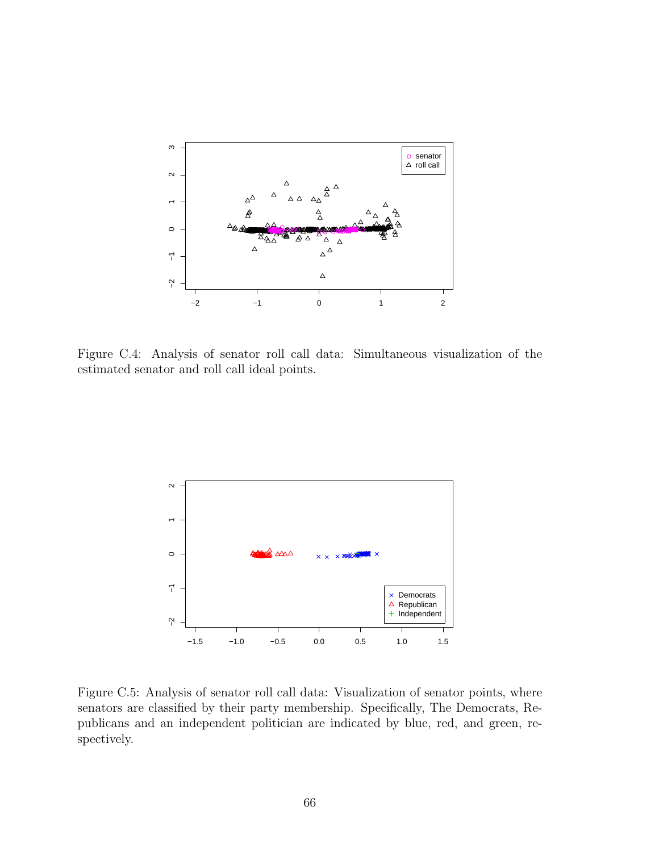<span id="page-65-0"></span>

Figure C.4: Analysis of senator roll call data: Simultaneous visualization of the estimated senator and roll call ideal points.

<span id="page-65-1"></span>

Figure C.5: Analysis of senator roll call data: Visualization of senator points, where senators are classified by their party membership. Specifically, The Democrats, Republicans and an independent politician are indicated by blue, red, and green, respectively.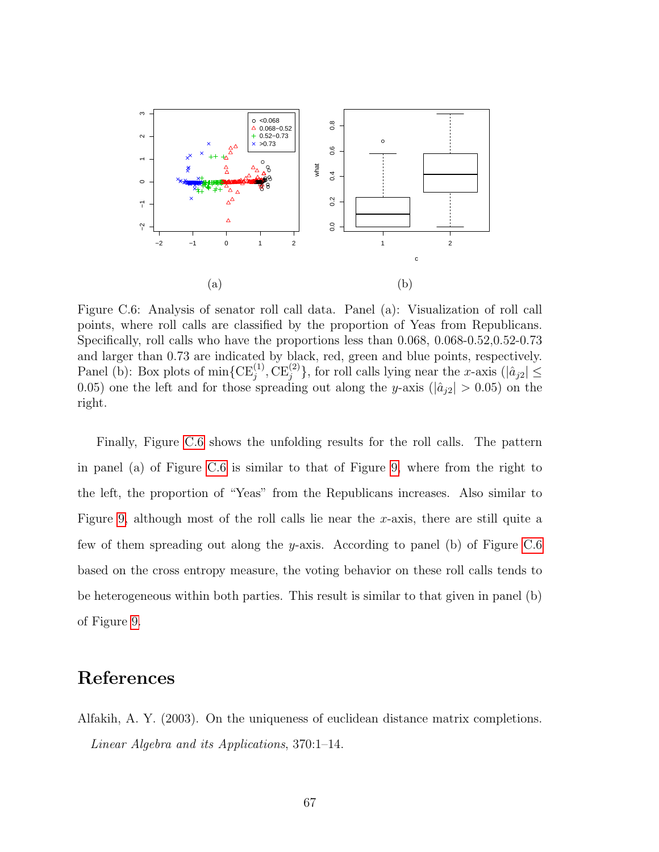<span id="page-66-1"></span>

Figure C.6: Analysis of senator roll call data. Panel (a): Visualization of roll call points, where roll calls are classified by the proportion of Yeas from Republicans. Specifically, roll calls who have the proportions less than 0.068, 0.068-0.52,0.52-0.73 and larger than 0.73 are indicated by black, red, green and blue points, respectively. Panel (b): Box plots of  $\min\{CE_j^{(1)}, CE_j^{(2)}\}$ , for roll calls lying near the x-axis  $(|\hat{a}_{j2}| \leq$ 0.05) one the left and for those spreading out along the y-axis  $(|\hat{a}_{i2}| > 0.05)$  on the right.

Finally, Figure [C.6](#page-66-1) shows the unfolding results for the roll calls. The pattern in panel (a) of Figure [C.6](#page-66-1) is similar to that of Figure [9,](#page-34-0) where from the right to the left, the proportion of "Yeas" from the Republicans increases. Also similar to Figure [9,](#page-34-0) although most of the roll calls lie near the x-axis, there are still quite a few of them spreading out along the y-axis. According to panel (b) of Figure [C.6](#page-66-1) based on the cross entropy measure, the voting behavior on these roll calls tends to be heterogeneous within both parties. This result is similar to that given in panel (b) of Figure [9.](#page-34-0)

## References

<span id="page-66-0"></span>Alfakih, A. Y. (2003). On the uniqueness of euclidean distance matrix completions. Linear Algebra and its Applications, 370:1–14.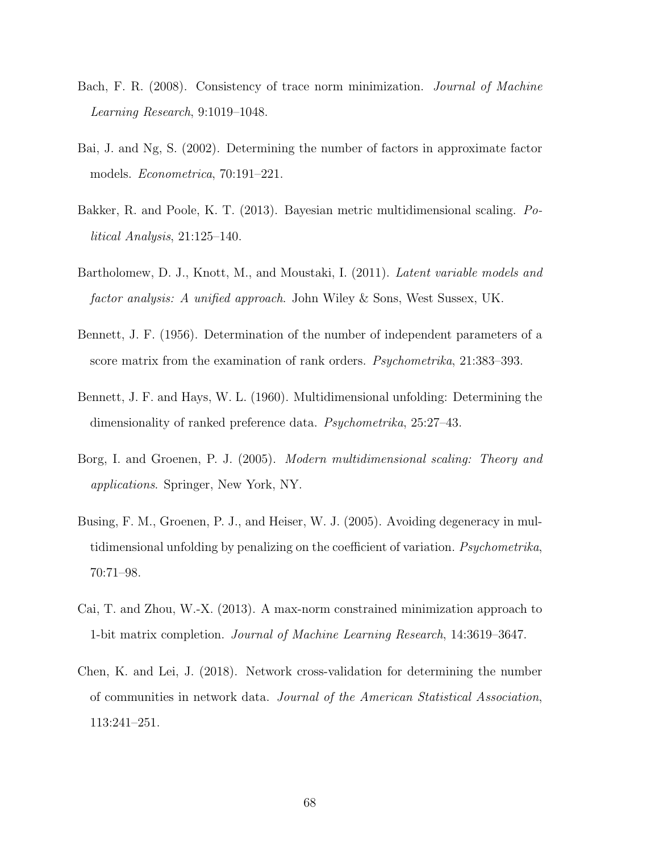- Bach, F. R. (2008). Consistency of trace norm minimization. Journal of Machine Learning Research, 9:1019–1048.
- Bai, J. and Ng, S. (2002). Determining the number of factors in approximate factor models. Econometrica, 70:191–221.
- Bakker, R. and Poole, K. T. (2013). Bayesian metric multidimensional scaling. Political Analysis, 21:125–140.
- Bartholomew, D. J., Knott, M., and Moustaki, I. (2011). Latent variable models and factor analysis: A unified approach. John Wiley & Sons, West Sussex, UK.
- Bennett, J. F. (1956). Determination of the number of independent parameters of a score matrix from the examination of rank orders. *Psychometrika*, 21:383–393.
- Bennett, J. F. and Hays, W. L. (1960). Multidimensional unfolding: Determining the dimensionality of ranked preference data. Psychometrika, 25:27–43.
- Borg, I. and Groenen, P. J. (2005). Modern multidimensional scaling: Theory and applications. Springer, New York, NY.
- <span id="page-67-0"></span>Busing, F. M., Groenen, P. J., and Heiser, W. J. (2005). Avoiding degeneracy in multidimensional unfolding by penalizing on the coefficient of variation. Psychometrika, 70:71–98.
- Cai, T. and Zhou, W.-X. (2013). A max-norm constrained minimization approach to 1-bit matrix completion. Journal of Machine Learning Research, 14:3619–3647.
- Chen, K. and Lei, J. (2018). Network cross-validation for determining the number of communities in network data. Journal of the American Statistical Association, 113:241–251.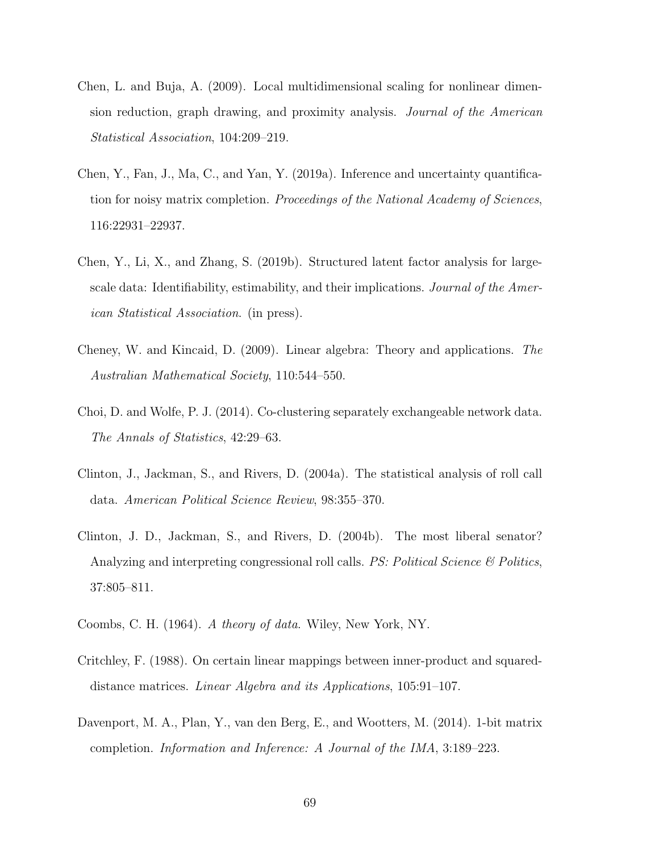- Chen, L. and Buja, A. (2009). Local multidimensional scaling for nonlinear dimension reduction, graph drawing, and proximity analysis. Journal of the American Statistical Association, 104:209–219.
- Chen, Y., Fan, J., Ma, C., and Yan, Y. (2019a). Inference and uncertainty quantification for noisy matrix completion. Proceedings of the National Academy of Sciences, 116:22931–22937.
- Chen, Y., Li, X., and Zhang, S. (2019b). Structured latent factor analysis for largescale data: Identifiability, estimability, and their implications. *Journal of the Amer*ican Statistical Association. (in press).
- <span id="page-68-1"></span>Cheney, W. and Kincaid, D. (2009). Linear algebra: Theory and applications. The Australian Mathematical Society, 110:544–550.
- Choi, D. and Wolfe, P. J. (2014). Co-clustering separately exchangeable network data. The Annals of Statistics, 42:29–63.
- Clinton, J., Jackman, S., and Rivers, D. (2004a). The statistical analysis of roll call data. American Political Science Review, 98:355–370.
- Clinton, J. D., Jackman, S., and Rivers, D. (2004b). The most liberal senator? Analyzing and interpreting congressional roll calls. *PS: Political Science*  $\&$  *Politics*, 37:805–811.
- Coombs, C. H. (1964). A theory of data. Wiley, New York, NY.
- <span id="page-68-0"></span>Critchley, F. (1988). On certain linear mappings between inner-product and squareddistance matrices. Linear Algebra and its Applications, 105:91–107.
- <span id="page-68-2"></span>Davenport, M. A., Plan, Y., van den Berg, E., and Wootters, M. (2014). 1-bit matrix completion. Information and Inference: A Journal of the IMA, 3:189–223.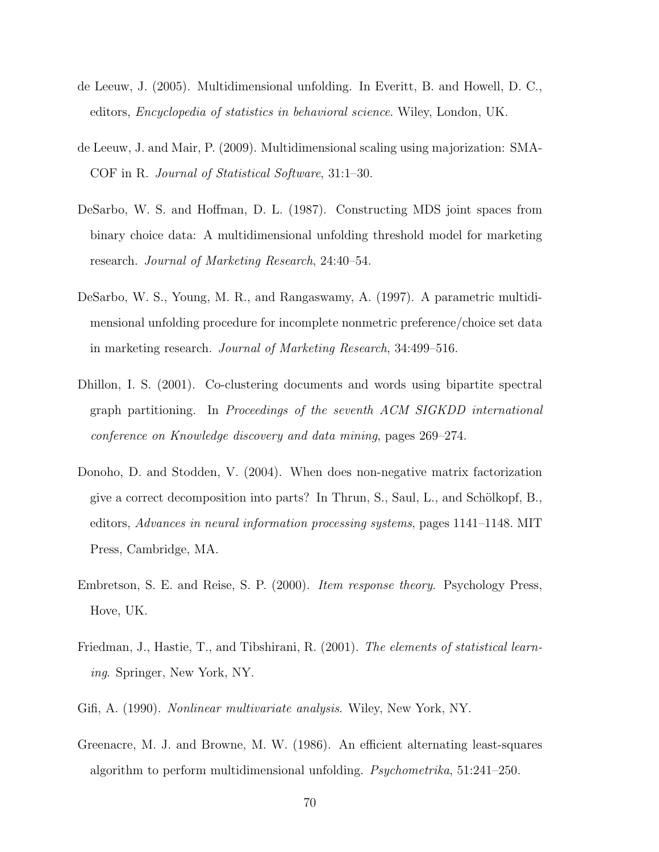- de Leeuw, J. (2005). Multidimensional unfolding. In Everitt, B. and Howell, D. C., editors, Encyclopedia of statistics in behavioral science. Wiley, London, UK.
- <span id="page-69-0"></span>de Leeuw, J. and Mair, P. (2009). Multidimensional scaling using majorization: SMA-COF in R. Journal of Statistical Software, 31:1–30.
- DeSarbo, W. S. and Hoffman, D. L. (1987). Constructing MDS joint spaces from binary choice data: A multidimensional unfolding threshold model for marketing research. Journal of Marketing Research, 24:40–54.
- DeSarbo, W. S., Young, M. R., and Rangaswamy, A. (1997). A parametric multidimensional unfolding procedure for incomplete nonmetric preference/choice set data in marketing research. Journal of Marketing Research, 34:499–516.
- Dhillon, I. S. (2001). Co-clustering documents and words using bipartite spectral graph partitioning. In Proceedings of the seventh ACM SIGKDD international conference on Knowledge discovery and data mining, pages 269–274.
- Donoho, D. and Stodden, V. (2004). When does non-negative matrix factorization give a correct decomposition into parts? In Thrun, S., Saul, L., and Schölkopf, B., editors, Advances in neural information processing systems, pages 1141–1148. MIT Press, Cambridge, MA.
- Embretson, S. E. and Reise, S. P. (2000). Item response theory. Psychology Press, Hove, UK.
- Friedman, J., Hastie, T., and Tibshirani, R. (2001). The elements of statistical learning. Springer, New York, NY.
- Gifi, A. (1990). Nonlinear multivariate analysis. Wiley, New York, NY.
- Greenacre, M. J. and Browne, M. W. (1986). An efficient alternating least-squares algorithm to perform multidimensional unfolding. Psychometrika, 51:241–250.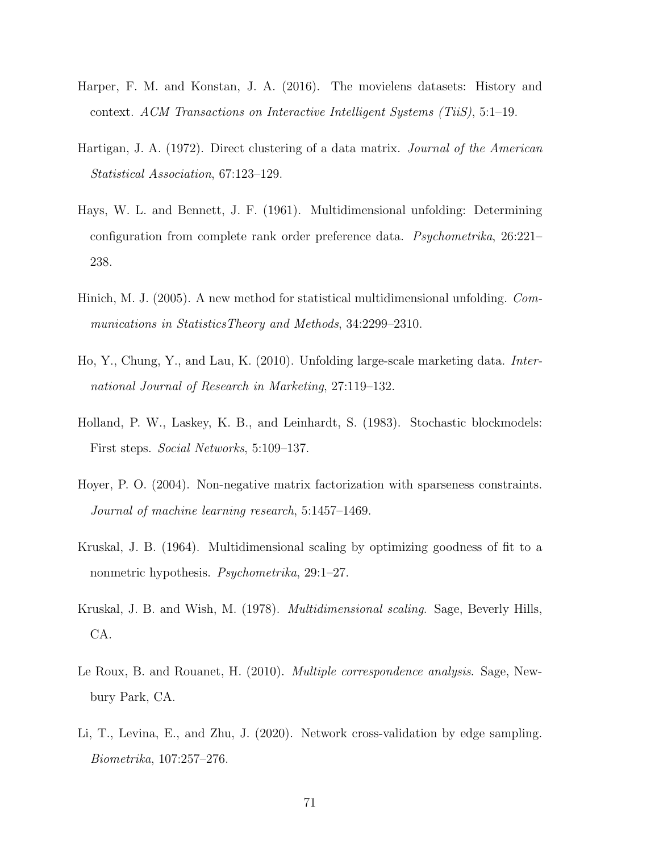- Harper, F. M. and Konstan, J. A. (2016). The movielens datasets: History and context. ACM Transactions on Interactive Intelligent Systems (TiiS), 5:1–19.
- Hartigan, J. A. (1972). Direct clustering of a data matrix. Journal of the American Statistical Association, 67:123–129.
- Hays, W. L. and Bennett, J. F. (1961). Multidimensional unfolding: Determining configuration from complete rank order preference data. Psychometrika, 26:221– 238.
- Hinich, M. J. (2005). A new method for statistical multidimensional unfolding. Communications in StatisticsTheory and Methods, 34:2299–2310.
- Ho, Y., Chung, Y., and Lau, K. (2010). Unfolding large-scale marketing data. International Journal of Research in Marketing, 27:119–132.
- Holland, P. W., Laskey, K. B., and Leinhardt, S. (1983). Stochastic blockmodels: First steps. Social Networks, 5:109–137.
- Hoyer, P. O. (2004). Non-negative matrix factorization with sparseness constraints. Journal of machine learning research, 5:1457–1469.
- Kruskal, J. B. (1964). Multidimensional scaling by optimizing goodness of fit to a nonmetric hypothesis. Psychometrika, 29:1–27.
- Kruskal, J. B. and Wish, M. (1978). Multidimensional scaling. Sage, Beverly Hills, CA.
- Le Roux, B. and Rouanet, H. (2010). *Multiple correspondence analysis*. Sage, Newbury Park, CA.
- Li, T., Levina, E., and Zhu, J. (2020). Network cross-validation by edge sampling. Biometrika, 107:257–276.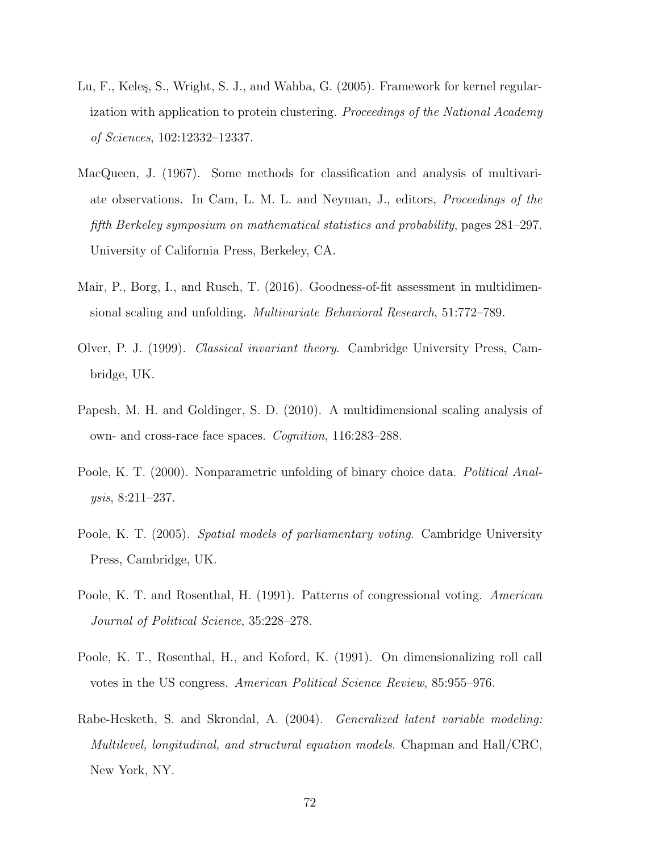- Lu, F., Keleş, S., Wright, S. J., and Wahba, G. (2005). Framework for kernel regularization with application to protein clustering. Proceedings of the National Academy of Sciences, 102:12332–12337.
- <span id="page-71-0"></span>MacQueen, J. (1967). Some methods for classification and analysis of multivariate observations. In Cam, L. M. L. and Neyman, J., editors, Proceedings of the fifth Berkeley symposium on mathematical statistics and probability, pages 281–297. University of California Press, Berkeley, CA.
- Mair, P., Borg, I., and Rusch, T. (2016). Goodness-of-fit assessment in multidimensional scaling and unfolding. Multivariate Behavioral Research, 51:772–789.
- Olver, P. J. (1999). Classical invariant theory. Cambridge University Press, Cambridge, UK.
- Papesh, M. H. and Goldinger, S. D. (2010). A multidimensional scaling analysis of own- and cross-race face spaces. Cognition, 116:283–288.
- Poole, K. T. (2000). Nonparametric unfolding of binary choice data. *Political Anal*ysis, 8:211–237.
- Poole, K. T. (2005). Spatial models of parliamentary voting. Cambridge University Press, Cambridge, UK.
- Poole, K. T. and Rosenthal, H. (1991). Patterns of congressional voting. American Journal of Political Science, 35:228–278.
- Poole, K. T., Rosenthal, H., and Koford, K. (1991). On dimensionalizing roll call votes in the US congress. American Political Science Review, 85:955–976.
- Rabe-Hesketh, S. and Skrondal, A. (2004). Generalized latent variable modeling: Multilevel, longitudinal, and structural equation models. Chapman and Hall/CRC, New York, NY.